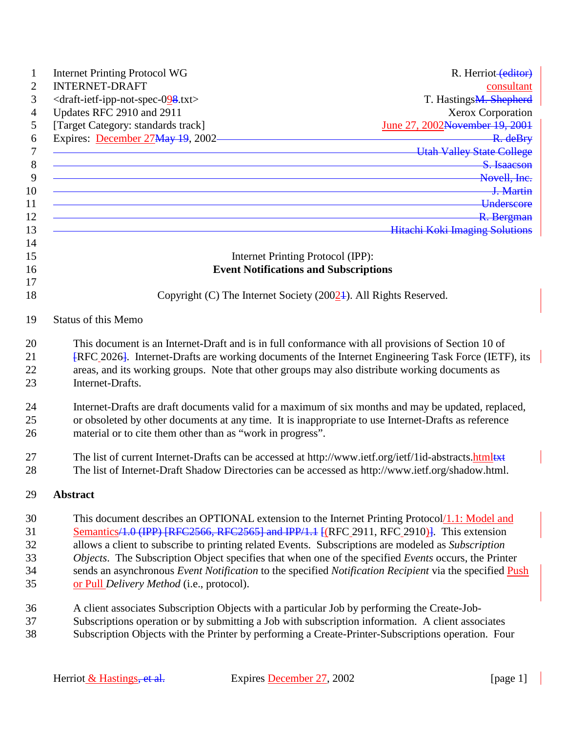| <b>Internet Printing Protocol WG</b>                                                                                                                                                                                                                                                                                             | R. Herriot-(editor)                        |
|----------------------------------------------------------------------------------------------------------------------------------------------------------------------------------------------------------------------------------------------------------------------------------------------------------------------------------|--------------------------------------------|
| <b>INTERNET-DRAFT</b>                                                                                                                                                                                                                                                                                                            | consultant                                 |
| <draft-ietf-ipp-not-spec-098.txt></draft-ietf-ipp-not-spec-098.txt>                                                                                                                                                                                                                                                              | T. Hastings <del>M. Shepherd</del>         |
| Updates RFC 2910 and 2911                                                                                                                                                                                                                                                                                                        | Xerox Corporation                          |
| [Target Category: standards track]                                                                                                                                                                                                                                                                                               | June 27, 2002 <del>November 19, 2001</del> |
| Expires: December 27May 19, 2002                                                                                                                                                                                                                                                                                                 |                                            |
| <u>Exercise Express 12, 2002</u><br>Utah Valley State College                                                                                                                                                                                                                                                                    |                                            |
| <u> 1989 - Johann Stein, marwolaethau a bhann an t-Amhainn an t-Amhainn an t-Amhainn an t-Amhainn an t-Amhainn a</u>                                                                                                                                                                                                             | S. Isaacson                                |
| <b>Example 20</b> Novell, Inc.                                                                                                                                                                                                                                                                                                   |                                            |
| <u> 1. Martin Carl Communication (Communication Communication Communication Communication Communication Communication</u>                                                                                                                                                                                                        |                                            |
| <u>Example 2001</u>                                                                                                                                                                                                                                                                                                              |                                            |
| <u> R. Bergman</u>                                                                                                                                                                                                                                                                                                               |                                            |
| <b>Example 2018</b> Hitachi Koki Imaging Solutions                                                                                                                                                                                                                                                                               |                                            |
| Internet Printing Protocol (IPP):                                                                                                                                                                                                                                                                                                |                                            |
| <b>Event Notifications and Subscriptions</b>                                                                                                                                                                                                                                                                                     |                                            |
|                                                                                                                                                                                                                                                                                                                                  |                                            |
| Copyright (C) The Internet Society (20024). All Rights Reserved.                                                                                                                                                                                                                                                                 |                                            |
| <b>Status of this Memo</b>                                                                                                                                                                                                                                                                                                       |                                            |
| This document is an Internet-Draft and is in full conformance with all provisions of Section 10 of<br>[RFC_2026]. Internet-Drafts are working documents of the Internet Engineering Task Force (IETF), its<br>areas, and its working groups. Note that other groups may also distribute working documents as<br>Internet-Drafts. |                                            |
| Internet-Drafts are draft documents valid for a maximum of six months and may be updated, replaced,                                                                                                                                                                                                                              |                                            |
| or obsoleted by other documents at any time. It is inappropriate to use Internet-Drafts as reference                                                                                                                                                                                                                             |                                            |
| material or to cite them other than as "work in progress".                                                                                                                                                                                                                                                                       |                                            |
| The list of current Internet-Drafts can be accessed at http://www.ietf.org/ietf/1id-abstracts.htmltxt                                                                                                                                                                                                                            |                                            |
| The list of Internet-Draft Shadow Directories can be accessed as http://www.ietf.org/shadow.html.                                                                                                                                                                                                                                |                                            |
| <b>Abstract</b>                                                                                                                                                                                                                                                                                                                  |                                            |

- 30 This document describes an OPTIONAL extension to the Internet Printing Protocol/1.1: Model and 31 Semantics/1.0 (IPP) [RFC2566, RFC2565] and IPP/1.1 [(RFC 2911, RFC 2910)]. This extension 32 allows a client to subscribe to printing related Events. Subscriptions are modeled as *Subscription*  33 *Objects*. The Subscription Object specifies that when one of the specified *Events* occurs, the Printer 34 sends an asynchronous *Event Notification* to the specified *Notification Recipient* via the specified Push 35 or Pull *Delivery Method* (i.e., protocol).
- 36 A client associates Subscription Objects with a particular Job by performing the Create-Job-
- 37 Subscriptions operation or by submitting a Job with subscription information. A client associates
- 38 Subscription Objects with the Printer by performing a Create-Printer-Subscriptions operation. Four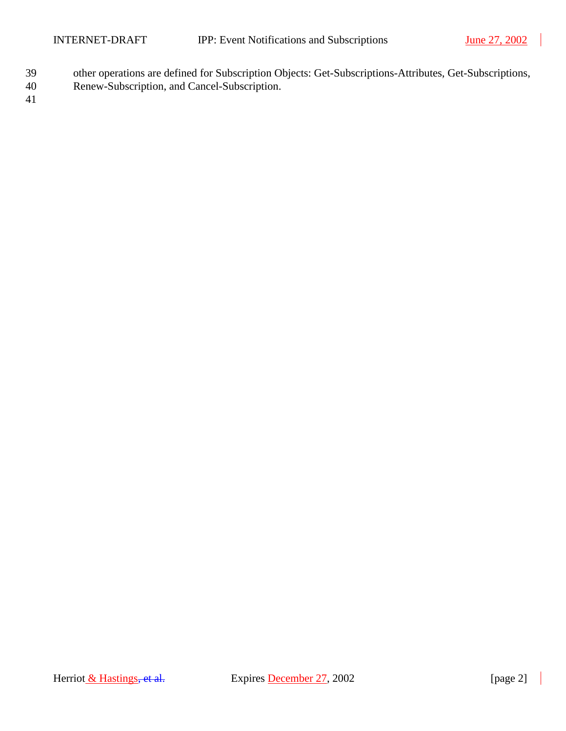- 39 other operations are defined for Subscription Objects: Get-Subscriptions-Attributes, Get-Subscriptions,
- 40 Renew-Subscription, and Cancel-Subscription.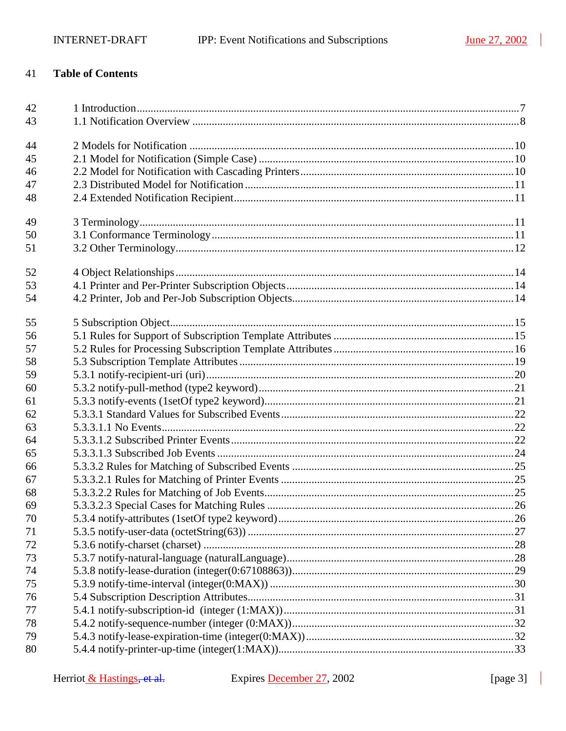$\overline{\phantom{a}}$ 

#### 41 **Table of Contents**

| 42 |  |
|----|--|
| 43 |  |
| 44 |  |
| 45 |  |
| 46 |  |
| 47 |  |
| 48 |  |
| 49 |  |
| 50 |  |
| 51 |  |
| 52 |  |
| 53 |  |
| 54 |  |
| 55 |  |
| 56 |  |
| 57 |  |
| 58 |  |
| 59 |  |
| 60 |  |
| 61 |  |
| 62 |  |
| 63 |  |
| 64 |  |
| 65 |  |
| 66 |  |
| 67 |  |
| 68 |  |
| 69 |  |
| 70 |  |
| 71 |  |
| 72 |  |
| 73 |  |
| 74 |  |
| 75 |  |
| 76 |  |
| 77 |  |
| 78 |  |
| 79 |  |
| 80 |  |

 $\blacksquare$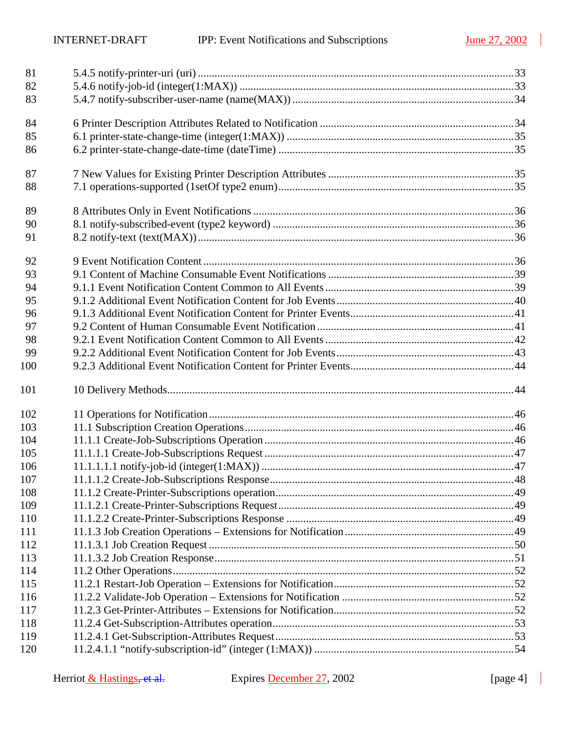| 81  |  |
|-----|--|
| 82  |  |
| 83  |  |
| 84  |  |
| 85  |  |
| 86  |  |
| 87  |  |
| 88  |  |
| 89  |  |
| 90  |  |
| 91  |  |
| 92  |  |
| 93  |  |
| 94  |  |
| 95  |  |
| 96  |  |
| 97  |  |
| 98  |  |
| 99  |  |
| 100 |  |
| 101 |  |
| 102 |  |
| 103 |  |
| 104 |  |
| 105 |  |
| 106 |  |
| 107 |  |
| 108 |  |
| 109 |  |
| 110 |  |
| 111 |  |
| 112 |  |
| 113 |  |
| 114 |  |
| 115 |  |
| 116 |  |
| 117 |  |
| 118 |  |
| 119 |  |
| 120 |  |
|     |  |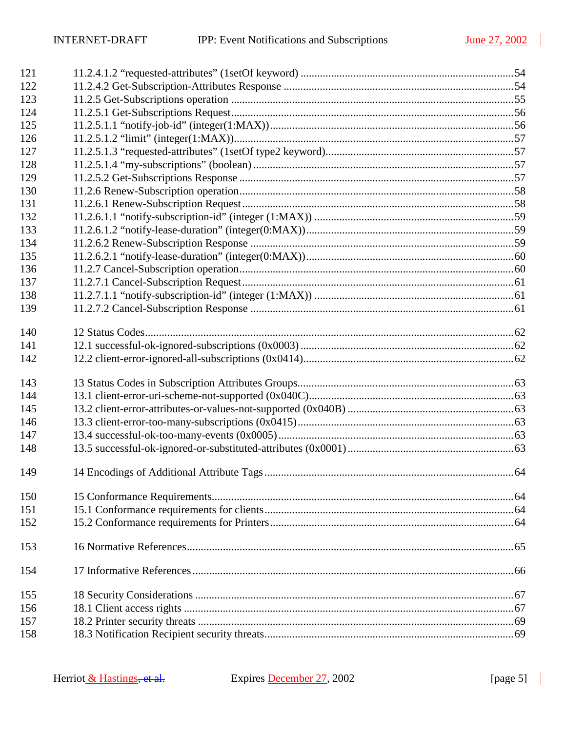| 121 |  |
|-----|--|
| 122 |  |
| 123 |  |
| 124 |  |
| 125 |  |
| 126 |  |
| 127 |  |
| 128 |  |
| 129 |  |
| 130 |  |
| 131 |  |
| 132 |  |
| 133 |  |
| 134 |  |
| 135 |  |
| 136 |  |
| 137 |  |
| 138 |  |
| 139 |  |
| 140 |  |
| 141 |  |
| 142 |  |
| 143 |  |
| 144 |  |
| 145 |  |
| 146 |  |
| 147 |  |
| 148 |  |
| 149 |  |
| 150 |  |
| 151 |  |
| 152 |  |
| 153 |  |
| 154 |  |
| 155 |  |
| 156 |  |
| 157 |  |
| 158 |  |

 $\blacksquare$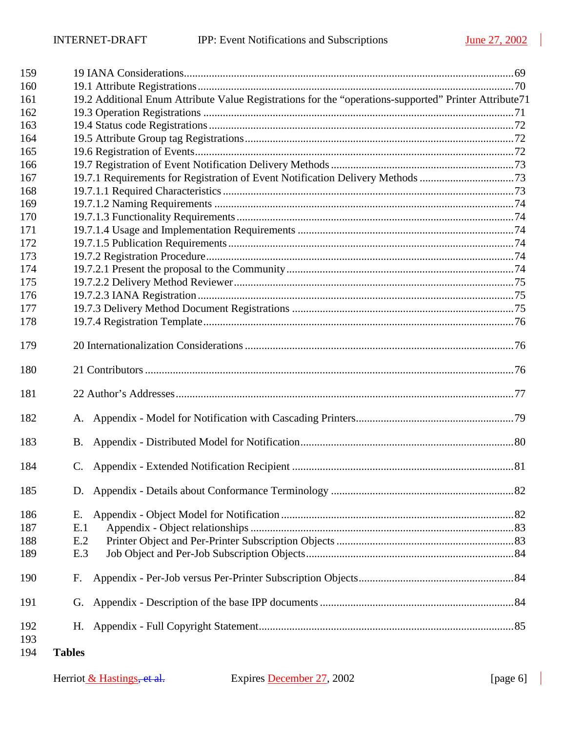| 194 | <b>Tables</b> |                                                                                                       |  |
|-----|---------------|-------------------------------------------------------------------------------------------------------|--|
| 193 |               |                                                                                                       |  |
| 192 | Н.            |                                                                                                       |  |
| 191 | G.            |                                                                                                       |  |
| 190 | F.            |                                                                                                       |  |
| 189 | E.3           |                                                                                                       |  |
| 188 | E.2           |                                                                                                       |  |
| 187 | E.1           |                                                                                                       |  |
| 186 | Е.            |                                                                                                       |  |
| 185 | D.            |                                                                                                       |  |
| 184 |               |                                                                                                       |  |
| 183 | B.            |                                                                                                       |  |
| 182 |               |                                                                                                       |  |
| 181 |               |                                                                                                       |  |
| 180 |               |                                                                                                       |  |
| 179 |               |                                                                                                       |  |
| 178 |               |                                                                                                       |  |
| 177 |               |                                                                                                       |  |
| 176 |               |                                                                                                       |  |
| 175 |               |                                                                                                       |  |
| 174 |               |                                                                                                       |  |
| 173 |               |                                                                                                       |  |
| 172 |               |                                                                                                       |  |
| 171 |               |                                                                                                       |  |
| 170 |               |                                                                                                       |  |
| 169 |               |                                                                                                       |  |
| 168 |               |                                                                                                       |  |
| 167 |               | 19.7.1 Requirements for Registration of Event Notification Delivery Methods 73                        |  |
| 166 |               |                                                                                                       |  |
| 165 |               |                                                                                                       |  |
| 164 |               |                                                                                                       |  |
| 163 |               |                                                                                                       |  |
| 162 |               |                                                                                                       |  |
| 161 |               | 19.2 Additional Enum Attribute Value Registrations for the "operations-supported" Printer Attribute71 |  |
| 160 |               |                                                                                                       |  |
| 159 |               |                                                                                                       |  |

 $\mathbb{R}$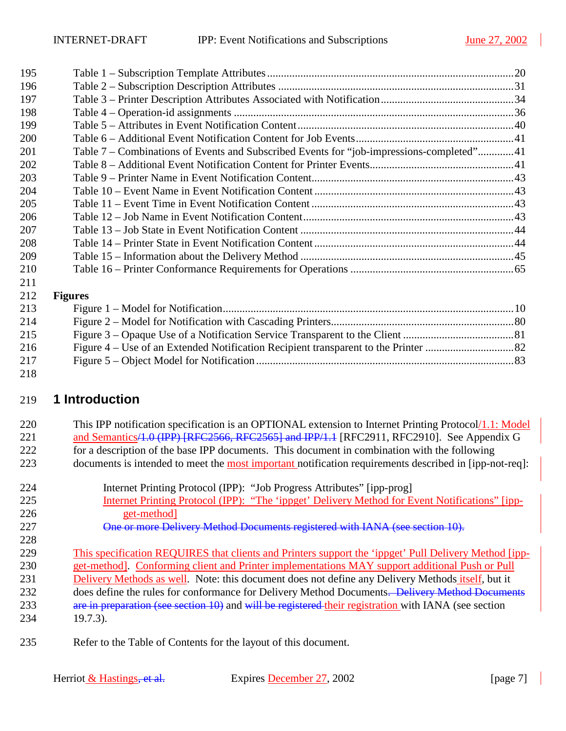<span id="page-6-0"></span>

| 195 |                                                                                          |  |
|-----|------------------------------------------------------------------------------------------|--|
| 196 |                                                                                          |  |
| 197 |                                                                                          |  |
| 198 |                                                                                          |  |
| 199 |                                                                                          |  |
| 200 |                                                                                          |  |
| 201 | Table 7 – Combinations of Events and Subscribed Events for "job-impressions-completed"41 |  |
| 202 |                                                                                          |  |
| 203 |                                                                                          |  |
| 204 |                                                                                          |  |
| 205 |                                                                                          |  |
| 206 |                                                                                          |  |
| 207 |                                                                                          |  |
| 208 |                                                                                          |  |
| 209 |                                                                                          |  |
| 210 |                                                                                          |  |
| 211 |                                                                                          |  |
| 212 | <b>Figures</b>                                                                           |  |
| 213 |                                                                                          |  |
| 214 |                                                                                          |  |
| 215 |                                                                                          |  |
| 216 |                                                                                          |  |

[Figure 5 – Object Model for Notification .............................................................................................83](#page-82-0)  

# **1 Introduction**

| 220 | This IPP notification specification is an OPTIONAL extension to Internet Printing Protocol/1.1: Model  |
|-----|--------------------------------------------------------------------------------------------------------|
| 221 | and Semantics/4.0 (IPP) [RFC2566, RFC2565] and IPP/1.1 [RFC2911, RFC2910]. See Appendix G              |
| 222 | for a description of the base IPP documents. This document in combination with the following           |
| 223 | documents is intended to meet the most important notification requirements described in [ipp-not-req]: |

| 224    | Internet Printing Protocol (IPP): "Job Progress Attributes" [ipp-prog]                                                            |
|--------|-----------------------------------------------------------------------------------------------------------------------------------|
| 225    | Internet Printing Protocol (IPP): "The 'ippget' Delivery Method for Event Notifications" [ipp-                                    |
| 226    | get-method                                                                                                                        |
| 227    | One or more Delivery Method Documents registered with IANA (see section 10).                                                      |
| 228    |                                                                                                                                   |
| 229    | This specification REQUIRES that clients and Printers support the 'ippget' Pull Delivery Method [ipp-                             |
| 230    | get-method]. Conforming client and Printer implementations MAY support additional Push or Pull                                    |
| 231    | Delivery Methods as well. Note: this document does not define any Delivery Methods itself, but it                                 |
| 232    | does define the rules for conformance for Delivery Method Documents. Delivery Method Documents                                    |
| 233    | are in preparation (see section 10) and will be registered their registration with IANA (see section                              |
| 234    | $19.7.3$ ).                                                                                                                       |
| $\cap$ | $\mathbf{D}$ . $\mathbf{A}$ and $\mathbf{E}$ and $\mathbf{E}$ and $\mathbf{C}$ and $\mathbf{A}$ and $\mathbf{A}$ and $\mathbf{E}$ |

235 Refer to the Table of Contents for the layout of this document.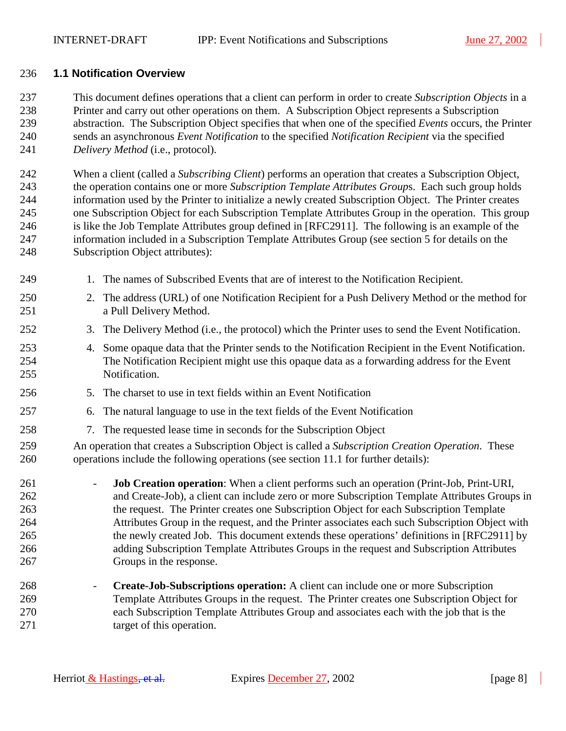#### <span id="page-7-0"></span>236 **1.1 Notification Overview**

237 This document defines operations that a client can perform in order to create *Subscription Objects* in a 238 Printer and carry out other operations on them. A Subscription Object represents a Subscription 239 abstraction. The Subscription Object specifies that when one of the specified *Events* occurs, the Printer 240 sends an asynchronous *Event Notification* to the specified *Notification Recipient* via the specified 241 *Delivery Method* (i.e., protocol).

242 When a client (called a *Subscribing Client*) performs an operation that creates a Subscription Object, 243 the operation contains one or more *Subscription Template Attributes Group*s. Each such group holds 244 information used by the Printer to initialize a newly created Subscription Object. The Printer creates 245 one Subscription Object for each Subscription Template Attributes Group in the operation. This group 246 is like the Job Template Attributes group defined in [RFC2911]. The following is an example of the 247 information included in a Subscription Template Attributes Group (see section [5](#page-14-0) for details on the 248 Subscription Object attributes):

- 249 1. The names of Subscribed Events that are of interest to the Notification Recipient.
- 250 2. The address (URL) of one Notification Recipient for a Push Delivery Method or the method for 251 a Pull Delivery Method.
- 252 3. The Delivery Method (i.e., the protocol) which the Printer uses to send the Event Notification.
- 253 4. Some opaque data that the Printer sends to the Notification Recipient in the Event Notification. 254 The Notification Recipient might use this opaque data as a forwarding address for the Event 255 Notification.
- 256 5. The charset to use in text fields within an Event Notification
- 257 6. The natural language to use in the text fields of the Event Notification
- 258 7. The requested lease time in seconds for the Subscription Object

259 An operation that creates a Subscription Object is called a *Subscription Creation Operation*. These 260 operations include the following operations (see section [11.1 f](#page-45-0)or further details):

261 - **Job Creation operation**: When a client performs such an operation (Print-Job, Print-URI, 262 and Create-Job), a client can include zero or more Subscription Template Attributes Groups in 263 the request. The Printer creates one Subscription Object for each Subscription Template 264 Attributes Group in the request, and the Printer associates each such Subscription Object with 265 the newly created Job. This document extends these operations' definitions in [RFC2911] by 266 adding Subscription Template Attributes Groups in the request and Subscription Attributes 267 Groups in the response.

268 - **Create-Job-Subscriptions operation:** A client can include one or more Subscription 269 Template Attributes Groups in the request. The Printer creates one Subscription Object for 270 each Subscription Template Attributes Group and associates each with the job that is the 271 target of this operation.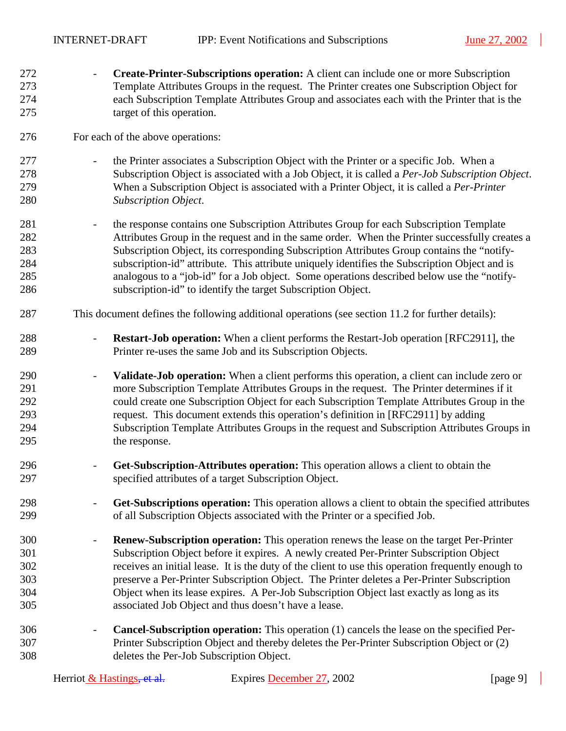272 - **Create-Printer-Subscriptions operation:** A client can include one or more Subscription 273 Template Attributes Groups in the request. The Printer creates one Subscription Object for 274 each Subscription Template Attributes Group and associates each with the Printer that is the 275 target of this operation. 276 For each of the above operations: 277 **a Except** - the Printer associates a Subscription Object with the Printer or a specific Job. When a 278 Subscription Object is associated with a Job Object, it is called a *Per-Job Subscription Object*. 279 When a Subscription Object is associated with a Printer Object, it is called a *Per-Printer*  280 *Subscription Object*. 281 - the response contains one Subscription Attributes Group for each Subscription Template 282 Attributes Group in the request and in the same order. When the Printer successfully creates a 283 Subscription Object, its corresponding Subscription Attributes Group contains the "notify-284 subscription-id" attribute. This attribute uniquely identifies the Subscription Object and is 285 analogous to a "job-id" for a Job object. Some operations described below use the "notify-286 subscription-id" to identify the target Subscription Object. 287 This document defines the following additional operations (see section [11.2 f](#page-51-0)or further details): 288 **- Restart-Job operation:** When a client performs the Restart-Job operation [RFC2911], the 289 Printer re-uses the same Job and its Subscription Objects. 290 - **Validate-Job operation:** When a client performs this operation, a client can include zero or 291 more Subscription Template Attributes Groups in the request. The Printer determines if it 292 could create one Subscription Object for each Subscription Template Attributes Group in the 293 request. This document extends this operation's definition in [RFC2911] by adding 294 Subscription Template Attributes Groups in the request and Subscription Attributes Groups in 295 the response. 296 - **Get-Subscription-Attributes operation:** This operation allows a client to obtain the 297 specified attributes of a target Subscription Object. 298 - **Get-Subscriptions operation:** This operation allows a client to obtain the specified attributes 299 of all Subscription Objects associated with the Printer or a specified Job. 300 - **Renew-Subscription operation:** This operation renews the lease on the target Per-Printer 301 Subscription Object before it expires. A newly created Per-Printer Subscription Object 302 receives an initial lease. It is the duty of the client to use this operation frequently enough to 303 preserve a Per-Printer Subscription Object. The Printer deletes a Per-Printer Subscription 304 Object when its lease expires. A Per-Job Subscription Object last exactly as long as its 305 associated Job Object and thus doesn't have a lease. 306 - **Cancel-Subscription operation:** This operation (1) cancels the lease on the specified Per-307 Printer Subscription Object and thereby deletes the Per-Printer Subscription Object or (2) 308 deletes the Per-Job Subscription Object.

| Herriot $&$ Hastings, et al. | Expires December 27, 2002 | [page 9] |
|------------------------------|---------------------------|----------|
|------------------------------|---------------------------|----------|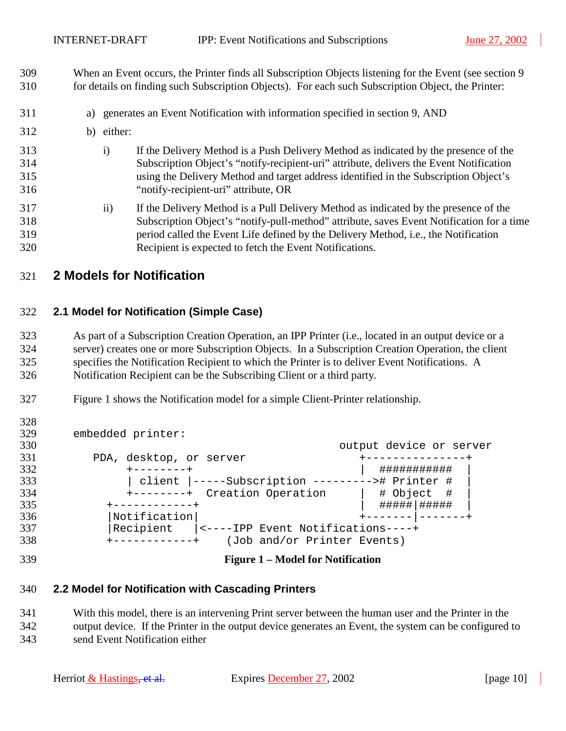<span id="page-9-0"></span>309 When an Event occurs, the Printer finds all Subscription Objects listening for the Event (see section [9](#page-35-0)  310 for details on finding such Subscription Objects). For each such Subscription Object, the Printer:

- 311 a) generates an Event Notification with information specified in section [9,](#page-35-0) AND
- 312 b) either:
- 313 i) If the Delivery Method is a Push Delivery Method as indicated by the presence of the 314 Subscription Object's "notify-recipient-uri" attribute, delivers the Event Notification 315 using the Delivery Method and target address identified in the Subscription Object's 316 "notify-recipient-uri" attribute, OR
- 317 ii) If the Delivery Method is a Pull Delivery Method as indicated by the presence of the 318 Subscription Object's "notify-pull-method" attribute, saves Event Notification for a time 319 period called the Event Life defined by the Delivery Method, i.e., the Notification 320 Recipient is expected to fetch the Event Notifications.

## 321 **2 Models for Notification**

#### 322 **2.1 Model for Notification (Simple Case)**

323 As part of a Subscription Creation Operation, an IPP Printer (i.e., located in an output device or a 324 server) creates one or more Subscription Objects. In a Subscription Creation Operation, the client 325 specifies the Notification Recipient to which the Printer is to deliver Event Notifications. A 326 Notification Recipient can be the Subscribing Client or a third party.

327 Figure 1 shows the Notification model for a simple Client-Printer relationship.

| 329 | embedded printer:                               |                         |
|-----|-------------------------------------------------|-------------------------|
| 330 |                                                 | output device or server |
| 331 | PDA, desktop, or server                         |                         |
| 332 |                                                 | ###########             |
| 333 | client  -----Subscription ---------># Printer # |                         |
| 334 | +--------+ Creation Operation                   | # Object #              |
| 335 |                                                 |                         |
| 336 | $ $ Notification $ $                            |                         |
| 337 | Recipient  <----IPP Event Notifications----+    |                         |
| 338 | (Job and/or Printer Events)                     |                         |

328

#### 339 **Figure 1 – Model for Notification**

#### 340 **2.2 Model for Notification with Cascading Printers**

341 With this model, there is an intervening Print server between the human user and the Printer in the 342 output device. If the Printer in the output device generates an Event, the system can be configured to 343 send Event Notification either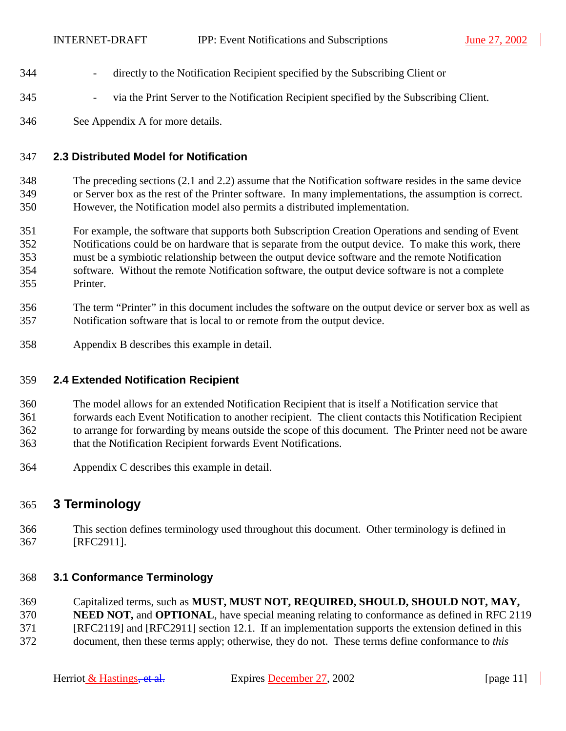- <span id="page-10-0"></span>344 - directly to the Notification Recipient specified by the Subscribing Client or
- 345 via the Print Server to the Notification Recipient specified by the Subscribing Client.
- 346 See Appendix [A](#page-78-0) for more details.

#### 347 **2.3 Distributed Model for Notification**

348 The preceding sections ([2.1](#page-9-0) and [2.2\)](#page-9-0) assume that the Notification software resides in the same device 349 or Server box as the rest of the Printer software. In many implementations, the assumption is correct. 350 However, the Notification model also permits a distributed implementation.

- 351 For example, the software that supports both Subscription Creation Operations and sending of Event 352 Notifications could be on hardware that is separate from the output device. To make this work, there 353 must be a symbiotic relationship between the output device software and the remote Notification 354 software. Without the remote Notification software, the output device software is not a complete 355 Printer.
- 356 The term "Printer" in this document includes the software on the output device or server box as well as 357 Notification software that is local to or remote from the output device.
- 358 Appendix [B](#page-79-0) describes this example in detail.

#### 359 **2.4 Extended Notification Recipient**

- 360 The model allows for an extended Notification Recipient that is itself a Notification service that
- 361 forwards each Event Notification to another recipient. The client contacts this Notification Recipient
- 362 to arrange for forwarding by means outside the scope of this document. The Printer need not be aware
- 363 that the Notification Recipient forwards Event Notifications.
- 364 Appendix [C](#page-80-0) describes this example in detail.

## 365 **3 Terminology**

366 This section defines terminology used throughout this document. Other terminology is defined in 367 [RFC2911].

## 368 **3.1 Conformance Terminology**

- 369 Capitalized terms, such as **MUST, MUST NOT, REQUIRED, SHOULD, SHOULD NOT, MAY,**  370 **NEED NOT,** and **OPTIONAL**, have special meaning relating to conformance as defined in RFC 2119 371 [RFC2119] and [RFC2911] section 12.1. If an implementation supports the extension defined in this
- 372 document, then these terms apply; otherwise, they do not. These terms define conformance to *this*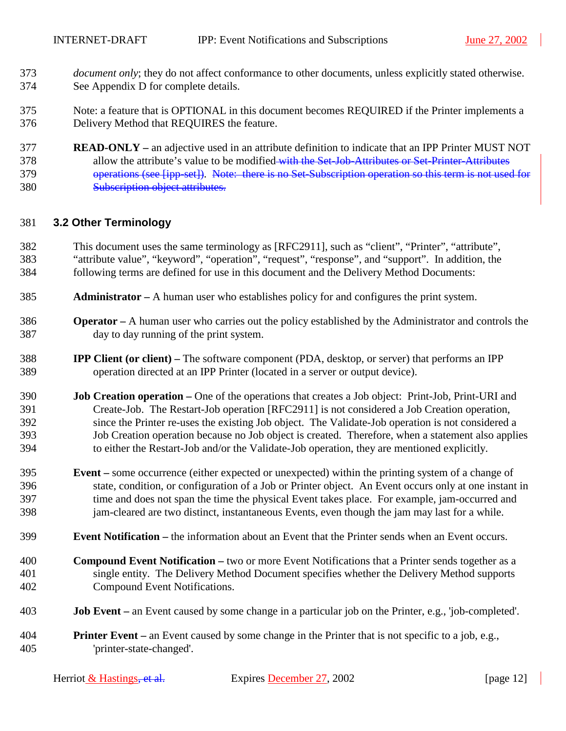- <span id="page-11-0"></span>373 *document only*; they do not affect conformance to other documents, unless explicitly stated otherwise. 374 See Appendix [D](#page-81-0) for complete details.
- 375 Note: a feature that is OPTIONAL in this document becomes REQUIRED if the Printer implements a 376 Delivery Method that REQUIRES the feature.
- 377 **READ-ONLY** an adjective used in an attribute definition to indicate that an IPP Printer MUST NOT 378 allow the attribute's value to be modified with the Set-Job-Attributes or Set-Printer-Attributes 379 operations (see [ipp-set]). Note: there is no Set-Subscription operation so this term is not used for 380 Subscription object attributes.

#### 381 **3.2 Other Terminology**

- 382 This document uses the same terminology as [RFC2911], such as "client", "Printer", "attribute", 383 "attribute value", "keyword", "operation", "request", "response", and "support". In addition, the 384 following terms are defined for use in this document and the Delivery Method Documents:
- 385 **Administrator** A human user who establishes policy for and configures the print system.
- 386 **Operator** A human user who carries out the policy established by the Administrator and controls the 387 day to day running of the print system.
- 388 **IPP Client (or client)** The software component (PDA, desktop, or server) that performs an IPP 389 operation directed at an IPP Printer (located in a server or output device).
- 390 **Job Creation operation** One of the operations that creates a Job object: Print-Job, Print-URI and 391 Create-Job. The Restart-Job operation [RFC2911] is not considered a Job Creation operation, 392 since the Printer re-uses the existing Job object. The Validate-Job operation is not considered a 393 Job Creation operation because no Job object is created. Therefore, when a statement also applies 394 to either the Restart-Job and/or the Validate-Job operation, they are mentioned explicitly.
- 395 **Event** some occurrence (either expected or unexpected) within the printing system of a change of 396 state, condition, or configuration of a Job or Printer object. An Event occurs only at one instant in 397 time and does not span the time the physical Event takes place. For example, jam-occurred and 398 jam-cleared are two distinct, instantaneous Events, even though the jam may last for a while.
- 399 **Event Notification** the information about an Event that the Printer sends when an Event occurs.
- 400 **Compound Event Notification** two or more Event Notifications that a Printer sends together as a 401 single entity. The Delivery Method Document specifies whether the Delivery Method supports 402 Compound Event Notifications.
- 403 **Job Event** an Event caused by some change in a particular job on the Printer, e.g., 'job-completed'.
- 404 **Printer Event** an Event caused by some change in the Printer that is not specific to a job, e.g., 405 'printer-state-changed'.

| Herriot & Hastings <del>, et al.</del> | Expires December 27, 2002 | [ $page 12$ ] |
|----------------------------------------|---------------------------|---------------|
|----------------------------------------|---------------------------|---------------|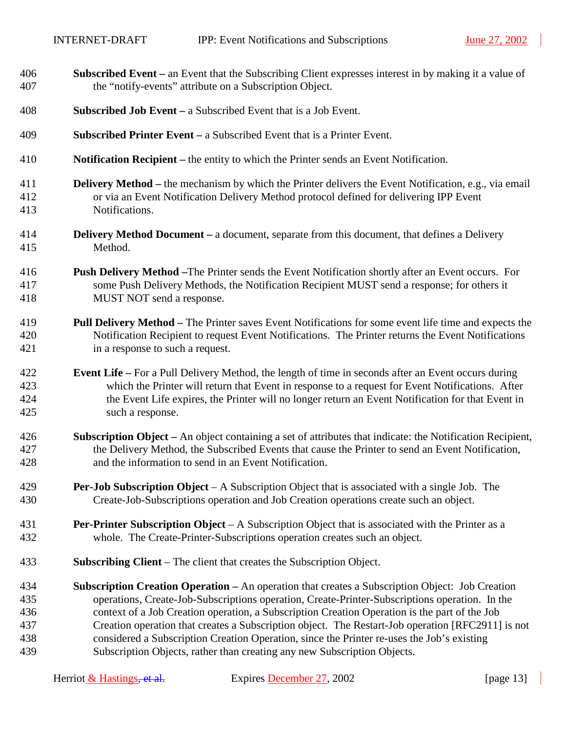$\overline{\phantom{a}}$ 

| 406 | <b>Subscribed Event</b> – an Event that the Subscribing Client expresses interest in by making it a value of |
|-----|--------------------------------------------------------------------------------------------------------------|
| 407 | the "notify-events" attribute on a Subscription Object.                                                      |
| 408 | <b>Subscribed Job Event</b> – a Subscribed Event that is a Job Event.                                        |
| 409 | <b>Subscribed Printer Event</b> $-$ a Subscribed Event that is a Printer Event.                              |
| 410 | Notification Recipient – the entity to which the Printer sends an Event Notification.                        |
| 411 | <b>Delivery Method</b> – the mechanism by which the Printer delivers the Event Notification, e.g., via email |
| 412 | or via an Event Notification Delivery Method protocol defined for delivering IPP Event                       |
| 413 | Notifications.                                                                                               |
| 414 | <b>Delivery Method Document</b> – a document, separate from this document, that defines a Delivery           |
| 415 | Method.                                                                                                      |
| 416 | <b>Push Delivery Method - The Printer sends the Event Notification shortly after an Event occurs. For</b>    |
| 417 | some Push Delivery Methods, the Notification Recipient MUST send a response; for others it                   |
| 418 | MUST NOT send a response.                                                                                    |
| 419 | Pull Delivery Method – The Printer saves Event Notifications for some event life time and expects the        |
| 420 | Notification Recipient to request Event Notifications. The Printer returns the Event Notifications           |
| 421 | in a response to such a request.                                                                             |
| 422 | <b>Event Life</b> – For a Pull Delivery Method, the length of time in seconds after an Event occurs during   |
| 423 | which the Printer will return that Event in response to a request for Event Notifications. After             |
| 424 | the Event Life expires, the Printer will no longer return an Event Notification for that Event in            |
| 425 | such a response.                                                                                             |
| 426 | Subscription Object - An object containing a set of attributes that indicate: the Notification Recipient,    |
| 427 | the Delivery Method, the Subscribed Events that cause the Printer to send an Event Notification,             |
| 428 | and the information to send in an Event Notification.                                                        |
| 429 | <b>Per-Job Subscription Object</b> – A Subscription Object that is associated with a single Job. The         |
| 430 | Create-Job-Subscriptions operation and Job Creation operations create such an object.                        |
| 431 | <b>Per-Printer Subscription Object</b> – A Subscription Object that is associated with the Printer as a      |
| 432 | whole. The Create-Printer-Subscriptions operation creates such an object.                                    |
| 433 | <b>Subscribing Client</b> – The client that creates the Subscription Object.                                 |
| 434 | <b>Subscription Creation Operation – An operation that creates a Subscription Object: Job Creation</b>       |
| 435 | operations, Create-Job-Subscriptions operation, Create-Printer-Subscriptions operation. In the               |
| 436 | context of a Job Creation operation, a Subscription Creation Operation is the part of the Job                |
| 437 | Creation operation that creates a Subscription object. The Restart-Job operation [RFC2911] is not            |
| 438 | considered a Subscription Creation Operation, since the Printer re-uses the Job's existing                   |
| 439 | Subscription Objects, rather than creating any new Subscription Objects.                                     |

 $\blacksquare$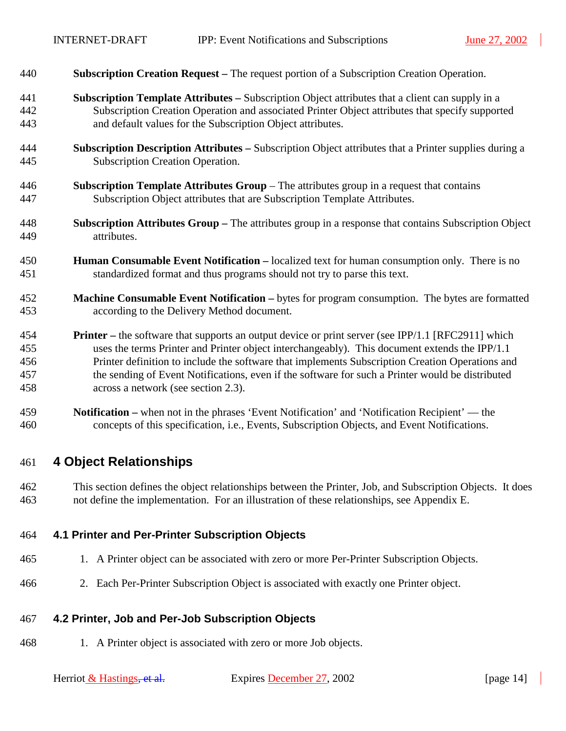<span id="page-13-0"></span>

| 440 |  | <b>Subscription Creation Request</b> – The request portion of a Subscription Creation Operation. |
|-----|--|--------------------------------------------------------------------------------------------------|
|-----|--|--------------------------------------------------------------------------------------------------|

- 441 **Subscription Template Attributes** Subscription Object attributes that a client can supply in a 442 Subscription Creation Operation and associated Printer Object attributes that specify supported 443 and default values for the Subscription Object attributes.
- 444 **Subscription Description Attributes** Subscription Object attributes that a Printer supplies during a 445 Subscription Creation Operation.
- 446 **Subscription Template Attributes Group**  The attributes group in a request that contains 447 Subscription Object attributes that are Subscription Template Attributes.
- 448 **Subscription Attributes Group** The attributes group in a response that contains Subscription Object 449 attributes.
- 450 **Human Consumable Event Notification** localized text for human consumption only. There is no 451 standardized format and thus programs should not try to parse this text.
- 452 **Machine Consumable Event Notification** bytes for program consumption. The bytes are formatted 453 according to the Delivery Method document.
- 454 **Printer** the software that supports an output device or print server (see IPP/1.1 [RFC2911] which 455 uses the terms Printer and Printer object interchangeably). This document extends the IPP/1.1 456 Printer definition to include the software that implements Subscription Creation Operations and 457 the sending of Event Notifications, even if the software for such a Printer would be distributed 458 across a network (see section [2.3\)](#page-10-0).
- 459 **Notification –** when not in the phrases 'Event Notification' and 'Notification Recipient' the 460 concepts of this specification, i.e., Events, Subscription Objects, and Event Notifications.

## 461 **4 Object Relationships**

462 This section defines the object relationships between the Printer, Job, and Subscription Objects. It does 463 not define the implementation. For an illustration of these relationships, see Appendix [E.](#page-81-0)

#### 464 **4.1 Printer and Per-Printer Subscription Objects**

- 465 1. A Printer object can be associated with zero or more Per-Printer Subscription Objects.
- 466 2. Each Per-Printer Subscription Object is associated with exactly one Printer object.

#### 467 **4.2 Printer, Job and Per-Job Subscription Objects**

468 1. A Printer object is associated with zero or more Job objects.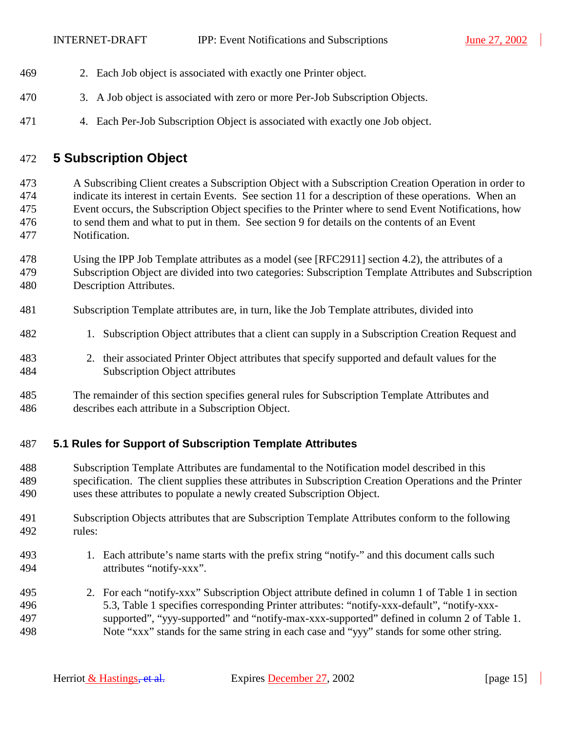- <span id="page-14-0"></span>469 2. Each Job object is associated with exactly one Printer object.
- 470 3. A Job object is associated with zero or more Per-Job Subscription Objects.
- 471 4. Each Per-Job Subscription Object is associated with exactly one Job object.

## 472 **5 Subscription Object**

473 A Subscribing Client creates a Subscription Object with a Subscription Creation Operation in order to 474 indicate its interest in certain Events. See section [11](#page-45-0) for a description of these operations. When an 475 Event occurs, the Subscription Object specifies to the Printer where to send Event Notifications, how 476 to send them and what to put in them. See section [9](#page-35-0) for details on the contents of an Event 477 Notification.

- 478 Using the IPP Job Template attributes as a model (see [RFC2911] section 4.2), the attributes of a 479 Subscription Object are divided into two categories: Subscription Template Attributes and Subscription 480 Description Attributes.
- 481 Subscription Template attributes are, in turn, like the Job Template attributes, divided into
- 482 1. Subscription Object attributes that a client can supply in a Subscription Creation Request and
- 483 2. their associated Printer Object attributes that specify supported and default values for the 484 Subscription Object attributes
- 485 The remainder of this section specifies general rules for Subscription Template Attributes and 486 describes each attribute in a Subscription Object.

#### 487 **5.1 Rules for Support of Subscription Template Attributes**

- 488 Subscription Template Attributes are fundamental to the Notification model described in this 489 specification. The client supplies these attributes in Subscription Creation Operations and the Printer 490 uses these attributes to populate a newly created Subscription Object.
- 491 Subscription Objects attributes that are Subscription Template Attributes conform to the following 492 rules:
- 493 1. Each attribute's name starts with the prefix string "notify-" and this document calls such 494 attributes "notify-xxx".
- 495 2. For each "notify-xxx" Subscription Object attribute defined in column 1 of [Table 1](#page-19-0) in section 496 [5.3,](#page-18-0) [Table 1](#page-19-0) specifies corresponding Printer attributes: "notify-xxx-default", "notify-xxx-497 supported", "yyy-supported" and "notify-max-xxx-supported" defined in column 2 of [Table 1.](#page-19-0)  498 Note "xxx" stands for the same string in each case and "yyy" stands for some other string.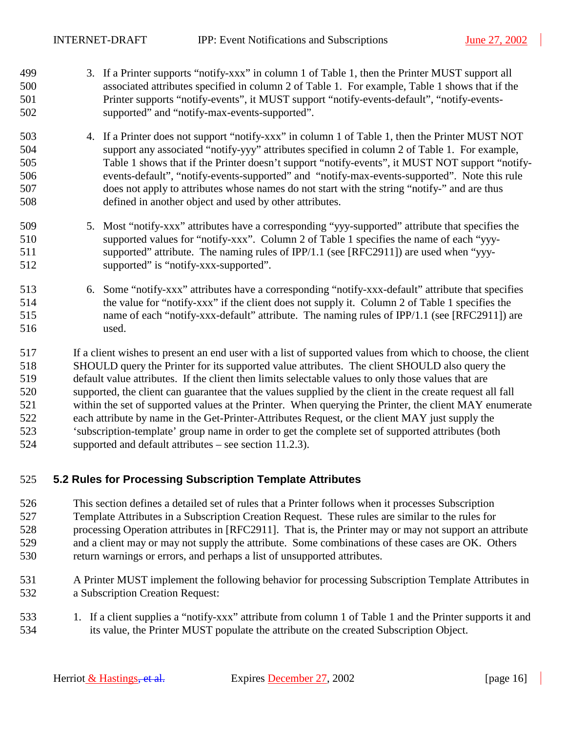- <span id="page-15-0"></span>499 3. If a Printer supports "notify-xxx" in column 1 of [Table 1,](#page-19-0) then the Printer MUST support all 500 associated attributes specified in column 2 of [Table 1.](#page-19-0) For example, [Table 1 s](#page-19-0)hows that if the 501 Printer supports "notify-events", it MUST support "notify-events-default", "notify-events-502 supported" and "notify-max-events-supported".
- 503 4. If a Printer does not support "notify-xxx" in column 1 of [Table 1,](#page-19-0) then the Printer MUST NOT 504 support any associated "notify-yyy" attributes specified in column 2 of [Table 1.](#page-19-0) For example, 505 [Table 1 s](#page-19-0)hows that if the Printer doesn't support "notify-events", it MUST NOT support "notify-506 events-default", "notify-events-supported" and "notify-max-events-supported". Note this rule 507 does not apply to attributes whose names do not start with the string "notify-" and are thus 508 defined in another object and used by other attributes.
- 509 5. Most "notify-xxx" attributes have a corresponding "yyy-supported" attribute that specifies the 510 supported values for "notify-xxx". Column 2 of [Table 1](#page-19-0) specifies the name of each "yyy-511 supported" attribute. The naming rules of IPP/1.1 (see [RFC2911]) are used when "yyy-512 supported" is "notify-xxx-supported".
- 513 6. Some "notify-xxx" attributes have a corresponding "notify-xxx-default" attribute that specifies 514 the value for "notify-xxx" if the client does not supply it. Column 2 of [Table 1](#page-19-0) specifies the 515 name of each "notify-xxx-default" attribute. The naming rules of IPP/1.1 (see [RFC2911]) are 516 used.

517 If a client wishes to present an end user with a list of supported values from which to choose, the client 518 SHOULD query the Printer for its supported value attributes. The client SHOULD also query the 519 default value attributes. If the client then limits selectable values to only those values that are 520 supported, the client can guarantee that the values supplied by the client in the create request all fall 521 within the set of supported values at the Printer. When querying the Printer, the client MAY enumerate 522 each attribute by name in the Get-Printer-Attributes Request, or the client MAY just supply the 523 'subscription-template' group name in order to get the complete set of supported attributes (both 524 supported and default attributes – see section [11.2.3\)](#page-51-0).

#### 525 **5.2 Rules for Processing Subscription Template Attributes**

- 526 This section defines a detailed set of rules that a Printer follows when it processes Subscription 527 Template Attributes in a Subscription Creation Request. These rules are similar to the rules for 528 processing Operation attributes in [RFC2911]. That is, the Printer may or may not support an attribute 529 and a client may or may not supply the attribute. Some combinations of these cases are OK. Others 530 return warnings or errors, and perhaps a list of unsupported attributes.
- 531 A Printer MUST implement the following behavior for processing Subscription Template Attributes in 532 a Subscription Creation Request:
- 533 1. If a client supplies a "notify-xxx" attribute from column 1 of [Table 1](#page-19-0) and the Printer supports it and 534 its value, the Printer MUST populate the attribute on the created Subscription Object.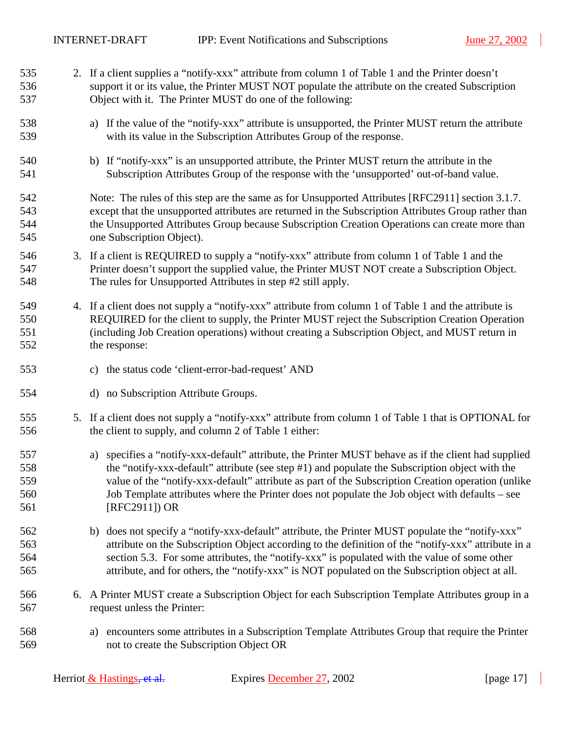<span id="page-16-0"></span>535 2. If a client supplies a "notify-xxx" attribute from column 1 of [Table 1](#page-19-0) and the Printer doesn't

536 support it or its value, the Printer MUST NOT populate the attribute on the created Subscription 537 Object with it. The Printer MUST do one of the following: 538 a) If the value of the "notify-xxx" attribute is unsupported, the Printer MUST return the attribute 539 with its value in the Subscription Attributes Group of the response. 540 b) If "notify-xxx" is an unsupported attribute, the Printer MUST return the attribute in the 541 Subscription Attributes Group of the response with the 'unsupported' out-of-band value. 542 Note: The rules of this step are the same as for Unsupported Attributes [RFC2911] section 3.1.7. 543 except that the unsupported attributes are returned in the Subscription Attributes Group rather than 544 the Unsupported Attributes Group because Subscription Creation Operations can create more than 545 one Subscription Object). 546 3. If a client is REQUIRED to supply a "notify-xxx" attribute from column 1 of [Table 1](#page-19-0) and the 547 Printer doesn't support the supplied value, the Printer MUST NOT create a Subscription Object. 548 The rules for Unsupported Attributes in step #2 still apply. 549 4. If a client does not supply a "notify-xxx" attribute from column 1 of [Table 1](#page-19-0) and the attribute is 550 REQUIRED for the client to supply, the Printer MUST reject the Subscription Creation Operation 551 (including Job Creation operations) without creating a Subscription Object, and MUST return in 552 the response: 553 c) the status code 'client-error-bad-request' AND 554 d) no Subscription Attribute Groups. 555 5. If a client does not supply a "notify-xxx" attribute from column 1 of [Table 1](#page-19-0) that is OPTIONAL for 556 the client to supply, and column 2 of [Table 1](#page-19-0) either: 557 a) specifies a "notify-xxx-default" attribute, the Printer MUST behave as if the client had supplied 558 the "notify-xxx-default" attribute (see step #[1\)](#page-15-0) and populate the Subscription object with the 559 value of the "notify-xxx-default" attribute as part of the Subscription Creation operation (unlike 560 Job Template attributes where the Printer does not populate the Job object with defaults – see 561 [RFC2911]) OR 562 b) does not specify a "notify-xxx-default" attribute, the Printer MUST populate the "notify-xxx" 563 attribute on the Subscription Object according to the definition of the "notify-xxx" attribute in a 564 section [5.3.](#page-18-0) For some attributes, the "notify-xxx" is populated with the value of some other 565 attribute, and for others, the "notify-xxx" is NOT populated on the Subscription object at all. 566 6. A Printer MUST create a Subscription Object for each Subscription Template Attributes group in a 567 request unless the Printer: 568 a) encounters some attributes in a Subscription Template Attributes Group that require the Printer 569 not to create the Subscription Object OR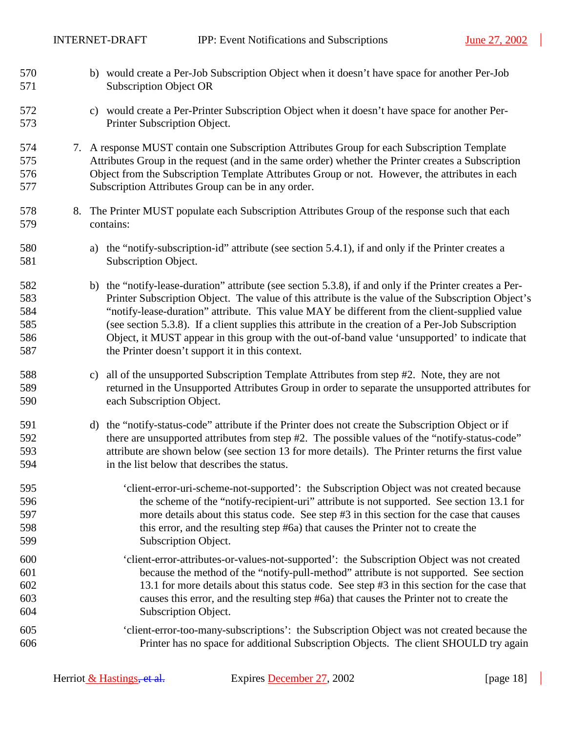$\overline{\phantom{a}}$ 

<span id="page-17-0"></span>

| 570<br>571                             |    | b) would create a Per-Job Subscription Object when it doesn't have space for another Per-Job<br><b>Subscription Object OR</b>                                                                                                                                                                                                                                                                                                                                                                                                                                                |
|----------------------------------------|----|------------------------------------------------------------------------------------------------------------------------------------------------------------------------------------------------------------------------------------------------------------------------------------------------------------------------------------------------------------------------------------------------------------------------------------------------------------------------------------------------------------------------------------------------------------------------------|
| 572<br>573                             |    | would create a Per-Printer Subscription Object when it doesn't have space for another Per-<br>C)<br>Printer Subscription Object.                                                                                                                                                                                                                                                                                                                                                                                                                                             |
| 574<br>575<br>576<br>577               |    | 7. A response MUST contain one Subscription Attributes Group for each Subscription Template<br>Attributes Group in the request (and in the same order) whether the Printer creates a Subscription<br>Object from the Subscription Template Attributes Group or not. However, the attributes in each<br>Subscription Attributes Group can be in any order.                                                                                                                                                                                                                    |
| 578<br>579                             | 8. | The Printer MUST populate each Subscription Attributes Group of the response such that each<br>contains:                                                                                                                                                                                                                                                                                                                                                                                                                                                                     |
| 580<br>581                             |    | the "notify-subscription-id" attribute (see section 5.4.1), if and only if the Printer creates a<br>a)<br>Subscription Object.                                                                                                                                                                                                                                                                                                                                                                                                                                               |
| 582<br>583<br>584<br>585<br>586<br>587 |    | the "notify-lease-duration" attribute (see section 5.3.8), if and only if the Printer creates a Per-<br>b)<br>Printer Subscription Object. The value of this attribute is the value of the Subscription Object's<br>"notify-lease-duration" attribute. This value MAY be different from the client-supplied value<br>(see section 5.3.8). If a client supplies this attribute in the creation of a Per-Job Subscription<br>Object, it MUST appear in this group with the out-of-band value 'unsupported' to indicate that<br>the Printer doesn't support it in this context. |
| 588<br>589<br>590                      |    | all of the unsupported Subscription Template Attributes from step #2. Note, they are not<br>c)<br>returned in the Unsupported Attributes Group in order to separate the unsupported attributes for<br>each Subscription Object.                                                                                                                                                                                                                                                                                                                                              |
| 591<br>592<br>593<br>594               |    | the "notify-status-code" attribute if the Printer does not create the Subscription Object or if<br>d)<br>there are unsupported attributes from step #2. The possible values of the "notify-status-code"<br>attribute are shown below (see section 13 for more details). The Printer returns the first value<br>in the list below that describes the status.                                                                                                                                                                                                                  |
| 595<br>596<br>597<br>598<br>599        |    | 'client-error-uri-scheme-not-supported': the Subscription Object was not created because<br>the scheme of the "notify-recipient-uri" attribute is not supported. See section 13.1 for<br>more details about this status code. See step #3 in this section for the case that causes<br>this error, and the resulting step #6a) that causes the Printer not to create the<br>Subscription Object.                                                                                                                                                                              |
| 600<br>601<br>602<br>603<br>604        |    | 'client-error-attributes-or-values-not-supported': the Subscription Object was not created<br>because the method of the "notify-pull-method" attribute is not supported. See section<br>13.1 for more details about this status code. See step #3 in this section for the case that<br>causes this error, and the resulting step #6a) that causes the Printer not to create the<br>Subscription Object.                                                                                                                                                                      |
| 605<br>606                             |    | 'client-error-too-many-subscriptions': the Subscription Object was not created because the<br>Printer has no space for additional Subscription Objects. The client SHOULD try again                                                                                                                                                                                                                                                                                                                                                                                          |

 $\mathbb{R}$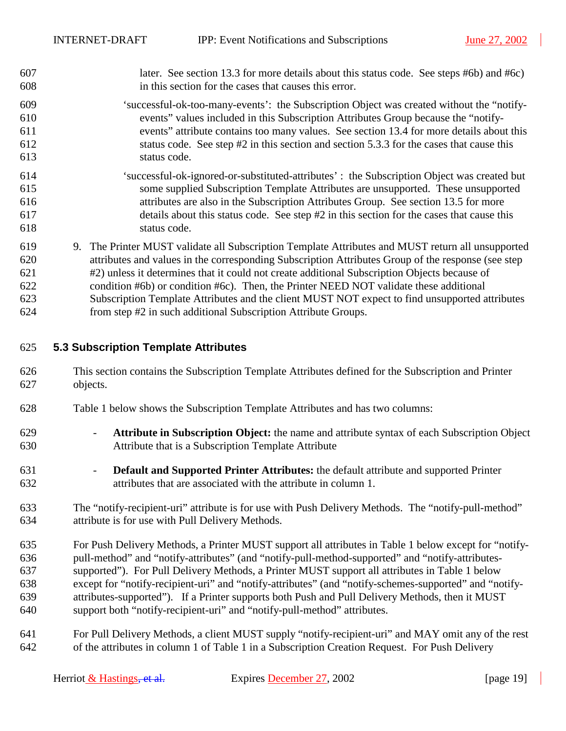<span id="page-18-0"></span>

| 607 | later. See section 13.3 for more details about this status code. See steps #6b) and #6c) |  |
|-----|------------------------------------------------------------------------------------------|--|
| 608 | in this section for the cases that causes this error.                                    |  |

- 609 'successful-ok-too-many-events': the Subscription Object was created without the "notify-610 events" values included in this Subscription Attributes Group because the "notify-611 events" attribute contains too many values. See section [13.4](#page-62-0) for more details about this 612 status code. See step #[2](#page-16-0) in this section and section [5.3.3 f](#page-20-0)or the cases that cause this 613 status code.
- 614 'successful-ok-ignored-or-substituted-attributes' : the Subscription Object was created but 615 some supplied Subscription Template Attributes are unsupported. These unsupported 616 attributes are also in the Subscription Attributes Group. See section [13.5](#page-62-0) for more 617 details about this status code. See step #[2](#page-16-0) in this section for the cases that cause this 618 status code.
- 619 9. The Printer MUST validate all Subscription Template Attributes and MUST return all unsupported 620 attributes and values in the corresponding Subscription Attributes Group of the response (see step 621 [#2\)](#page-16-0) unless it determines that it could not create additional Subscription Objects because of 622 condition [#6](#page-16-0)[b\)](#page-17-0) or condition #[6](#page-16-0)[c\).](#page-17-0) Then, the Printer NEED NOT validate these additional 623 Subscription Template Attributes and the client MUST NOT expect to find unsupported attributes 624 from step #[2](#page-16-0) in such additional Subscription Attribute Groups.

#### 625 **5.3 Subscription Template Attributes**

- 626 This section contains the Subscription Template Attributes defined for the Subscription and Printer 627 objects.
- 628 [Table 1](#page-19-0) below shows the Subscription Template Attributes and has two columns:
- 629 **Attribute in Subscription Object:** the name and attribute syntax of each Subscription Object 630 Attribute that is a Subscription Template Attribute
- 631 **Default and Supported Printer Attributes:** the default attribute and supported Printer 632 attributes that are associated with the attribute in column 1.
- 633 The "notify-recipient-uri" attribute is for use with Push Delivery Methods. The "notify-pull-method" 634 attribute is for use with Pull Delivery Methods.
- 635 For Push Delivery Methods, a Printer MUST support all attributes in [Table 1 b](#page-19-0)elow except for "notify-636 pull-method" and "notify-attributes" (and "notify-pull-method-supported" and "notify-attributes-637 supported"). For Pull Delivery Methods, a Printer MUST support all attributes in [Table 1](#page-19-0) below 638 except for "notify-recipient-uri" and "notify-attributes" (and "notify-schemes-supported" and "notify-639 attributes-supported"). If a Printer supports both Push and Pull Delivery Methods, then it MUST 640 support both "notify-recipient-uri" and "notify-pull-method" attributes.
- 641 For Pull Delivery Methods, a client MUST supply "notify-recipient-uri" and MAY omit any of the rest 642 of the attributes in column 1 of [Table 1](#page-19-0) in a Subscription Creation Request. For Push Delivery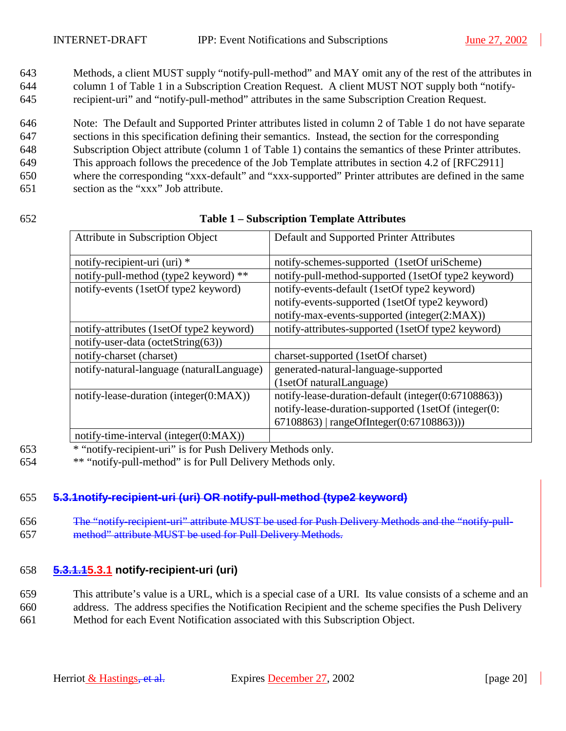<span id="page-19-0"></span>643 Methods, a client MUST supply "notify-pull-method" and MAY omit any of the rest of the attributes in 644 column 1 of Table 1 in a Subscription Creation Request. A client MUST NOT supply both "notify-645 recipient-uri" and "notify-pull-method" attributes in the same Subscription Creation Request.

646 Note: The Default and Supported Printer attributes listed in column 2 of Table 1 do not have separate 647 sections in this specification defining their semantics. Instead, the section for the corresponding 648 Subscription Object attribute (column 1 of Table 1) contains the semantics of these Printer attributes. 649 This approach follows the precedence of the Job Template attributes in section 4.2 of [RFC2911] 650 where the corresponding "xxx-default" and "xxx-supported" Printer attributes are defined in the same 651 section as the "xxx" Job attribute.

#### 652 **Table 1 – Subscription Template Attributes**

| Attribute in Subscription Object          | Default and Supported Printer Attributes            |
|-------------------------------------------|-----------------------------------------------------|
| notify-recipient-uri (uri) *              | notify-schemes-supported (1setOf uriScheme)         |
| notify-pull-method (type2 keyword) **     | notify-pull-method-supported (1setOf type2 keyword) |
| notify-events (1setOf type2 keyword)      | notify-events-default (1setOf type2 keyword)        |
|                                           | notify-events-supported (1setOf type2 keyword)      |
|                                           | notify-max-events-supported (integer(2:MAX))        |
| notify-attributes (1setOf type2 keyword)  | notify-attributes-supported (1setOf type2 keyword)  |
| notify-user-data (octetString(63))        |                                                     |
| notify-charset (charset)                  | charset-supported (1setOf charset)                  |
| notify-natural-language (naturalLanguage) | generated-natural-language-supported                |
|                                           | (1setOf naturalLanguage)                            |
| notify-lease-duration (integer(0:MAX))    | notify-lease-duration-default (integer(0:67108863)) |
|                                           | notify-lease-duration-supported (1setOf (integer(0: |
|                                           | 67108863)   rangeOfInteger(0:67108863)))            |
| notify-time-interval (integer(0:MAX))     |                                                     |

653 \* "notify-recipient-uri" is for Push Delivery Methods only.

654 \*\* "notify-pull-method" is for Pull Delivery Methods only.

#### 655 **5.3.1notify-recipient-uri (uri) OR notify-pull-method (type2 keyword)**

656 The "notify-recipient-uri" attribute MUST be used for Push Delivery Methods and the "notify-pull-657 method" attribute MUST be used for Pull Delivery Methods.

#### 658 **5.3.1.15.3.1 notify-recipient-uri (uri)**

659 This attribute's value is a URL, which is a special case of a URI. Its value consists of a scheme and an

660 address. The address specifies the Notification Recipient and the scheme specifies the Push Delivery 661 Method for each Event Notification associated with this Subscription Object.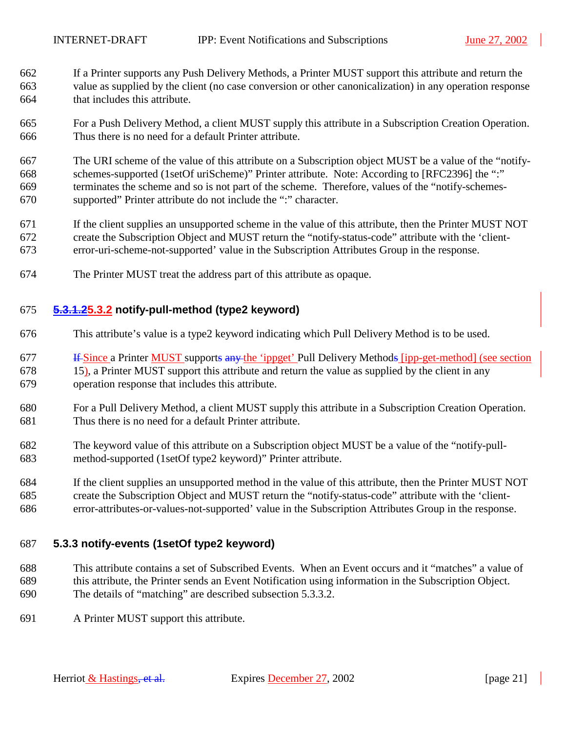- <span id="page-20-0"></span>662 If a Printer supports any Push Delivery Methods, a Printer MUST support this attribute and return the 663 value as supplied by the client (no case conversion or other canonicalization) in any operation response 664 that includes this attribute.
- 665 For a Push Delivery Method, a client MUST supply this attribute in a Subscription Creation Operation. 666 Thus there is no need for a default Printer attribute.
- 667 The URI scheme of the value of this attribute on a Subscription object MUST be a value of the "notify-668 schemes-supported (1setOf uriScheme)" Printer attribute. Note: According to [RFC2396] the ":" 669 terminates the scheme and so is not part of the scheme. Therefore, values of the "notify-schemes-670 supported" Printer attribute do not include the ":" character.
- 671 If the client supplies an unsupported scheme in the value of this attribute, then the Printer MUST NOT 672 create the Subscription Object and MUST return the "notify-status-code" attribute with the 'client-673 error-uri-scheme-not-supported' value in the Subscription Attributes Group in the response.
- 674 The Printer MUST treat the address part of this attribute as opaque.

#### 675 **5.3.1.25.3.2 notify-pull-method (type2 keyword)**

- 676 This attribute's value is a type2 keyword indicating which Pull Delivery Method is to be used.
- 677 **If Since a Printer MUST** supports any the 'ippget' Pull Delivery Methods [ipp-get-method] (see section 678 [15\)](#page-63-0), a Printer MUST support this attribute and return the value as supplied by the client in any 679 operation response that includes this attribute.
- 680 For a Pull Delivery Method, a client MUST supply this attribute in a Subscription Creation Operation. 681 Thus there is no need for a default Printer attribute.
- 682 The keyword value of this attribute on a Subscription object MUST be a value of the "notify-pull-683 method-supported (1setOf type2 keyword)" Printer attribute.
- 684 If the client supplies an unsupported method in the value of this attribute, then the Printer MUST NOT 685 create the Subscription Object and MUST return the "notify-status-code" attribute with the 'client-686 error-attributes-or-values-not-supported' value in the Subscription Attributes Group in the response.

#### 687 **5.3.3 notify-events (1setOf type2 keyword)**

- 688 This attribute contains a set of Subscribed Events. When an Event occurs and it "matches" a value of 689 this attribute, the Printer sends an Event Notification using information in the Subscription Object. 690 The details of "matching" are described subsection [5.3.3.2.](#page-24-0)
- 691 A Printer MUST support this attribute.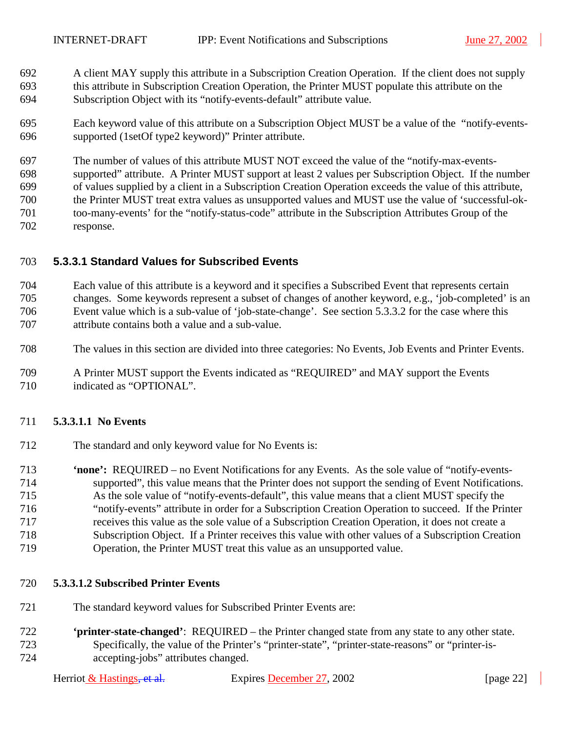- <span id="page-21-0"></span>692 A client MAY supply this attribute in a Subscription Creation Operation. If the client does not supply 693 this attribute in Subscription Creation Operation, the Printer MUST populate this attribute on the 694 Subscription Object with its "notify-events-default" attribute value.
- 695 Each keyword value of this attribute on a Subscription Object MUST be a value of the "notify-events-696 supported (1setOf type2 keyword)" Printer attribute.

697 The number of values of this attribute MUST NOT exceed the value of the "notify-max-events-698 supported" attribute. A Printer MUST support at least 2 values per Subscription Object. If the number 699 of values supplied by a client in a Subscription Creation Operation exceeds the value of this attribute, 700 the Printer MUST treat extra values as unsupported values and MUST use the value of 'successful-ok-701 too-many-events' for the "notify-status-code" attribute in the Subscription Attributes Group of the 702 response.

## 703 **5.3.3.1 Standard Values for Subscribed Events**

704 Each value of this attribute is a keyword and it specifies a Subscribed Event that represents certain 705 changes. Some keywords represent a subset of changes of another keyword, e.g., 'job-completed' is an 706 Event value which is a sub-value of 'job-state-change'. See section [5.3.3.2](#page-24-0) for the case where this 707 attribute contains both a value and a sub-value.

- 708 The values in this section are divided into three categories: No Events, Job Events and Printer Events.
- 709 A Printer MUST support the Events indicated as "REQUIRED" and MAY support the Events 710 indicated as "OPTIONAL".

## 711 **5.3.3.1.1 No Events**

- 712 The standard and only keyword value for No Events is:
- 713 **'none':** REQUIRED no Event Notifications for any Events. As the sole value of "notify-events-714 supported", this value means that the Printer does not support the sending of Event Notifications. 715 As the sole value of "notify-events-default", this value means that a client MUST specify the 716 "notify-events" attribute in order for a Subscription Creation Operation to succeed. If the Printer 717 receives this value as the sole value of a Subscription Creation Operation, it does not create a 718 Subscription Object. If a Printer receives this value with other values of a Subscription Creation 719 Operation, the Printer MUST treat this value as an unsupported value.

#### 720 **5.3.3.1.2 Subscribed Printer Events**

- 721 The standard keyword values for Subscribed Printer Events are:
- 722 **'printer-state-changed'**: REQUIRED the Printer changed state from any state to any other state. 723 Specifically, the value of the Printer's "printer-state", "printer-state-reasons" or "printer-is-724 accepting-jobs" attributes changed.

Herriot & Hastings<del>, et al.</del> Expires December 27, 2002 [page 22]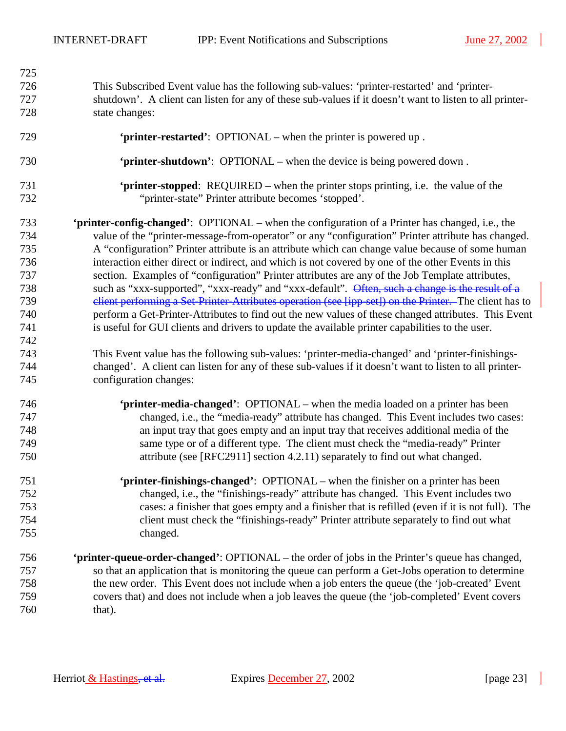$\overline{\phantom{a}}$ 

| 725 |                                                                                                         |
|-----|---------------------------------------------------------------------------------------------------------|
| 726 | This Subscribed Event value has the following sub-values: 'printer-restarted' and 'printer-             |
| 727 | shutdown'. A client can listen for any of these sub-values if it doesn't want to listen to all printer- |
| 728 | state changes:                                                                                          |
| 729 | 'printer-restarted': OPTIONAL – when the printer is powered up.                                         |
| 730 | 'printer-shutdown': OPTIONAL – when the device is being powered down.                                   |
| 731 | <b>'printer-stopped:</b> REQUIRED – when the printer stops printing, i.e. the value of the              |
| 732 | "printer-state" Printer attribute becomes 'stopped'.                                                    |
| 733 | <b>'printer-config-changed':</b> OPTIONAL – when the configuration of a Printer has changed, i.e., the  |
| 734 | value of the "printer-message-from-operator" or any "configuration" Printer attribute has changed.      |
| 735 | A "configuration" Printer attribute is an attribute which can change value because of some human        |
| 736 | interaction either direct or indirect, and which is not covered by one of the other Events in this      |
| 737 | section. Examples of "configuration" Printer attributes are any of the Job Template attributes,         |
| 738 | such as "xxx-supported", "xxx-ready" and "xxx-default". Often, such a change is the result of a         |
| 739 | elient performing a Set Printer-Attributes operation (see [ipp-set]) on the Printer. The client has to  |
| 740 | perform a Get-Printer-Attributes to find out the new values of these changed attributes. This Event     |
| 741 | is useful for GUI clients and drivers to update the available printer capabilities to the user.         |
| 742 |                                                                                                         |
| 743 | This Event value has the following sub-values: 'printer-media-changed' and 'printer-finishings-         |
| 744 | changed'. A client can listen for any of these sub-values if it doesn't want to listen to all printer-  |
| 745 | configuration changes:                                                                                  |
| 746 | 'printer-media-changed': OPTIONAL – when the media loaded on a printer has been                         |
| 747 | changed, i.e., the "media-ready" attribute has changed. This Event includes two cases:                  |
| 748 | an input tray that goes empty and an input tray that receives additional media of the                   |
| 749 | same type or of a different type. The client must check the "media-ready" Printer                       |
| 750 | attribute (see [RFC2911] section 4.2.11) separately to find out what changed.                           |
| 751 | 'printer-finishings-changed': OPTIONAL – when the finisher on a printer has been                        |
| 752 | changed, i.e., the "finishings-ready" attribute has changed. This Event includes two                    |
| 753 | cases: a finisher that goes empty and a finisher that is refilled (even if it is not full). The         |
| 754 | client must check the "finishings-ready" Printer attribute separately to find out what                  |
| 755 | changed.                                                                                                |
| 756 | <b>'printer-queue-order-changed':</b> OPTIONAL – the order of jobs in the Printer's queue has changed,  |
| 757 | so that an application that is monitoring the queue can perform a Get-Jobs operation to determine       |
| 758 | the new order. This Event does not include when a job enters the queue (the 'job-created' Event         |
| 759 | covers that) and does not include when a job leaves the queue (the 'job-completed' Event covers         |
| 760 | that).                                                                                                  |

 $\overline{\phantom{a}}$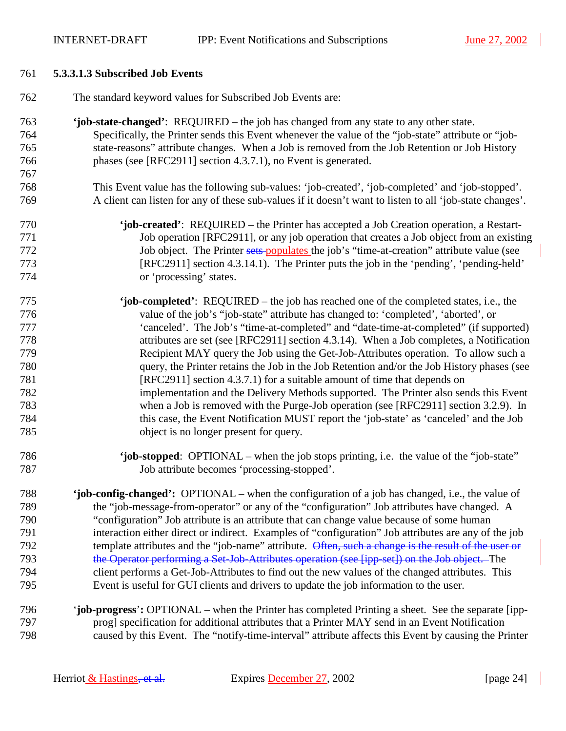#### <span id="page-23-0"></span>761 **5.3.3.1.3 Subscribed Job Events**

- 762 The standard keyword values for Subscribed Job Events are:
- 763 **'job-state-changed'**: REQUIRED the job has changed from any state to any other state. 764 Specifically, the Printer sends this Event whenever the value of the "job-state" attribute or "job-765 state-reasons" attribute changes. When a Job is removed from the Job Retention or Job History 766 phases (see [RFC2911] section 4.3.7.1), no Event is generated. 767
- 768 This Event value has the following sub-values: 'job-created', 'job-completed' and 'job-stopped'. 769 A client can listen for any of these sub-values if it doesn't want to listen to all 'job-state changes'.
- 

770 **'job-created'**: REQUIRED – the Printer has accepted a Job Creation operation, a Restart-771 Job operation [RFC2911], or any job operation that creates a Job object from an existing 772 Job object. The Printer sets populates the job's "time-at-creation" attribute value (see 773 [RFC2911] section 4.3.14.1). The Printer puts the job in the 'pending', 'pending-held' 774 or 'processing' states.

- 775 **'job-completed'**: REQUIRED the job has reached one of the completed states, i.e., the 776 value of the job's "job-state" attribute has changed to: 'completed', 'aborted', or 777 'canceled'. The Job's "time-at-completed" and "date-time-at-completed" (if supported) 778 attributes are set (see [RFC2911] section 4.3.14). When a Job completes, a Notification 779 Recipient MAY query the Job using the Get-Job-Attributes operation. To allow such a 780 query, the Printer retains the Job in the Job Retention and/or the Job History phases (see 781 [RFC2911] section 4.3.7.1) for a suitable amount of time that depends on 782 implementation and the Delivery Methods supported. The Printer also sends this Event 783 when a Job is removed with the Purge-Job operation (see [RFC2911] section 3.2.9). In 784 this case, the Event Notification MUST report the 'job-state' as 'canceled' and the Job 785 object is no longer present for query.
- 786 **'job-stopped**: OPTIONAL when the job stops printing, i.e. the value of the "job-state" 787 Job attribute becomes 'processing-stopped'.

788 **'job-config-changed':** OPTIONAL – when the configuration of a job has changed, i.e., the value of 789 the "job-message-from-operator" or any of the "configuration" Job attributes have changed. A 790 "configuration" Job attribute is an attribute that can change value because of some human 791 interaction either direct or indirect. Examples of "configuration" Job attributes are any of the job 792 template attributes and the "job-name" attribute. Often, such a change is the result of the user or 793 the Operator performing a Set-Job-Attributes operation (see [ipp-set]) on the Job object. The 794 client performs a Get-Job-Attributes to find out the new values of the changed attributes. This 795 Event is useful for GUI clients and drivers to update the job information to the user.

796 '**job-progress**'**:** OPTIONAL – when the Printer has completed Printing a sheet. See the separate [ipp-797 prog] specification for additional attributes that a Printer MAY send in an Event Notification 798 caused by this Event. The "notify-time-interval" attribute affects this Event by causing the Printer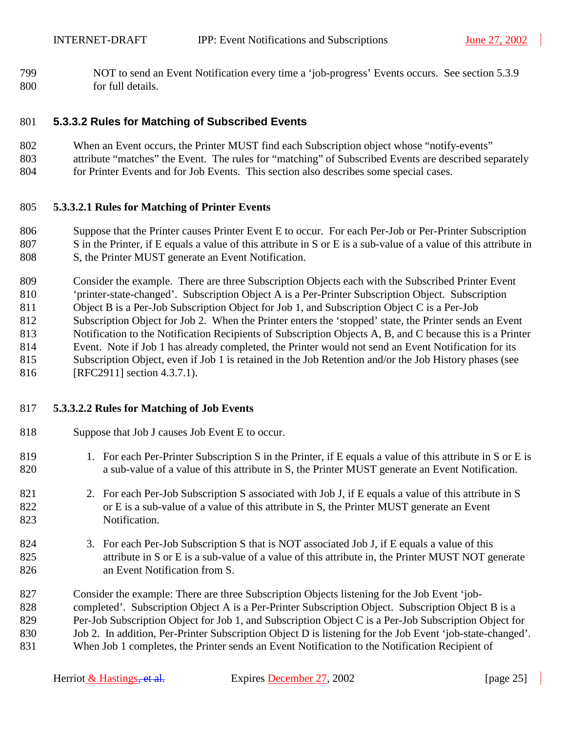<span id="page-24-0"></span>799 NOT to send an Event Notification every time a 'job-progress' Events occurs. See section [5.3.9](#page-29-0)  800 for full details.

#### 801 **5.3.3.2 Rules for Matching of Subscribed Events**

- 802 When an Event occurs, the Printer MUST find each Subscription object whose "notify-events"
- 803 attribute "matches" the Event. The rules for "matching" of Subscribed Events are described separately 804 for Printer Events and for Job Events. This section also describes some special cases.

#### 805 **5.3.3.2.1 Rules for Matching of Printer Events**

806 Suppose that the Printer causes Printer Event E to occur. For each Per-Job or Per-Printer Subscription 807 S in the Printer, if E equals a value of this attribute in S or E is a sub-value of a value of this attribute in 808 S, the Printer MUST generate an Event Notification.

809 Consider the example. There are three Subscription Objects each with the Subscribed Printer Event 810 'printer-state-changed'. Subscription Object A is a Per-Printer Subscription Object. Subscription 811 Object B is a Per-Job Subscription Object for Job 1, and Subscription Object C is a Per-Job 812 Subscription Object for Job 2. When the Printer enters the 'stopped' state, the Printer sends an Event 813 Notification to the Notification Recipients of Subscription Objects A, B, and C because this is a Printer 814 Event. Note if Job 1 has already completed, the Printer would not send an Event Notification for its 815 Subscription Object, even if Job 1 is retained in the Job Retention and/or the Job History phases (see

816 [RFC2911] section 4.3.7.1).

#### 817 **5.3.3.2.2 Rules for Matching of Job Events**

- 818 Suppose that Job J causes Job Event E to occur.
- 819 1. For each Per-Printer Subscription S in the Printer, if E equals a value of this attribute in S or E is 820 a sub-value of a value of this attribute in S, the Printer MUST generate an Event Notification.
- 821 2. For each Per-Job Subscription S associated with Job J, if E equals a value of this attribute in S 822 or E is a sub-value of a value of this attribute in S, the Printer MUST generate an Event 823 Notification.
- 824 3. For each Per-Job Subscription S that is NOT associated Job J, if E equals a value of this 825 attribute in S or E is a sub-value of a value of this attribute in, the Printer MUST NOT generate 826 an Event Notification from S.
- 827 Consider the example: There are three Subscription Objects listening for the Job Event 'job-828 completed'. Subscription Object A is a Per-Printer Subscription Object. Subscription Object B is a 829 Per-Job Subscription Object for Job 1, and Subscription Object C is a Per-Job Subscription Object for 830 Job 2. In addition, Per-Printer Subscription Object D is listening for the Job Event 'job-state-changed'. 831 When Job 1 completes, the Printer sends an Event Notification to the Notification Recipient of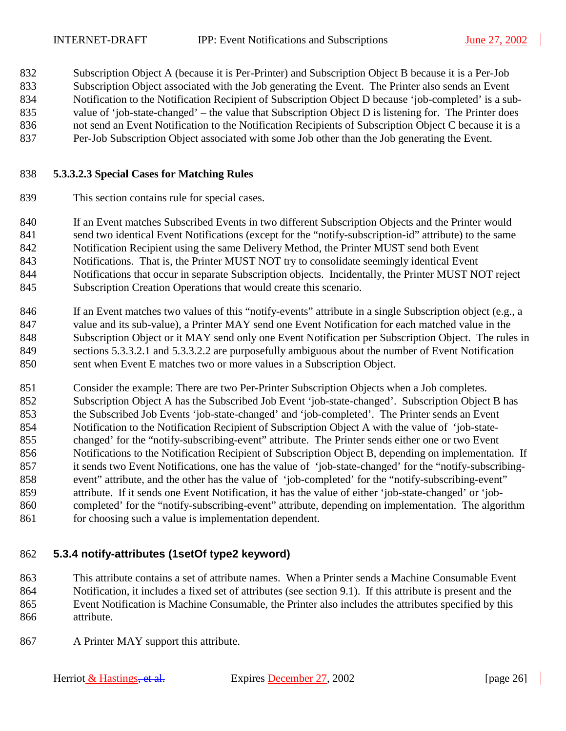<span id="page-25-0"></span>832 Subscription Object A (because it is Per-Printer) and Subscription Object B because it is a Per-Job 833 Subscription Object associated with the Job generating the Event. The Printer also sends an Event 834 Notification to the Notification Recipient of Subscription Object D because 'job-completed' is a sub-835 value of 'job-state-changed' – the value that Subscription Object D is listening for. The Printer does 836 not send an Event Notification to the Notification Recipients of Subscription Object C because it is a 837 Per-Job Subscription Object associated with some Job other than the Job generating the Event.

#### 838 **5.3.3.2.3 Special Cases for Matching Rules**

839 This section contains rule for special cases.

840 If an Event matches Subscribed Events in two different Subscription Objects and the Printer would 841 send two identical Event Notifications (except for the "notify-subscription-id" attribute) to the same 842 Notification Recipient using the same Delivery Method, the Printer MUST send both Event 843 Notifications. That is, the Printer MUST NOT try to consolidate seemingly identical Event 844 Notifications that occur in separate Subscription objects. Incidentally, the Printer MUST NOT reject 845 Subscription Creation Operations that would create this scenario.

846 If an Event matches two values of this "notify-events" attribute in a single Subscription object (e.g., a 847 value and its sub-value), a Printer MAY send one Event Notification for each matched value in the 848 Subscription Object or it MAY send only one Event Notification per Subscription Object. The rules in 849 sections [5.3.3.2.1 a](#page-24-0)nd [5.3.3.2.2](#page-24-0) are purposefully ambiguous about the number of Event Notification 850 sent when Event E matches two or more values in a Subscription Object.

851 Consider the example: There are two Per-Printer Subscription Objects when a Job completes. 852 Subscription Object A has the Subscribed Job Event 'job-state-changed'. Subscription Object B has 853 the Subscribed Job Events 'job-state-changed' and 'job-completed'. The Printer sends an Event 854 Notification to the Notification Recipient of Subscription Object A with the value of 'job-state-855 changed' for the "notify-subscribing-event" attribute. The Printer sends either one or two Event 856 Notifications to the Notification Recipient of Subscription Object B, depending on implementation. If 857 it sends two Event Notifications, one has the value of 'job-state-changed' for the "notify-subscribing-858 event" attribute, and the other has the value of 'job-completed' for the "notify-subscribing-event" 859 attribute. If it sends one Event Notification, it has the value of either 'job-state-changed' or 'job-860 completed' for the "notify-subscribing-event" attribute, depending on implementation. The algorithm 861 for choosing such a value is implementation dependent.

## 862 **5.3.4 notify-attributes (1setOf type2 keyword)**

863 This attribute contains a set of attribute names. When a Printer sends a Machine Consumable Event 864 Notification, it includes a fixed set of attributes (see section [9.1\)](#page-38-0). If this attribute is present and the 865 Event Notification is Machine Consumable, the Printer also includes the attributes specified by this 866 attribute.

867 A Printer MAY support this attribute.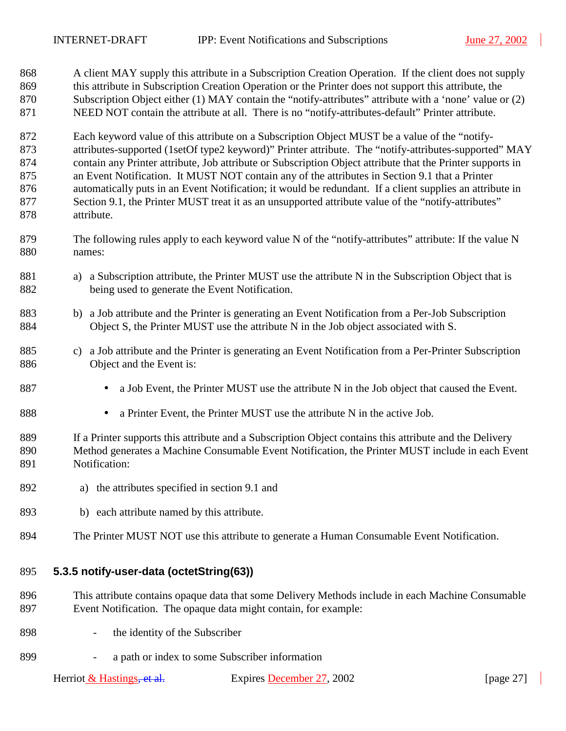<span id="page-26-0"></span>868 A client MAY supply this attribute in a Subscription Creation Operation. If the client does not supply 869 this attribute in Subscription Creation Operation or the Printer does not support this attribute, the 870 Subscription Object either (1) MAY contain the "notify-attributes" attribute with a 'none' value or (2) 871 NEED NOT contain the attribute at all. There is no "notify-attributes-default" Printer attribute.

872 Each keyword value of this attribute on a Subscription Object MUST be a value of the "notify-873 attributes-supported (1setOf type2 keyword)" Printer attribute. The "notify-attributes-supported" MAY 874 contain any Printer attribute, Job attribute or Subscription Object attribute that the Printer supports in 875 an Event Notification. It MUST NOT contain any of the attributes in Section [9.1](#page-38-0) that a Printer 876 automatically puts in an Event Notification; it would be redundant. If a client supplies an attribute in 877 Section [9.1,](#page-38-0) the Printer MUST treat it as an unsupported attribute value of the "notify-attributes" 878 attribute.

- 879 The following rules apply to each keyword value N of the "notify-attributes" attribute: If the value N 880 names:
- 881 a) a Subscription attribute, the Printer MUST use the attribute N in the Subscription Object that is 882 being used to generate the Event Notification.
- 883 b) a Job attribute and the Printer is generating an Event Notification from a Per-Job Subscription 884 Object S, the Printer MUST use the attribute N in the Job object associated with S.
- 885 c) a Job attribute and the Printer is generating an Event Notification from a Per-Printer Subscription 886 Object and the Event is:
- 887 a Job Event, the Printer MUST use the attribute N in the Job object that caused the Event.
- 888 a Printer Event, the Printer MUST use the attribute N in the active Job.
- 889 If a Printer supports this attribute and a Subscription Object contains this attribute and the Delivery 890 Method generates a Machine Consumable Event Notification, the Printer MUST include in each Event 891 Notification:
- 892 a) the attributes specified in section [9.1](#page-38-0) and
- 893 b) each attribute named by this attribute.
- 894 The Printer MUST NOT use this attribute to generate a Human Consumable Event Notification.

#### 895 **5.3.5 notify-user-data (octetString(63))**

- 896 This attribute contains opaque data that some Delivery Methods include in each Machine Consumable 897 Event Notification. The opaque data might contain, for example:
- 898 the identity of the Subscriber
- 899 a path or index to some Subscriber information

Herriot & Hastings<del>, et al.</del> Expires December 27, 2002 [page 27]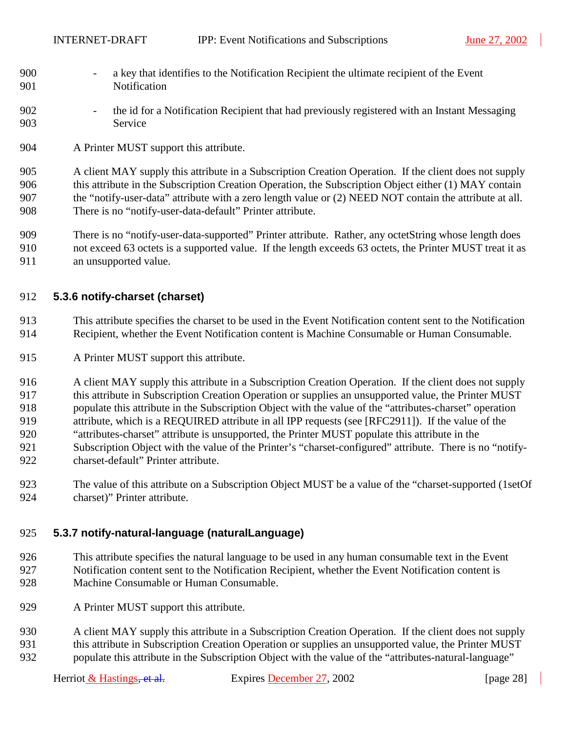- <span id="page-27-0"></span>900 - a key that identifies to the Notification Recipient the ultimate recipient of the Event 901 Notification
- 902 the id for a Notification Recipient that had previously registered with an Instant Messaging 903 Service
- 904 A Printer MUST support this attribute.

905 A client MAY supply this attribute in a Subscription Creation Operation. If the client does not supply 906 this attribute in the Subscription Creation Operation, the Subscription Object either (1) MAY contain 907 the "notify-user-data" attribute with a zero length value or (2) NEED NOT contain the attribute at all. 908 There is no "notify-user-data-default" Printer attribute.

909 There is no "notify-user-data-supported" Printer attribute. Rather, any octetString whose length does 910 not exceed 63 octets is a supported value. If the length exceeds 63 octets, the Printer MUST treat it as 911 an unsupported value.

#### 912 **5.3.6 notify-charset (charset)**

913 This attribute specifies the charset to be used in the Event Notification content sent to the Notification 914 Recipient, whether the Event Notification content is Machine Consumable or Human Consumable.

915 A Printer MUST support this attribute.

916 A client MAY supply this attribute in a Subscription Creation Operation. If the client does not supply 917 this attribute in Subscription Creation Operation or supplies an unsupported value, the Printer MUST 918 populate this attribute in the Subscription Object with the value of the "attributes-charset" operation 919 attribute, which is a REQUIRED attribute in all IPP requests (see [RFC2911]). If the value of the 920 "attributes-charset" attribute is unsupported, the Printer MUST populate this attribute in the 921 Subscription Object with the value of the Printer's "charset-configured" attribute. There is no "notify-922 charset-default" Printer attribute.

923 The value of this attribute on a Subscription Object MUST be a value of the "charset-supported (1setOf 924 charset)" Printer attribute.

#### 925 **5.3.7 notify-natural-language (naturalLanguage)**

- 926 This attribute specifies the natural language to be used in any human consumable text in the Event 927 Notification content sent to the Notification Recipient, whether the Event Notification content is 928 Machine Consumable or Human Consumable.
- 929 A Printer MUST support this attribute.
- 930 A client MAY supply this attribute in a Subscription Creation Operation. If the client does not supply 931 this attribute in Subscription Creation Operation or supplies an unsupported value, the Printer MUST 932 populate this attribute in the Subscription Object with the value of the "attributes-natural-language"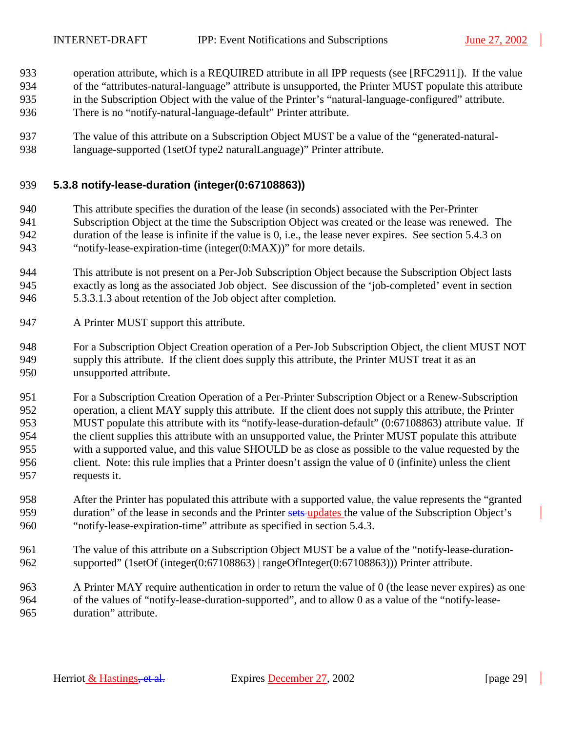- <span id="page-28-0"></span>933 operation attribute, which is a REQUIRED attribute in all IPP requests (see [RFC2911]). If the value
- 934 of the "attributes-natural-language" attribute is unsupported, the Printer MUST populate this attribute
- 935 in the Subscription Object with the value of the Printer's "natural-language-configured" attribute.
- 936 There is no "notify-natural-language-default" Printer attribute.
- 937 The value of this attribute on a Subscription Object MUST be a value of the "generated-natural-938 language-supported (1setOf type2 naturalLanguage)" Printer attribute.

#### 939 **5.3.8 notify-lease-duration (integer(0:67108863))**

- 940 This attribute specifies the duration of the lease (in seconds) associated with the Per-Printer 941 Subscription Object at the time the Subscription Object was created or the lease was renewed. The 942 duration of the lease is infinite if the value is 0, i.e., the lease never expires. See section [5.4.3](#page-31-0) on 943 "[notify-lease-expiration-time \(integer\(0:MAX\)\)"](#page-31-0) for more details.
- 944 This attribute is not present on a Per-Job Subscription Object because the Subscription Object lasts 945 exactly as long as the associated Job object. See discussion of the 'job-completed' event in section 946 [5.3.3.1.3](#page-23-0) about retention of the Job object after completion.
- 947 A Printer MUST support this attribute.
- 948 For a Subscription Object Creation operation of a Per-Job Subscription Object, the client MUST NOT 949 supply this attribute. If the client does supply this attribute, the Printer MUST treat it as an 950 unsupported attribute.
- 951 For a Subscription Creation Operation of a Per-Printer Subscription Object or a Renew-Subscription 952 operation, a client MAY supply this attribute. If the client does not supply this attribute, the Printer 953 MUST populate this attribute with its "notify-lease-duration-default" (0:67108863) attribute value. If 954 the client supplies this attribute with an unsupported value, the Printer MUST populate this attribute 955 with a supported value, and this value SHOULD be as close as possible to the value requested by the 956 client. Note: this rule implies that a Printer doesn't assign the value of 0 (infinite) unless the client 957 requests it.
- 958 After the Printer has populated this attribute with a supported value, the value represents the "granted 959 duration" of the lease in seconds and the Printer sets-updates the value of the Subscription Object's 960 "notify-lease-expiration-time" attribute as specified in section [5.4.3.](#page-31-0)
- 961 The value of this attribute on a Subscription Object MUST be a value of the "notify-lease-duration-962 supported" (1setOf (integer(0:67108863) | rangeOfInteger(0:67108863))) Printer attribute.
- 963 A Printer MAY require authentication in order to return the value of 0 (the lease never expires) as one 964 of the values of "notify-lease-duration-supported", and to allow 0 as a value of the "notify-lease-965 duration" attribute.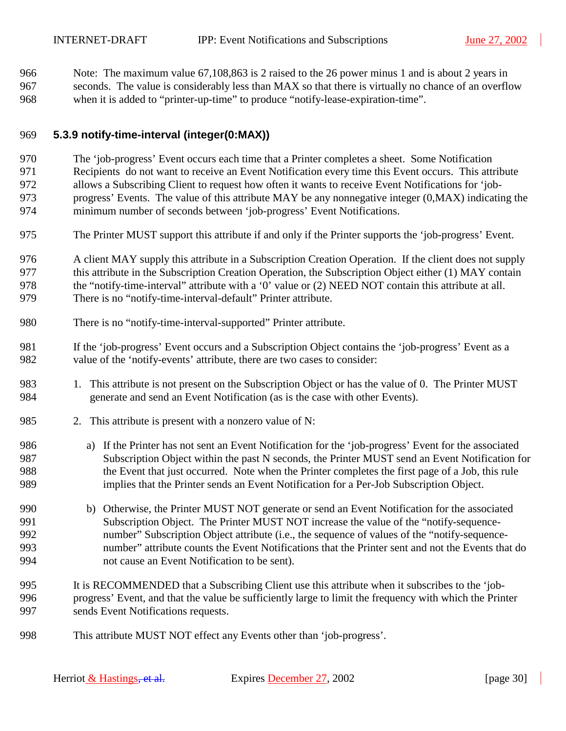<span id="page-29-0"></span>966 Note: The maximum value 67,108,863 is 2 raised to the 26 power minus 1 and is about 2 years in 967 seconds. The value is considerably less than MAX so that there is virtually no chance of an overflow 968 when it is added to "printer-up-time" to produce "notify-lease-expiration-time".

#### 969 **5.3.9 notify-time-interval (integer(0:MAX))**

- 970 The 'job-progress' Event occurs each time that a Printer completes a sheet. Some Notification 971 Recipients do not want to receive an Event Notification every time this Event occurs. This attribute 972 allows a Subscribing Client to request how often it wants to receive Event Notifications for 'job-973 progress' Events. The value of this attribute MAY be any nonnegative integer (0,MAX) indicating the 974 minimum number of seconds between 'job-progress' Event Notifications.
- 975 The Printer MUST support this attribute if and only if the Printer supports the 'job-progress' Event.
- 976 A client MAY supply this attribute in a Subscription Creation Operation. If the client does not supply 977 this attribute in the Subscription Creation Operation, the Subscription Object either (1) MAY contain 978 the "notify-time-interval" attribute with a '0' value or (2) NEED NOT contain this attribute at all. 979 There is no "notify-time-interval-default" Printer attribute.
- 980 There is no "notify-time-interval-supported" Printer attribute.
- 981 If the 'job-progress' Event occurs and a Subscription Object contains the 'job-progress' Event as a 982 value of the 'notify-events' attribute, there are two cases to consider:
- 983 1. This attribute is not present on the Subscription Object or has the value of 0. The Printer MUST 984 generate and send an Event Notification (as is the case with other Events).
- 985 2. This attribute is present with a nonzero value of N:
- 986 a) If the Printer has not sent an Event Notification for the 'job-progress' Event for the associated 987 Subscription Object within the past N seconds, the Printer MUST send an Event Notification for 988 the Event that just occurred. Note when the Printer completes the first page of a Job, this rule 989 implies that the Printer sends an Event Notification for a Per-Job Subscription Object.
- 990 b) Otherwise, the Printer MUST NOT generate or send an Event Notification for the associated 991 Subscription Object. The Printer MUST NOT increase the value of the "notify-sequence-992 number" Subscription Object attribute (i.e., the sequence of values of the "notify-sequence-993 number" attribute counts the Event Notifications that the Printer sent and not the Events that do 994 not cause an Event Notification to be sent).
- 995 It is RECOMMENDED that a Subscribing Client use this attribute when it subscribes to the 'job-996 progress' Event, and that the value be sufficiently large to limit the frequency with which the Printer 997 sends Event Notifications requests.
- 998 This attribute MUST NOT effect any Events other than 'job-progress'.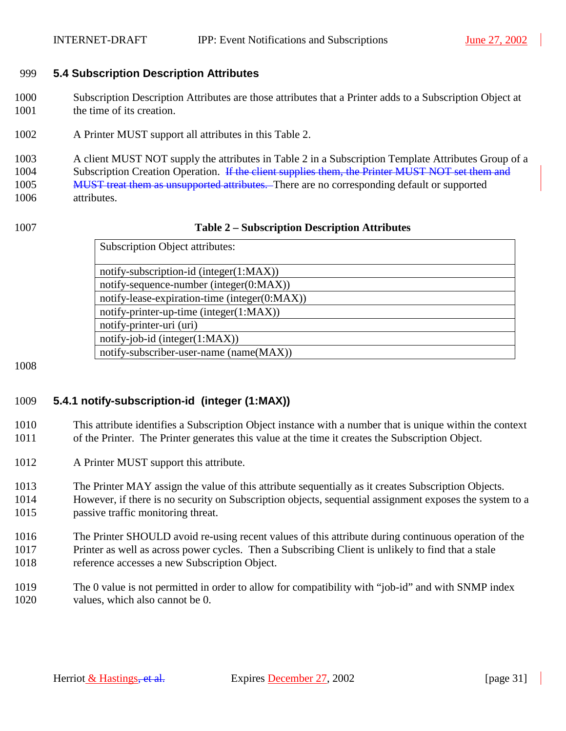#### <span id="page-30-0"></span>999 **5.4 Subscription Description Attributes**

- 1000 Subscription Description Attributes are those attributes that a Printer adds to a Subscription Object at 1001 the time of its creation.
- 1002 A Printer MUST support all attributes in this Table 2.

1003 A client MUST NOT supply the attributes in Table 2 in a Subscription Template Attributes Group of a 1004 Subscription Creation Operation. If the client supplies them, the Printer MUST NOT set them and 1005 MUST treat them as unsupported attributes. There are no corresponding default or supported 1006 attributes.

#### 1007 **Table 2 – Subscription Description Attributes**

| <b>Subscription Object attributes:</b>        |
|-----------------------------------------------|
| notify-subscription-id (integer(1:MAX))       |
| notify-sequence-number (integer(0:MAX))       |
| notify-lease-expiration-time (integer(0:MAX)) |
| notify-printer-up-time (integer(1:MAX))       |
| notify-printer-uri (uri)                      |
| notify-job-id (integer(1:MAX))                |
| notify-subscriber-user-name (name(MAX))       |

1008

## 1009 **5.4.1 notify-subscription-id (integer (1:MAX))**

1010 This attribute identifies a Subscription Object instance with a number that is unique within the context 1011 of the Printer. The Printer generates this value at the time it creates the Subscription Object.

- 1012 A Printer MUST support this attribute.
- 1013 The Printer MAY assign the value of this attribute sequentially as it creates Subscription Objects.
- 1014 However, if there is no security on Subscription objects, sequential assignment exposes the system to a 1015 passive traffic monitoring threat.
- 1016 The Printer SHOULD avoid re-using recent values of this attribute during continuous operation of the 1017 Printer as well as across power cycles. Then a Subscribing Client is unlikely to find that a stale 1018 reference accesses a new Subscription Object.
- 1019 The 0 value is not permitted in order to allow for compatibility with "job-id" and with SNMP index 1020 values, which also cannot be 0.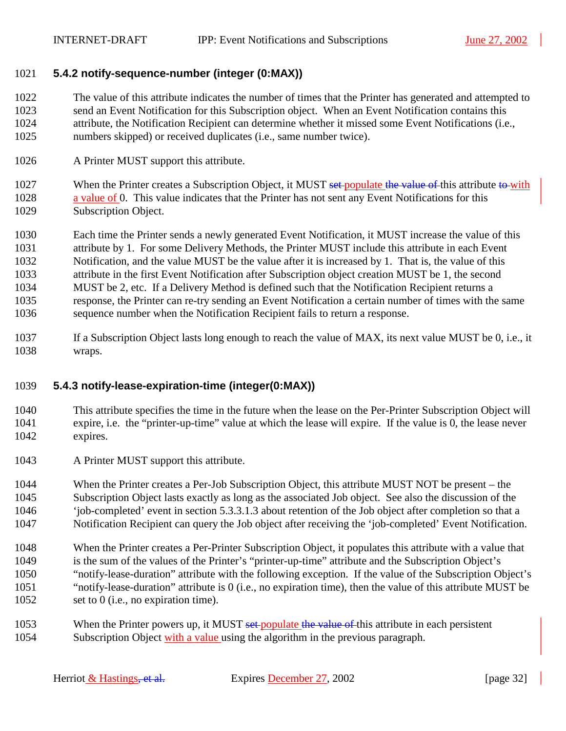#### <span id="page-31-0"></span>1021 **5.4.2 notify-sequence-number (integer (0:MAX))**

1022 The value of this attribute indicates the number of times that the Printer has generated and attempted to 1023 send an Event Notification for this Subscription object. When an Event Notification contains this 1024 attribute, the Notification Recipient can determine whether it missed some Event Notifications (i.e., 1025 numbers skipped) or received duplicates (i.e., same number twice).

1026 A Printer MUST support this attribute.

1027 When the Printer creates a Subscription Object, it MUST set-populate the value of this attribute to with 1028 a value of 0. This value indicates that the Printer has not sent any Event Notifications for this 1029 Subscription Object.

1030 Each time the Printer sends a newly generated Event Notification, it MUST increase the value of this 1031 attribute by 1. For some Delivery Methods, the Printer MUST include this attribute in each Event 1032 Notification, and the value MUST be the value after it is increased by 1. That is, the value of this 1033 attribute in the first Event Notification after Subscription object creation MUST be 1, the second 1034 MUST be 2, etc. If a Delivery Method is defined such that the Notification Recipient returns a 1035 response, the Printer can re-try sending an Event Notification a certain number of times with the same 1036 sequence number when the Notification Recipient fails to return a response.

1037 If a Subscription Object lasts long enough to reach the value of MAX, its next value MUST be 0, i.e., it 1038 wraps.

#### 1039 **5.4.3 notify-lease-expiration-time (integer(0:MAX))**

- 1040 This attribute specifies the time in the future when the lease on the Per-Printer Subscription Object will 1041 expire, i.e. the "printer-up-time" value at which the lease will expire. If the value is 0, the lease never 1042 expires.
- 1043 A Printer MUST support this attribute.

1044 When the Printer creates a Per-Job Subscription Object, this attribute MUST NOT be present – the 1045 Subscription Object lasts exactly as long as the associated Job object. See also the discussion of the 1046 'job-completed' event in section [5.3.3.1.3](#page-23-0) about retention of the Job object after completion so that a 1047 Notification Recipient can query the Job object after receiving the 'job-completed' Event Notification.

- 1048 When the Printer creates a Per-Printer Subscription Object, it populates this attribute with a value that 1049 is the sum of the values of the Printer's "printer-up-time" attribute and the Subscription Object's 1050 "notify-lease-duration" attribute with the following exception. If the value of the Subscription Object's 1051 "notify-lease-duration" attribute is 0 (i.e., no expiration time), then the value of this attribute MUST be 1052 set to 0 (i.e., no expiration time).
- 1053 When the Printer powers up, it MUST set-populate the value of this attribute in each persistent 1054 Subscription Object with a value using the algorithm in the previous paragraph.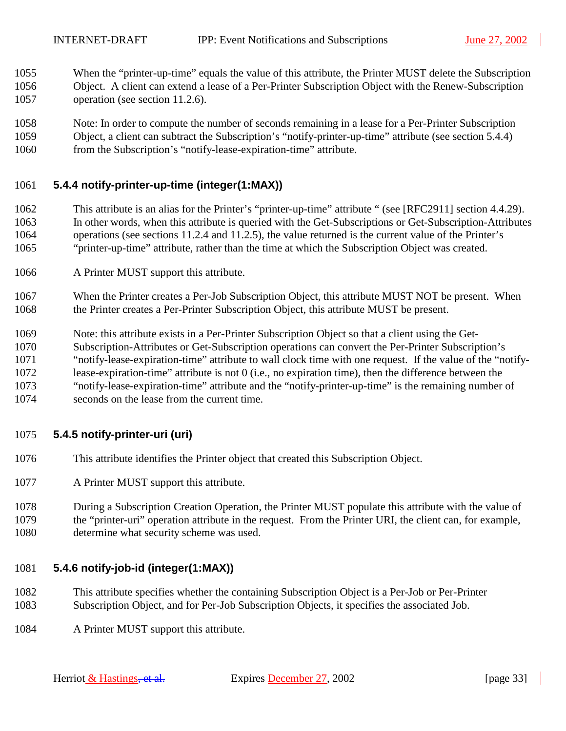- <span id="page-32-0"></span>1055 When the "printer-up-time" equals the value of this attribute, the Printer MUST delete the Subscription 1056 Object. A client can extend a lease of a Per-Printer Subscription Object with the Renew-Subscription 1057 operation (see section [11.2.6\)](#page-57-0).
- 1058 Note: In order to compute the number of seconds remaining in a lease for a Per-Printer Subscription 1059 Object, a client can subtract the Subscription's "notify-printer-up-time" attribute (see section 5.4.4) 1060 from the Subscription's "notify-lease-expiration-time" attribute.

#### 1061 **5.4.4 notify-printer-up-time (integer(1:MAX))**

- 1062 This attribute is an alias for the Printer's "printer-up-time" attribute " (see [RFC2911] section 4.4.29). 1063 In other words, when this attribute is queried with the Get-Subscriptions or Get-Subscription-Attributes 1064 operations (see sections [11.2.4](#page-52-0) and [11.2.5\)](#page-54-0), the value returned is the current value of the Printer's 1065 "printer-up-time" attribute, rather than the time at which the Subscription Object was created.
- 1066 A Printer MUST support this attribute.
- 1067 When the Printer creates a Per-Job Subscription Object, this attribute MUST NOT be present. When 1068 the Printer creates a Per-Printer Subscription Object, this attribute MUST be present.
- 1069 Note: this attribute exists in a Per-Printer Subscription Object so that a client using the Get-
- 1070 Subscription-Attributes or Get-Subscription operations can convert the Per-Printer Subscription's
- 1071 "notify-lease-expiration-time" attribute to wall clock time with one request. If the value of the "notify-
- 1072 lease-expiration-time" attribute is not 0 (i.e., no expiration time), then the difference between the 1073 "notify-lease-expiration-time" attribute and the "notify-printer-up-time" is the remaining number of
- 1074 seconds on the lease from the current time.

## 1075 **5.4.5 notify-printer-uri (uri)**

- 1076 This attribute identifies the Printer object that created this Subscription Object.
- 1077 A Printer MUST support this attribute.
- 1078 During a Subscription Creation Operation, the Printer MUST populate this attribute with the value of 1079 the "printer-uri" operation attribute in the request. From the Printer URI, the client can, for example, 1080 determine what security scheme was used.

#### 1081 **5.4.6 notify-job-id (integer(1:MAX))**

- 1082 This attribute specifies whether the containing Subscription Object is a Per-Job or Per-Printer 1083 Subscription Object, and for Per-Job Subscription Objects, it specifies the associated Job.
- 1084 A Printer MUST support this attribute.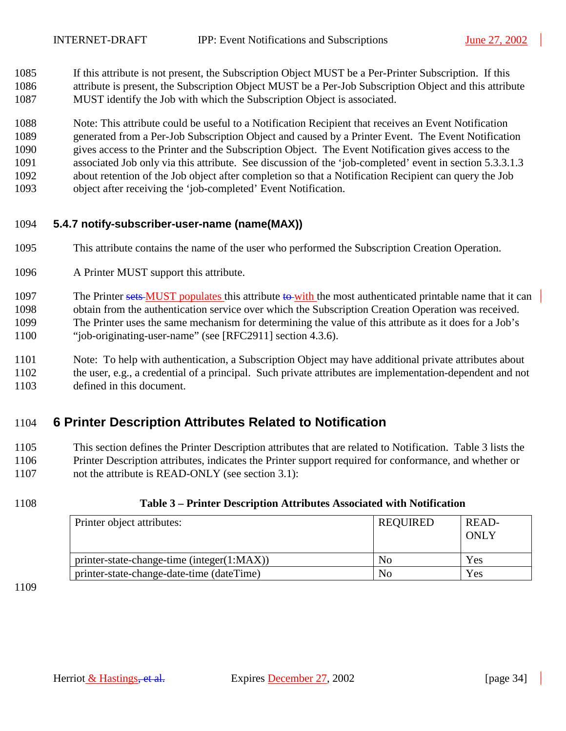<span id="page-33-0"></span>1085 If this attribute is not present, the Subscription Object MUST be a Per-Printer Subscription. If this 1086 attribute is present, the Subscription Object MUST be a Per-Job Subscription Object and this attribute 1087 MUST identify the Job with which the Subscription Object is associated.

1088 Note: This attribute could be useful to a Notification Recipient that receives an Event Notification 1089 generated from a Per-Job Subscription Object and caused by a Printer Event. The Event Notification 1090 gives access to the Printer and the Subscription Object. The Event Notification gives access to the 1091 associated Job only via this attribute. See discussion of the 'job-completed' event in section [5.3.3.1.3](#page-23-0)  1092 about retention of the Job object after completion so that a Notification Recipient can query the Job 1093 object after receiving the 'job-completed' Event Notification.

#### 1094 **5.4.7 notify-subscriber-user-name (name(MAX))**

- 1095 This attribute contains the name of the user who performed the Subscription Creation Operation.
- 1096 A Printer MUST support this attribute.

1097 The Printer sets MUST populates this attribute to with the most authenticated printable name that it can 1098 obtain from the authentication service over which the Subscription Creation Operation was received. 1099 The Printer uses the same mechanism for determining the value of this attribute as it does for a Job's 1100 "job-originating-user-name" (see [RFC2911] section 4.3.6).

1101 Note: To help with authentication, a Subscription Object may have additional private attributes about 1102 the user, e.g., a credential of a principal. Such private attributes are implementation-dependent and not 1103 defined in this document.

## 1104 **6 Printer Description Attributes Related to Notification**

1105 This section defines the Printer Description attributes that are related to Notification. Table 3 lists the 1106 Printer Description attributes, indicates the Printer support required for conformance, and whether or 1107 not the attribute is READ-ONLY (see section [3.1\)](#page-10-0):

1108 **Table 3 – Printer Description Attributes Associated with Notification** 

| Printer object attributes:                 | <b>REQUIRED</b> | READ-<br>ONLY |
|--------------------------------------------|-----------------|---------------|
| printer-state-change-time (integer(1:MAX)) | N <sub>0</sub>  | Yes           |
| printer-state-change-date-time (dateTime)  | No              | Yes           |

1109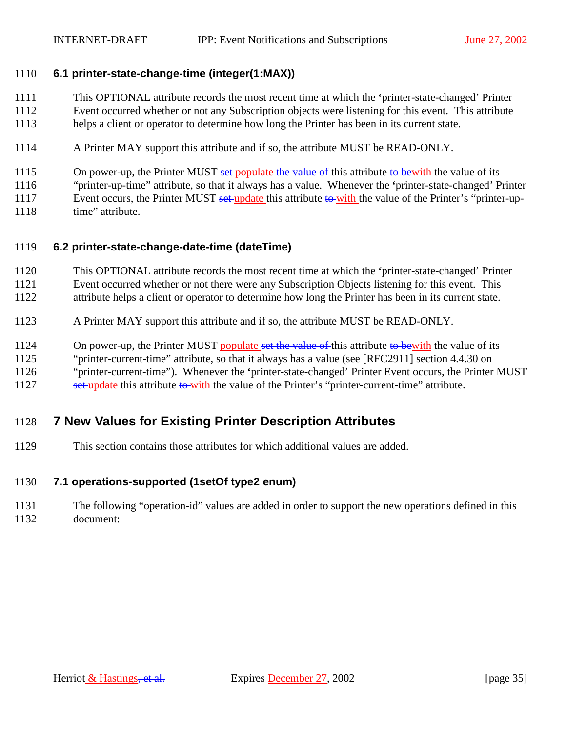#### <span id="page-34-0"></span>1110 **6.1 printer-state-change-time (integer(1:MAX))**

1111 This OPTIONAL attribute records the most recent time at which the **'**printer-state-changed' Printer 1112 Event occurred whether or not any Subscription objects were listening for this event. This attribute 1113 helps a client or operator to determine how long the Printer has been in its current state.

1114 A Printer MAY support this attribute and if so, the attribute MUST be READ-ONLY.

1115 On power-up, the Printer MUST set-populate the value of this attribute to bewith the value of its

1116 "printer-up-time" attribute, so that it always has a value. Whenever the **'**printer-state-changed' Printer

1117 Event occurs, the Printer MUST set-update this attribute to with the value of the Printer's "printer-up-

1118 time" attribute.

## 1119 **6.2 printer-state-change-date-time (dateTime)**

1120 This OPTIONAL attribute records the most recent time at which the **'**printer-state-changed' Printer 1121 Event occurred whether or not there were any Subscription Objects listening for this event. This 1122 attribute helps a client or operator to determine how long the Printer has been in its current state.

1123 A Printer MAY support this attribute and if so, the attribute MUST be READ-ONLY.

1124 On power-up, the Printer MUST populate set the value of this attribute to bewith the value of its

1125 "printer-current-time" attribute, so that it always has a value (see [RFC2911] section 4.4.30 on

1126 "printer-current-time"). Whenever the **'**printer-state-changed' Printer Event occurs, the Printer MUST

1127 set update this attribute to with the value of the Printer's "printer-current-time" attribute.

# 1128 **7 New Values for Existing Printer Description Attributes**

1129 This section contains those attributes for which additional values are added.

## 1130 **7.1 operations-supported (1setOf type2 enum)**

1131 The following "operation-id" values are added in order to support the new operations defined in this 1132 document: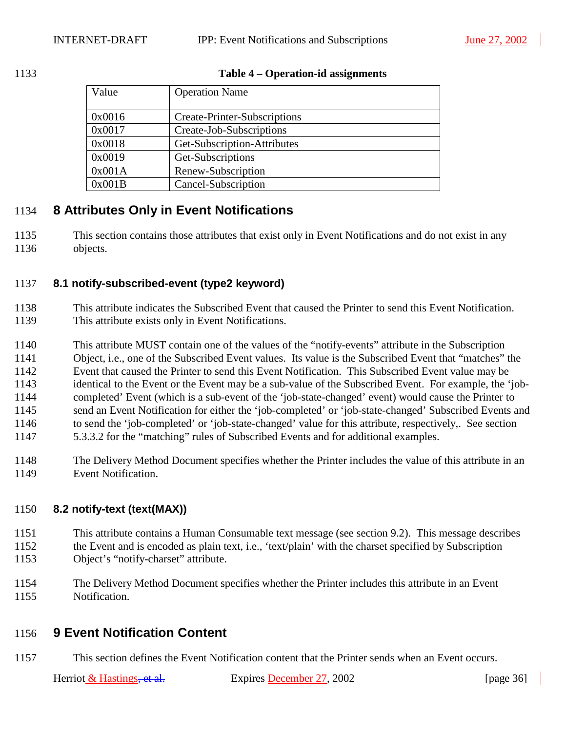#### <span id="page-35-0"></span>1133 **Table 4 – Operation-id assignments**

| Value  | <b>Operation Name</b>        |
|--------|------------------------------|
| 0x0016 | Create-Printer-Subscriptions |
| 0x0017 | Create-Job-Subscriptions     |
| 0x0018 | Get-Subscription-Attributes  |
| 0x0019 | Get-Subscriptions            |
| 0x001A | Renew-Subscription           |
| 0x001B | Cancel-Subscription          |

## 1134 **8 Attributes Only in Event Notifications**

1135 This section contains those attributes that exist only in Event Notifications and do not exist in any 1136 objects.

#### 1137 **8.1 notify-subscribed-event (type2 keyword)**

- 1138 This attribute indicates the Subscribed Event that caused the Printer to send this Event Notification. 1139 This attribute exists only in Event Notifications.
- 1140 This attribute MUST contain one of the values of the "notify-events" attribute in the Subscription 1141 Object, i.e., one of the Subscribed Event values. Its value is the Subscribed Event that "matches" the 1142 Event that caused the Printer to send this Event Notification. This Subscribed Event value may be 1143 identical to the Event or the Event may be a sub-value of the Subscribed Event. For example, the 'job-1144 completed' Event (which is a sub-event of the 'job-state-changed' event) would cause the Printer to 1145 send an Event Notification for either the 'job-completed' or 'job-state-changed' Subscribed Events and 1146 to send the 'job-completed' or 'job-state-changed' value for this attribute, respectively,. See section 1147 [5.3.3.2](#page-24-0) for the "matching" rules of Subscribed Events and for additional examples.
- 1148 The Delivery Method Document specifies whether the Printer includes the value of this attribute in an 1149 Event Notification.

## 1150 **8.2 notify-text (text(MAX))**

- 1151 This attribute contains a Human Consumable text message (see section [9.2\)](#page-40-0). This message describes
- 1152 the Event and is encoded as plain text, i.e., 'text/plain' with the charset specified by Subscription 1153 Object's "notify-charset" attribute.
- 1154 The Delivery Method Document specifies whether the Printer includes this attribute in an Event 1155 Notification.
- 

## 1156 **9 Event Notification Content**

1157 This section defines the Event Notification content that the Printer sends when an Event occurs.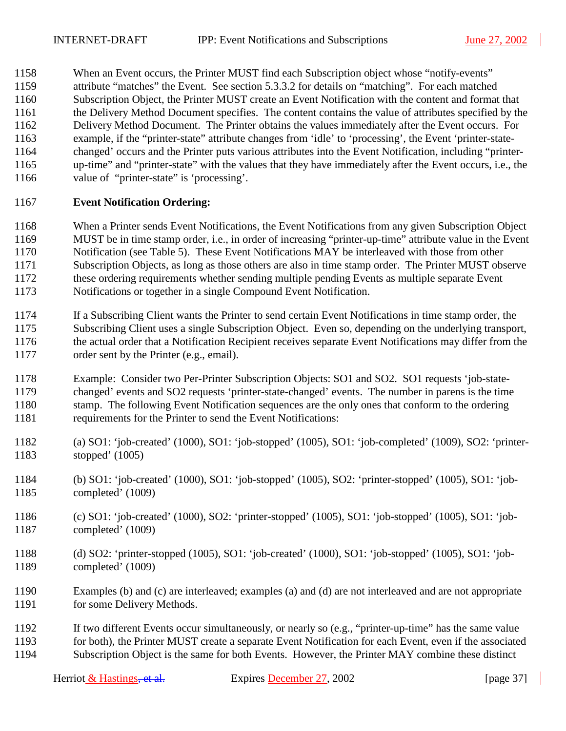1158 When an Event occurs, the Printer MUST find each Subscription object whose "notify-events" 1159 attribute "matches" the Event. See section [5.3.3.2 f](#page-24-0)or details on "matching". For each matched 1160 Subscription Object, the Printer MUST create an Event Notification with the content and format that 1161 the Delivery Method Document specifies. The content contains the value of attributes specified by the 1162 Delivery Method Document. The Printer obtains the values immediately after the Event occurs. For 1163 example, if the "printer-state" attribute changes from 'idle' to 'processing', the Event 'printer-state-1164 changed' occurs and the Printer puts various attributes into the Event Notification, including "printer-1165 up-time" and "printer-state" with the values that they have immediately after the Event occurs, i.e., the 1166 value of "printer-state" is 'processing'.

## 1167 **Event Notification Ordering:**

1168 When a Printer sends Event Notifications, the Event Notifications from any given Subscription Object 1169 MUST be in time stamp order, i.e., in order of increasing "printer-up-time" attribute value in the Event 1170 Notification (see Table 5). These Event Notifications MAY be interleaved with those from other 1171 Subscription Objects, as long as those others are also in time stamp order. The Printer MUST observe 1172 these ordering requirements whether sending multiple pending Events as multiple separate Event 1173 Notifications or together in a single Compound Event Notification.

- 1174 If a Subscribing Client wants the Printer to send certain Event Notifications in time stamp order, the 1175 Subscribing Client uses a single Subscription Object. Even so, depending on the underlying transport, 1176 the actual order that a Notification Recipient receives separate Event Notifications may differ from the 1177 order sent by the Printer (e.g., email).
- 1178 Example: Consider two Per-Printer Subscription Objects: SO1 and SO2. SO1 requests 'job-state-1179 changed' events and SO2 requests 'printer-state-changed' events. The number in parens is the time 1180 stamp. The following Event Notification sequences are the only ones that conform to the ordering 1181 requirements for the Printer to send the Event Notifications:
- 1182 (a) SO1: 'job-created' (1000), SO1: 'job-stopped' (1005), SO1: 'job-completed' (1009), SO2: 'printer-1183 stopped' (1005)
- 1184 (b) SO1: 'job-created' (1000), SO1: 'job-stopped' (1005), SO2: 'printer-stopped' (1005), SO1: 'job-1185 completed' (1009)
- 1186 (c) SO1: 'job-created' (1000), SO2: 'printer-stopped' (1005), SO1: 'job-stopped' (1005), SO1: 'job-1187 completed' (1009)
- 1188 (d) SO2: 'printer-stopped (1005), SO1: 'job-created' (1000), SO1: 'job-stopped' (1005), SO1: 'job-1189 completed' (1009)
- 1190 Examples (b) and (c) are interleaved; examples (a) and (d) are not interleaved and are not appropriate 1191 for some Delivery Methods.
- 1192 If two different Events occur simultaneously, or nearly so (e.g., "printer-up-time" has the same value 1193 for both), the Printer MUST create a separate Event Notification for each Event, even if the associated 1194 Subscription Object is the same for both Events. However, the Printer MAY combine these distinct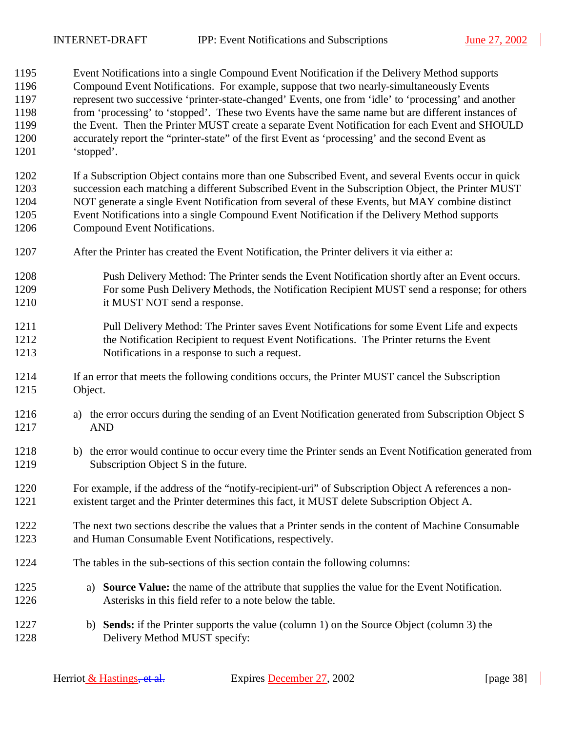1195 Event Notifications into a single Compound Event Notification if the Delivery Method supports 1196 Compound Event Notifications. For example, suppose that two nearly-simultaneously Events 1197 represent two successive 'printer-state-changed' Events, one from 'idle' to 'processing' and another 1198 from 'processing' to 'stopped'. These two Events have the same name but are different instances of 1199 the Event. Then the Printer MUST create a separate Event Notification for each Event and SHOULD 1200 accurately report the "printer-state" of the first Event as 'processing' and the second Event as 1201 'stopped'.

1202 If a Subscription Object contains more than one Subscribed Event, and several Events occur in quick 1203 succession each matching a different Subscribed Event in the Subscription Object, the Printer MUST 1204 NOT generate a single Event Notification from several of these Events, but MAY combine distinct 1205 Event Notifications into a single Compound Event Notification if the Delivery Method supports 1206 Compound Event Notifications.

- 1207 After the Printer has created the Event Notification, the Printer delivers it via either a:
- 1208 Push Delivery Method: The Printer sends the Event Notification shortly after an Event occurs. 1209 For some Push Delivery Methods, the Notification Recipient MUST send a response; for others 1210 it MUST NOT send a response.
- 1211 Pull Delivery Method: The Printer saves Event Notifications for some Event Life and expects 1212 the Notification Recipient to request Event Notifications. The Printer returns the Event 1213 Notifications in a response to such a request.
- 1214 If an error that meets the following conditions occurs, the Printer MUST cancel the Subscription 1215 Object.
- 1216 a) the error occurs during the sending of an Event Notification generated from Subscription Object S 1217 AND
- 1218 b) the error would continue to occur every time the Printer sends an Event Notification generated from 1219 Subscription Object S in the future.
- 1220 For example, if the address of the "notify-recipient-uri" of Subscription Object A references a non-1221 existent target and the Printer determines this fact, it MUST delete Subscription Object A.
- 1222 The next two sections describe the values that a Printer sends in the content of Machine Consumable 1223 and Human Consumable Event Notifications, respectively.
- 1224 The tables in the sub-sections of this section contain the following columns:
- 1225 a) **Source Value:** the name of the attribute that supplies the value for the Event Notification. 1226 Asterisks in this field refer to a note below the table.
- 1227 b) **Sends:** if the Printer supports the value (column 1) on the Source Object (column 3) the 1228 Delivery Method MUST specify: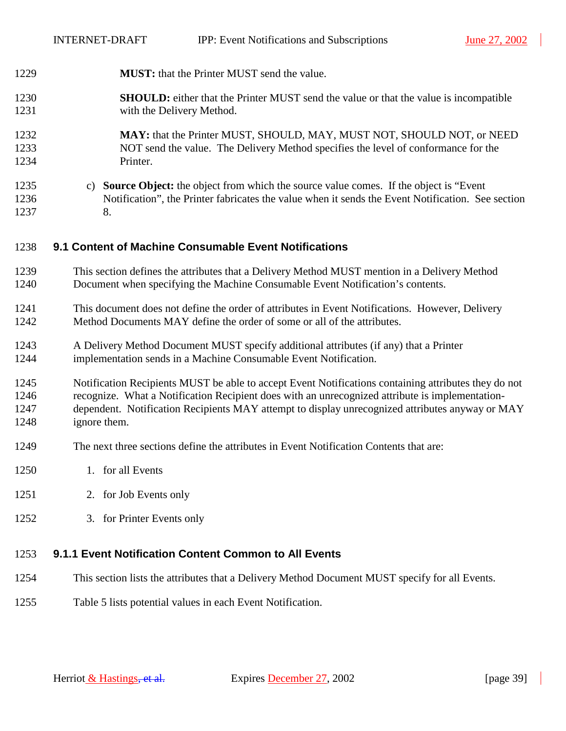$\overline{\phantom{a}}$ 

<span id="page-38-0"></span>

| 1229                         | MUST: that the Printer MUST send the value.                                                                                                                                                                                                                                                                                |
|------------------------------|----------------------------------------------------------------------------------------------------------------------------------------------------------------------------------------------------------------------------------------------------------------------------------------------------------------------------|
| 1230<br>1231                 | <b>SHOULD:</b> either that the Printer MUST send the value or that the value is incompatible<br>with the Delivery Method.                                                                                                                                                                                                  |
| 1232<br>1233<br>1234         | MAY: that the Printer MUST, SHOULD, MAY, MUST NOT, SHOULD NOT, or NEED<br>NOT send the value. The Delivery Method specifies the level of conformance for the<br>Printer.                                                                                                                                                   |
| 1235<br>1236<br>1237         | c) Source Object: the object from which the source value comes. If the object is "Event<br>Notification", the Printer fabricates the value when it sends the Event Notification. See section<br>8.                                                                                                                         |
| 1238                         | 9.1 Content of Machine Consumable Event Notifications                                                                                                                                                                                                                                                                      |
| 1239<br>1240                 | This section defines the attributes that a Delivery Method MUST mention in a Delivery Method<br>Document when specifying the Machine Consumable Event Notification's contents.                                                                                                                                             |
| 1241<br>1242                 | This document does not define the order of attributes in Event Notifications. However, Delivery<br>Method Documents MAY define the order of some or all of the attributes.                                                                                                                                                 |
| 1243<br>1244                 | A Delivery Method Document MUST specify additional attributes (if any) that a Printer<br>implementation sends in a Machine Consumable Event Notification.                                                                                                                                                                  |
| 1245<br>1246<br>1247<br>1248 | Notification Recipients MUST be able to accept Event Notifications containing attributes they do not<br>recognize. What a Notification Recipient does with an unrecognized attribute is implementation-<br>dependent. Notification Recipients MAY attempt to display unrecognized attributes anyway or MAY<br>ignore them. |
| 1249                         | The next three sections define the attributes in Event Notification Contents that are:                                                                                                                                                                                                                                     |
| 1250                         | 1. for all Events                                                                                                                                                                                                                                                                                                          |
| 1251                         | 2. for Job Events only                                                                                                                                                                                                                                                                                                     |
| 1252                         | 3. for Printer Events only                                                                                                                                                                                                                                                                                                 |
| 1253                         | 9.1.1 Event Notification Content Common to All Events                                                                                                                                                                                                                                                                      |
| 1254                         | This section lists the attributes that a Delivery Method Document MUST specify for all Events.                                                                                                                                                                                                                             |
| 1255                         | Table 5 lists potential values in each Event Notification.                                                                                                                                                                                                                                                                 |
|                              |                                                                                                                                                                                                                                                                                                                            |

1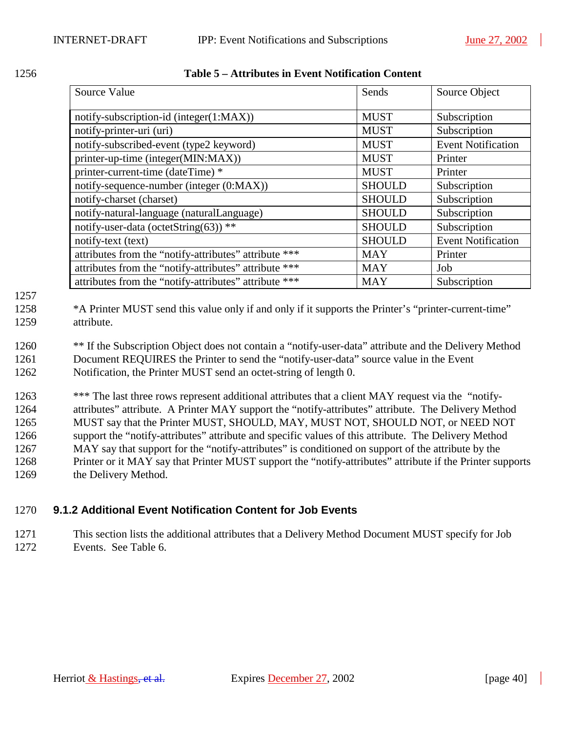| Source Value                            | Sends       | Source Object             |
|-----------------------------------------|-------------|---------------------------|
| notify-subscription-id (integer(1:MAX)) | <b>MUST</b> | Subscription              |
| notify-printer-uri (uri)                | <b>MUST</b> | Subscription              |
| notify-subscribed-event (type2 keyword) | <b>MUST</b> | <b>Event Notification</b> |

notify-text (text) SHOULD Event Notification

printer-up-time (integer(MIN:MAX)) MUST | MUST printer-current-time (dateTime) \* MUST Printer notify-sequence-number (integer (0:MAX)) SHOULD Subscription notify-charset (charset) SHOULD Subscription notify-natural-language (naturalLanguage) SHOULD Subscription notify-user-data (octetString(63)) \*\* SHOULD Subscription

<span id="page-39-0"></span>

| 1256 | Table 5 – Attributes in Event Notification Content |
|------|----------------------------------------------------|
|      |                                                    |

1257

1258 \*A Printer MUST send this value only if and only if it supports the Printer's "printer-current-time" 1259 attribute.

attributes from the "notify-attributes" attribute \*\*\* MAY | Printer attributes from the "notify-attributes" attribute \*\*\* MAY Job

attributes from the "notify-attributes" attribute \*\*\* MAY Subscription

1260 \*\* If the Subscription Object does not contain a "notify-user-data" attribute and the Delivery Method 1261 Document REQUIRES the Printer to send the "notify-user-data" source value in the Event 1262 Notification, the Printer MUST send an octet-string of length 0.

1263 \*\*\* The last three rows represent additional attributes that a client MAY request via the "notify-1264 attributes" attribute. A Printer MAY support the "notify-attributes" attribute. The Delivery Method 1265 MUST say that the Printer MUST, SHOULD, MAY, MUST NOT, SHOULD NOT, or NEED NOT 1266 support the "notify-attributes" attribute and specific values of this attribute. The Delivery Method 1267 MAY say that support for the "notify-attributes" is conditioned on support of the attribute by the 1268 Printer or it MAY say that Printer MUST support the "notify-attributes" attribute if the Printer supports 1269 the Delivery Method.

## 1270 **9.1.2 Additional Event Notification Content for Job Events**

1271 This section lists the additional attributes that a Delivery Method Document MUST specify for Job 1272 Events. See [Table 6.](#page-40-0)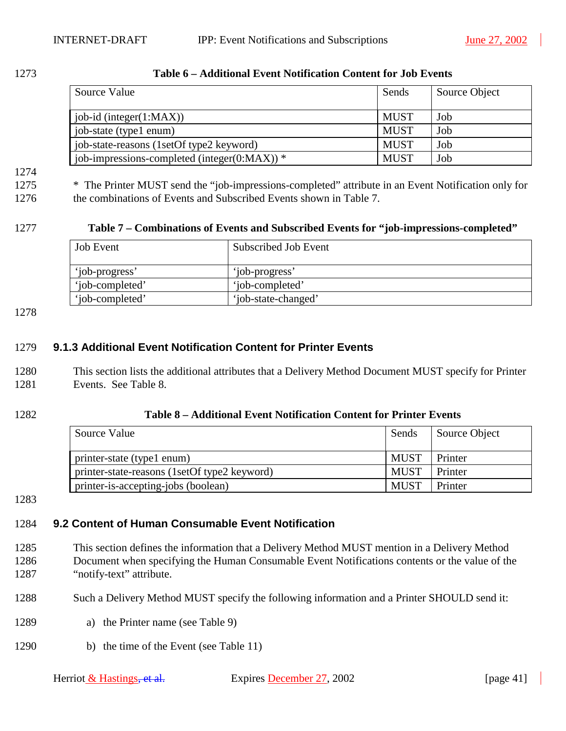| Source Value                                     | Sends       | Source Object |
|--------------------------------------------------|-------------|---------------|
| job-id (integer $(1:MAX)$ )                      | <b>MUST</b> | Job           |
| job-state (type1 enum)                           | <b>MUST</b> | Job           |
| job-state-reasons (1setOf type2 keyword)         | <b>MUST</b> | Job           |
| job-impressions-completed (integer( $0:MAX$ )) * | <b>MUST</b> | Job           |

#### <span id="page-40-0"></span>1273 **Table 6 – Additional Event Notification Content for Job Events**

# 1274

1275 \* The Printer MUST send the "job-impressions-completed" attribute in an Event Notification only for 1276 the combinations of Events and Subscribed Events shown in Table 7.

#### 1277 **Table 7 – Combinations of Events and Subscribed Events for "job-impressions-completed"**

| <b>Job Event</b> | Subscribed Job Event |
|------------------|----------------------|
| 'job-progress'   | 'job-progress'       |
| 'job-completed'  | 'job-completed'      |
| 'iob-completed'  | 'job-state-changed'  |

1278

## 1279 **9.1.3 Additional Event Notification Content for Printer Events**

- 1280 This section lists the additional attributes that a Delivery Method Document MUST specify for Printer 1281 Events. See Table 8.
- 

#### 1282 **Table 8 – Additional Event Notification Content for Printer Events**

| Source Value                                 | Sends       | Source Object |
|----------------------------------------------|-------------|---------------|
| printer-state (type1 enum)                   | <b>MUST</b> | Printer       |
| printer-state-reasons (1setOf type2 keyword) | <b>MUST</b> | Printer       |
| printer-is-accepting-jobs (boolean)          | <b>MUST</b> | Printer       |

1283

#### 1284 **9.2 Content of Human Consumable Event Notification**

- 1285 This section defines the information that a Delivery Method MUST mention in a Delivery Method 1286 Document when specifying the Human Consumable Event Notifications contents or the value of the 1287 "notify-text" attribute.
- 1288 Such a Delivery Method MUST specify the following information and a Printer SHOULD send it:
- 1289 a) the Printer name (see [Table 9\)](#page-42-0)
- 1290 b) the time of the Event (see [Table 11\)](#page-42-0)

| Herriot & Hastings, et al. |  |  |  |  |  |
|----------------------------|--|--|--|--|--|
|----------------------------|--|--|--|--|--|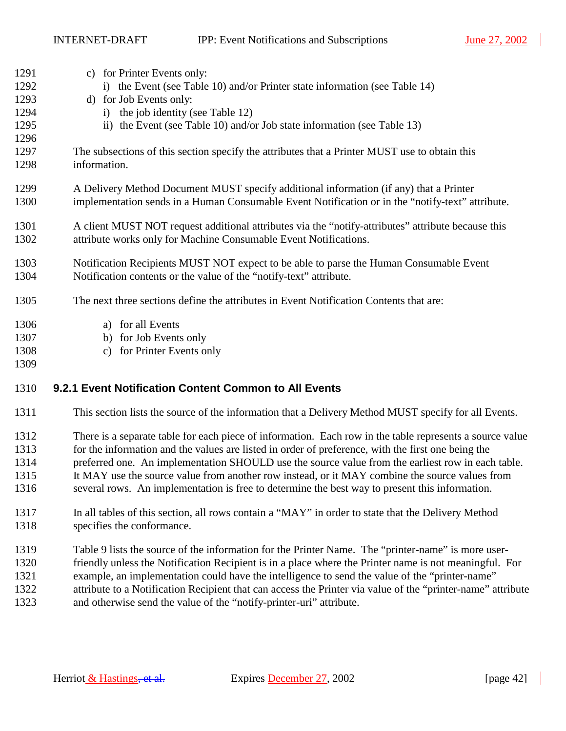INTERNET-DRAFT IPP: Event Notifications and Subscriptions June 27, 2002

| 1291 | c) for Printer Events only:                                                                        |
|------|----------------------------------------------------------------------------------------------------|
| 1292 | i) the Event (see Table 10) and/or Printer state information (see Table 14)                        |
| 1293 | d) for Job Events only:                                                                            |
| 1294 | i) the job identity (see Table 12)                                                                 |
| 1295 | ii) the Event (see Table 10) and/or Job state information (see Table 13)                           |
| 1296 |                                                                                                    |
| 1297 | The subsections of this section specify the attributes that a Printer MUST use to obtain this      |
| 1298 | information.                                                                                       |
| 1299 |                                                                                                    |
|      | A Delivery Method Document MUST specify additional information (if any) that a Printer             |
| 1300 | implementation sends in a Human Consumable Event Notification or in the "notify-text" attribute.   |
| 1301 | A client MUST NOT request additional attributes via the "notify-attributes" attribute because this |
| 1302 | attribute works only for Machine Consumable Event Notifications.                                   |
|      |                                                                                                    |
| 1303 | Notification Recipients MUST NOT expect to be able to parse the Human Consumable Event             |
| 1304 | Notification contents or the value of the "notify-text" attribute.                                 |
|      |                                                                                                    |
| 1305 | The next three sections define the attributes in Event Notification Contents that are:             |
| 1306 | a) for all Events                                                                                  |
| 1307 | b) for Job Events only                                                                             |
| 1308 | for Printer Events only<br>$\mathcal{C}$ )                                                         |
| 1309 |                                                                                                    |
|      |                                                                                                    |

## 1310 **9.2.1 Event Notification Content Common to All Events**

- 1311 This section lists the source of the information that a Delivery Method MUST specify for all Events.
- 1312 There is a separate table for each piece of information. Each row in the table represents a source value 1313 for the information and the values are listed in order of preference, with the first one being the 1314 preferred one. An implementation SHOULD use the source value from the earliest row in each table. 1315 It MAY use the source value from another row instead, or it MAY combine the source values from 1316 several rows. An implementation is free to determine the best way to present this information.
- 1317 In all tables of this section, all rows contain a "MAY" in order to state that the Delivery Method 1318 specifies the conformance.
- 1319 [Table 9](#page-42-0) lists the source of the information for the Printer Name. The "printer-name" is more user-1320 friendly unless the Notification Recipient is in a place where the Printer name is not meaningful. For
- 1321 example, an implementation could have the intelligence to send the value of the "printer-name"
- 1322 attribute to a Notification Recipient that can access the Printer via value of the "printer-name" attribute
- 1323 and otherwise send the value of the "notify-printer-uri" attribute.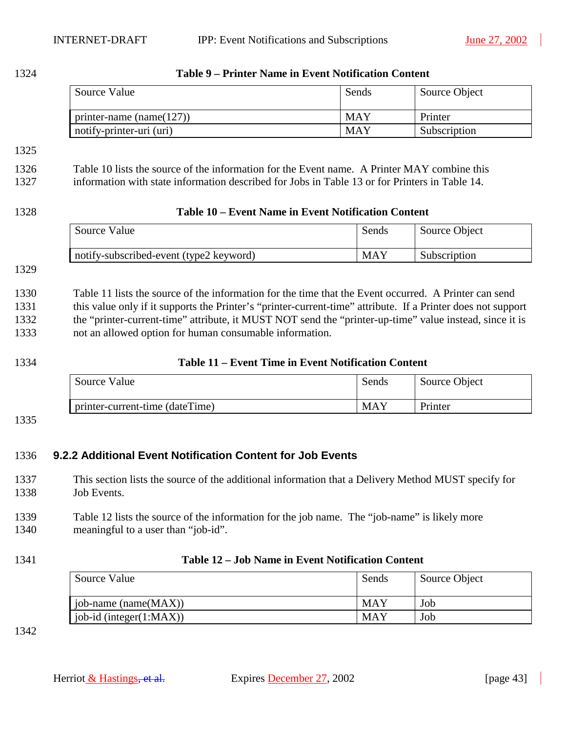<span id="page-42-0"></span>

| 1324                                 | Table 9 - Printer Name in Event Notification Content                                                                                                                                                                                                                                                                                                                                        |                                                            |               |  |
|--------------------------------------|---------------------------------------------------------------------------------------------------------------------------------------------------------------------------------------------------------------------------------------------------------------------------------------------------------------------------------------------------------------------------------------------|------------------------------------------------------------|---------------|--|
|                                      | Source Value                                                                                                                                                                                                                                                                                                                                                                                | Sends                                                      | Source Object |  |
|                                      | printer-name $(name(127))$                                                                                                                                                                                                                                                                                                                                                                  | <b>MAY</b>                                                 | Printer       |  |
|                                      | notify-printer-uri (uri)                                                                                                                                                                                                                                                                                                                                                                    | <b>MAY</b>                                                 | Subscription  |  |
| 1325                                 |                                                                                                                                                                                                                                                                                                                                                                                             |                                                            |               |  |
| 1326<br>1327                         | Table 10 lists the source of the information for the Event name. A Printer MAY combine this<br>information with state information described for Jobs in Table 13 or for Printers in Table 14.                                                                                                                                                                                               |                                                            |               |  |
| 1328                                 |                                                                                                                                                                                                                                                                                                                                                                                             | Table 10 – Event Name in Event Notification Content        |               |  |
|                                      | Source Value                                                                                                                                                                                                                                                                                                                                                                                | Sends                                                      | Source Object |  |
|                                      | notify-subscribed-event (type2 keyword)                                                                                                                                                                                                                                                                                                                                                     | <b>MAY</b>                                                 | Subscription  |  |
| 1329                                 |                                                                                                                                                                                                                                                                                                                                                                                             |                                                            |               |  |
| 1330<br>1331<br>1332<br>1333<br>1334 | Table 11 lists the source of the information for the time that the Event occurred. A Printer can send<br>this value only if it supports the Printer's "printer-current-time" attribute. If a Printer does not support<br>the "printer-current-time" attribute, it MUST NOT send the "printer-up-time" value instead, since it is<br>not an allowed option for human consumable information. | <b>Table 11 – Event Time in Event Notification Content</b> |               |  |
|                                      | Source Value                                                                                                                                                                                                                                                                                                                                                                                | Sends                                                      | Source Object |  |
|                                      | printer-current-time (dateTime)                                                                                                                                                                                                                                                                                                                                                             | <b>MAY</b>                                                 | Printer       |  |
| 1335<br>1336                         | 9.2.2 Additional Event Notification Content for Job Events                                                                                                                                                                                                                                                                                                                                  |                                                            |               |  |
| 1337<br>1338                         | This section lists the source of the additional information that a Delivery Method MUST specify for<br>Job Events.                                                                                                                                                                                                                                                                          |                                                            |               |  |
| 1339<br>1340                         | Table 12 lists the source of the information for the job name. The "job-name" is likely more<br>meaningful to a user than "job-id".                                                                                                                                                                                                                                                         |                                                            |               |  |
| 1341                                 |                                                                                                                                                                                                                                                                                                                                                                                             | Table 12 – Job Name in Event Notification Content          |               |  |
|                                      | Source Value                                                                                                                                                                                                                                                                                                                                                                                | Sends                                                      | Source Object |  |
|                                      | job-name (name(MAX))                                                                                                                                                                                                                                                                                                                                                                        | <b>MAY</b>                                                 | Job           |  |
|                                      | job-id (integer(1:MAX))                                                                                                                                                                                                                                                                                                                                                                     | <b>MAY</b>                                                 | Job           |  |
| 1342                                 |                                                                                                                                                                                                                                                                                                                                                                                             |                                                            |               |  |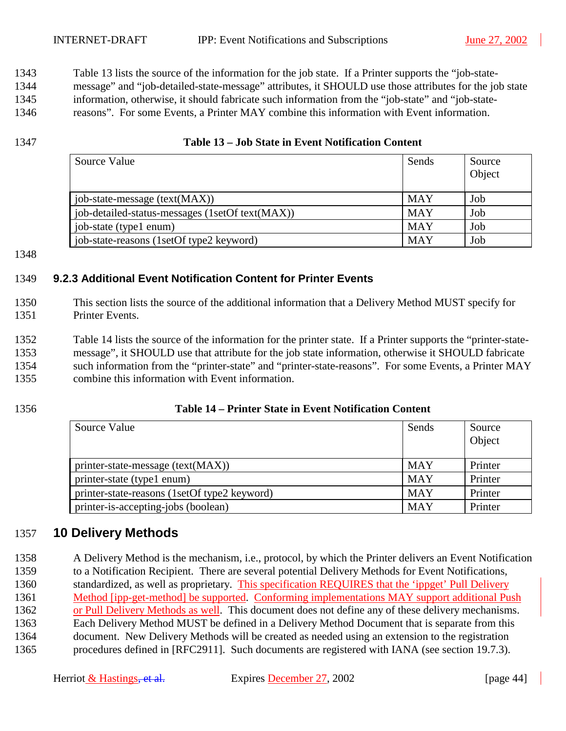<span id="page-43-0"></span>1343 Table 13 lists the source of the information for the job state. If a Printer supports the "job-state-

1344 message" and "job-detailed-state-message" attributes, it SHOULD use those attributes for the job state

1345 information, otherwise, it should fabricate such information from the "job-state" and "job-state-

1346 reasons". For some Events, a Printer MAY combine this information with Event information.

#### 1347 **Table 13 – Job State in Event Notification Content**

| Source Value                                    | Sends      | Source<br>Object |
|-------------------------------------------------|------------|------------------|
| job-state-message (text(MAX))                   | <b>MAY</b> | Job              |
| job-detailed-status-messages (1setOf text(MAX)) | <b>MAY</b> | Job              |
| job-state (type1 enum)                          | <b>MAY</b> | Job              |
| job-state-reasons (1setOf type2 keyword)        | <b>MAY</b> | Job              |

1348

## 1349 **9.2.3 Additional Event Notification Content for Printer Events**

- 1350 This section lists the source of the additional information that a Delivery Method MUST specify for 1351 Printer Events.
- 1352 Table 14 lists the source of the information for the printer state. If a Printer supports the "printer-state-1353 message", it SHOULD use that attribute for the job state information, otherwise it SHOULD fabricate 1354 such information from the "printer-state" and "printer-state-reasons". For some Events, a Printer MAY 1355 combine this information with Event information.
- 

## 1356 **Table 14 – Printer State in Event Notification Content**

| Source Value                                 | Sends      | Source<br>Object |
|----------------------------------------------|------------|------------------|
| printer-state-message (text(MAX))            | <b>MAY</b> | Printer          |
| printer-state (type1 enum)                   | <b>MAY</b> | Printer          |
| printer-state-reasons (1setOf type2 keyword) | <b>MAY</b> | Printer          |
| printer-is-accepting-jobs (boolean)          | <b>MAY</b> | Printer          |

## 1357 **10 Delivery Methods**

1358 A Delivery Method is the mechanism, i.e., protocol, by which the Printer delivers an Event Notification 1359 to a Notification Recipient. There are several potential Delivery Methods for Event Notifications, 1360 standardized, as well as proprietary. This specification REQUIRES that the 'ippget' Pull Delivery 1361 Method [ipp-get-method] be supported. Conforming implementations MAY support additional Push 1362 or Pull Delivery Methods as well. This document does not define any of these delivery mechanisms. 1363 Each Delivery Method MUST be defined in a Delivery Method Document that is separate from this 1364 document. New Delivery Methods will be created as needed using an extension to the registration 1365 procedures defined in [RFC2911]. Such documents are registered with IANA (see section [19.7.3\)](#page-74-0).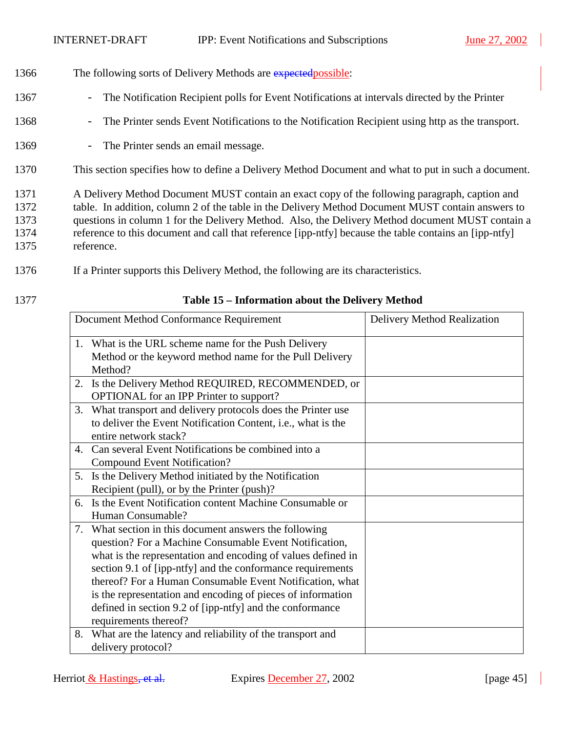- 1366 The following sorts of Delivery Methods are expected possible:
- 1367 The Notification Recipient polls for Event Notifications at intervals directed by the Printer
- 1368 The Printer sends Event Notifications to the Notification Recipient using http as the transport.
- 1369 The Printer sends an email message.
- 1370 This section specifies how to define a Delivery Method Document and what to put in such a document.

1371 A Delivery Method Document MUST contain an exact copy of the following paragraph, caption and 1372 table. In addition, column 2 of the table in the Delivery Method Document MUST contain answers to 1373 questions in column 1 for the Delivery Method. Also, the Delivery Method document MUST contain a 1374 reference to this document and call that reference [ipp-ntfy] because the table contains an [ipp-ntfy] 1375 reference.

- 1376 If a Printer supports this Delivery Method, the following are its characteristics.
- 

## 1377 **Table 15 – Information about the Delivery Method**

|    | Document Method Conformance Requirement                      | Delivery Method Realization |
|----|--------------------------------------------------------------|-----------------------------|
|    | 1. What is the URL scheme name for the Push Delivery         |                             |
|    | Method or the keyword method name for the Pull Delivery      |                             |
|    | Method?                                                      |                             |
| 2. | Is the Delivery Method REQUIRED, RECOMMENDED, or             |                             |
|    | OPTIONAL for an IPP Printer to support?                      |                             |
| 3. | What transport and delivery protocols does the Printer use   |                             |
|    | to deliver the Event Notification Content, i.e., what is the |                             |
|    | entire network stack?                                        |                             |
|    | 4. Can several Event Notifications be combined into a        |                             |
|    | <b>Compound Event Notification?</b>                          |                             |
|    | 5. Is the Delivery Method initiated by the Notification      |                             |
|    | Recipient (pull), or by the Printer (push)?                  |                             |
| 6. | Is the Event Notification content Machine Consumable or      |                             |
|    | Human Consumable?                                            |                             |
| 7. | What section in this document answers the following          |                             |
|    | question? For a Machine Consumable Event Notification,       |                             |
|    | what is the representation and encoding of values defined in |                             |
|    | section 9.1 of [ipp-ntfy] and the conformance requirements   |                             |
|    | thereof? For a Human Consumable Event Notification, what     |                             |
|    | is the representation and encoding of pieces of information  |                             |
|    | defined in section 9.2 of [ipp-ntfy] and the conformance     |                             |
|    | requirements thereof?                                        |                             |
| 8. | What are the latency and reliability of the transport and    |                             |
|    | delivery protocol?                                           |                             |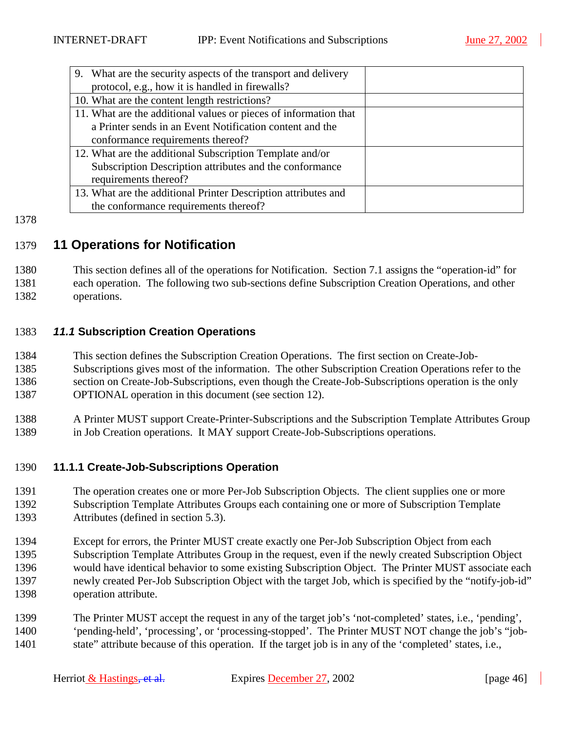<span id="page-45-0"></span>

| 9. What are the security aspects of the transport and delivery   |  |
|------------------------------------------------------------------|--|
| protocol, e.g., how it is handled in firewalls?                  |  |
| 10. What are the content length restrictions?                    |  |
| 11. What are the additional values or pieces of information that |  |
| a Printer sends in an Event Notification content and the         |  |
| conformance requirements thereof?                                |  |
| 12. What are the additional Subscription Template and/or         |  |
| Subscription Description attributes and the conformance          |  |
| requirements thereof?                                            |  |
| 13. What are the additional Printer Description attributes and   |  |
| the conformance requirements thereof?                            |  |

#### 1378

## 1379 **11 Operations for Notification**

1380 This section defines all of the operations for Notification. Section [7.1](#page-34-0) assigns the "operation-id" for 1381 each operation. The following two sub-sections define Subscription Creation Operations, and other 1382 operations.

## 1383 *11.1* **Subscription Creation Operations**

1384 This section defines the Subscription Creation Operations. The first section on Create-Job-1385 Subscriptions gives most of the information. The other Subscription Creation Operations refer to the 1386 section on Create-Job-Subscriptions, even though the Create-Job-Subscriptions operation is the only 1387 OPTIONAL operation in this document (see section [12\)](#page-63-0).

1388 A Printer MUST support Create-Printer-Subscriptions and the Subscription Template Attributes Group 1389 in Job Creation operations. It MAY support Create-Job-Subscriptions operations.

## 1390 **11.1.1 Create-Job-Subscriptions Operation**

1391 The operation creates one or more Per-Job Subscription Objects. The client supplies one or more 1392 Subscription Template Attributes Groups each containing one or more of Subscription Template 1393 Attributes (defined in section [5.3\)](#page-18-0).

- 1394 Except for errors, the Printer MUST create exactly one Per-Job Subscription Object from each 1395 Subscription Template Attributes Group in the request, even if the newly created Subscription Object 1396 would have identical behavior to some existing Subscription Object. The Printer MUST associate each 1397 newly created Per-Job Subscription Object with the target Job, which is specified by the "notify-job-id" 1398 operation attribute.
- 1399 The Printer MUST accept the request in any of the target job's 'not-completed' states, i.e., 'pending', 1400 'pending-held', 'processing', or 'processing-stopped'. The Printer MUST NOT change the job's "job-1401 state" attribute because of this operation. If the target job is in any of the 'completed' states, i.e.,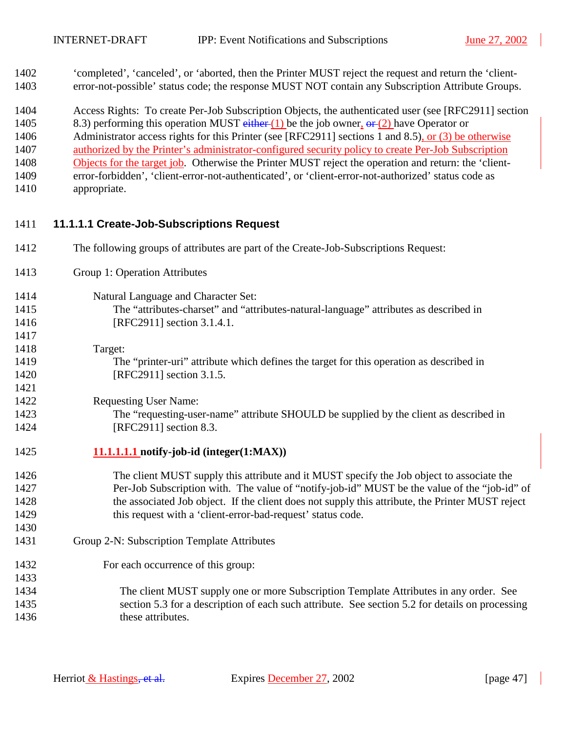<span id="page-46-0"></span>1402 'completed', 'canceled', or 'aborted, then the Printer MUST reject the request and return the 'client-1403 error-not-possible' status code; the response MUST NOT contain any Subscription Attribute Groups.

1404 Access Rights: To create Per-Job Subscription Objects, the authenticated user (see [RFC2911] section

1405 8.3) performing this operation MUST either (1) be the job owner,  $\theta$  (2) have Operator or

1406 Administrator access rights for this Printer (see [RFC2911] sections 1 and 8.5), or (3) be otherwise 1407 authorized by the Printer's administrator-configured security policy to create Per-Job Subscription

1408 Objects for the target job. Otherwise the Printer MUST reject the operation and return: the 'client-1409 error-forbidden', 'client-error-not-authenticated', or 'client-error-not-authorized' status code as 1410 appropriate.

## 1411 **11.1.1.1 Create-Job-Subscriptions Request**

- 1412 The following groups of attributes are part of the Create-Job-Subscriptions Request:
- 1413 Group 1: Operation Attributes
- 1414 Natural Language and Character Set: 1415 The "attributes-charset" and "attributes-natural-language" attributes as described in 1416 **[RFC2911]** section 3.1.4.1. 1417

## 1418 Target:

1421

1430

1433

1419 The "printer-uri" attribute which defines the target for this operation as described in 1420 [RFC2911] section 3.1.5.

#### 1422 Requesting User Name:

1423 The "requesting-user-name" attribute SHOULD be supplied by the client as described in 1424 [RFC2911] section 8.3.

## 1425 **11.1.1.1.1 notify-job-id (integer(1:MAX))**

1426 The client MUST supply this attribute and it MUST specify the Job object to associate the 1427 Per-Job Subscription with. The value of "notify-job-id" MUST be the value of the "job-id" of 1428 the associated Job object. If the client does not supply this attribute, the Printer MUST reject 1429 this request with a 'client-error-bad-request' status code.

## 1431 Group 2-N: Subscription Template Attributes

- 1432 For each occurrence of this group:
- 1434 The client MUST supply one or more Subscription Template Attributes in any order. See 1435 section [5.3](#page-18-0) for a description of each such attribute. See section [5.2](#page-15-0) for details on processing 1436 these attributes.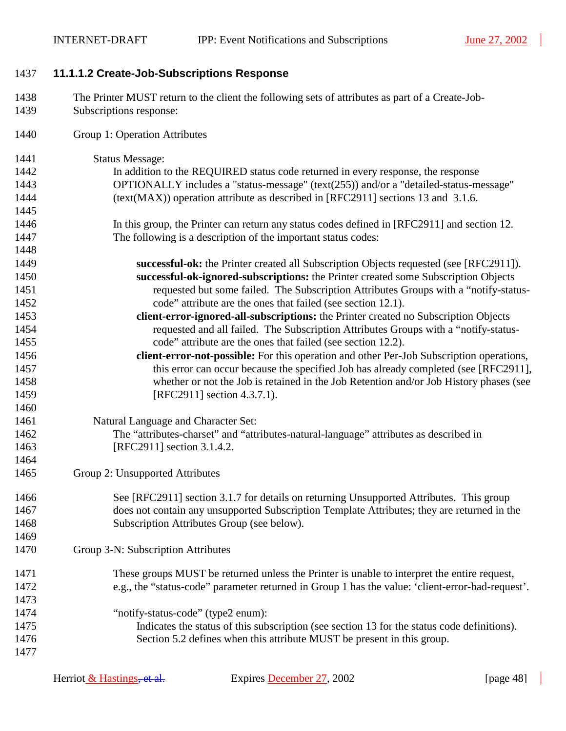## <span id="page-47-0"></span>1437 **11.1.1.2 Create-Job-Subscriptions Response**

- 1438 The Printer MUST return to the client the following sets of attributes as part of a Create-Job-1439 Subscriptions response:
- 1440 Group 1: Operation Attributes

| 1441 | <b>Status Message:</b>                                                                           |
|------|--------------------------------------------------------------------------------------------------|
| 1442 | In addition to the REQUIRED status code returned in every response, the response                 |
| 1443 | OPTIONALLY includes a "status-message" (text(255)) and/or a "detailed-status-message"            |
| 1444 | (text(MAX)) operation attribute as described in [RFC2911] sections 13 and 3.1.6.                 |
| 1445 |                                                                                                  |
| 1446 | In this group, the Printer can return any status codes defined in [RFC2911] and section 12.      |
| 1447 | The following is a description of the important status codes:                                    |
| 1448 |                                                                                                  |
| 1449 | successful-ok: the Printer created all Subscription Objects requested (see [RFC2911]).           |
| 1450 | successful-ok-ignored-subscriptions: the Printer created some Subscription Objects               |
| 1451 | requested but some failed. The Subscription Attributes Groups with a "notify-status-             |
| 1452 | code" attribute are the ones that failed (see section 12.1).                                     |
| 1453 | client-error-ignored-all-subscriptions: the Printer created no Subscription Objects              |
| 1454 | requested and all failed. The Subscription Attributes Groups with a "notify-status-              |
| 1455 | code" attribute are the ones that failed (see section 12.2).                                     |
| 1456 | client-error-not-possible: For this operation and other Per-Job Subscription operations,         |
| 1457 | this error can occur because the specified Job has already completed (see [RFC2911],             |
| 1458 | whether or not the Job is retained in the Job Retention and/or Job History phases (see           |
| 1459 | [RFC2911] section 4.3.7.1).                                                                      |
| 1460 |                                                                                                  |
| 1461 | Natural Language and Character Set:                                                              |
| 1462 | The "attributes-charset" and "attributes-natural-language" attributes as described in            |
| 1463 | [RFC2911] section 3.1.4.2.                                                                       |
| 1464 |                                                                                                  |
| 1465 | Group 2: Unsupported Attributes                                                                  |
| 1466 | See [RFC2911] section 3.1.7 for details on returning Unsupported Attributes. This group          |
| 1467 | does not contain any unsupported Subscription Template Attributes; they are returned in the      |
| 1468 | Subscription Attributes Group (see below).                                                       |
| 1469 |                                                                                                  |
| 1470 | Group 3-N: Subscription Attributes                                                               |
| 1471 | These groups MUST be returned unless the Printer is unable to interpret the entire request,      |
| 1472 | e.g., the "status-code" parameter returned in Group 1 has the value: 'client-error-bad-request'. |
| 1473 |                                                                                                  |
| 1474 | "notify-status-code" (type2 enum):                                                               |
| 1475 | Indicates the status of this subscription (see section 13 for the status code definitions).      |
| 1476 | Section 5.2 defines when this attribute MUST be present in this group.                           |
| 1477 |                                                                                                  |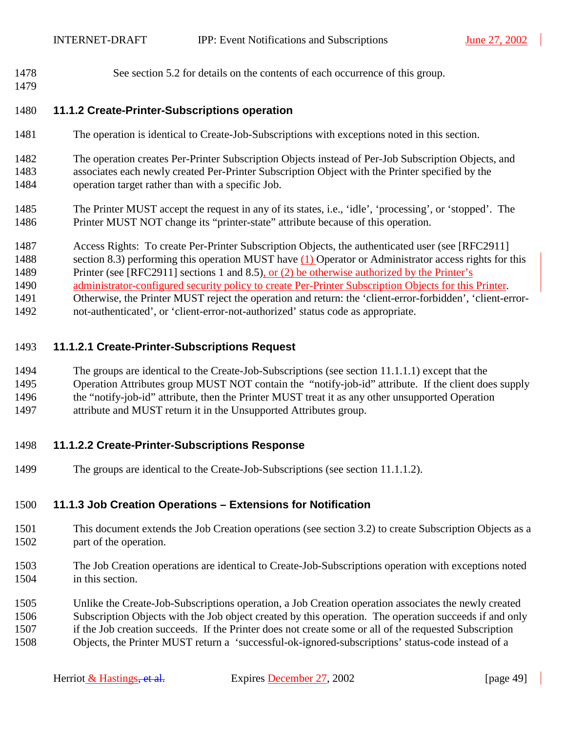<span id="page-48-0"></span>1478 See section [5.2](#page-15-0) for details on the contents of each occurrence of this group.

1479

1480 **11.1.2 Create-Printer-Subscriptions operation** 

- 1481 The operation is identical to Create-Job-Subscriptions with exceptions noted in this section.
- 1482 The operation creates Per-Printer Subscription Objects instead of Per-Job Subscription Objects, and 1483 associates each newly created Per-Printer Subscription Object with the Printer specified by the 1484 operation target rather than with a specific Job.
- 1485 The Printer MUST accept the request in any of its states, i.e., 'idle', 'processing', or 'stopped'. The 1486 Printer MUST NOT change its "printer-state" attribute because of this operation.
- 1487 Access Rights: To create Per-Printer Subscription Objects, the authenticated user (see [RFC2911]
- 1488 section 8.3) performing this operation MUST have (1) Operator or Administrator access rights for this
- 1489 Printer (see [RFC2911] sections 1 and 8.5), or (2) be otherwise authorized by the Printer's
- 1490 administrator-configured security policy to create Per-Printer Subscription Objects for this Printer.
- 1491 Otherwise, the Printer MUST reject the operation and return: the 'client-error-forbidden', 'client-error-
- 1492 not-authenticated', or 'client-error-not-authorized' status code as appropriate.

## 1493 **11.1.2.1 Create-Printer-Subscriptions Request**

- 1494 The groups are identical to the Create-Job-Subscriptions (see section [11.1.1.1\)](#page-46-0) except that the 1495 Operation Attributes group MUST NOT contain the "notify-job-id" attribute. If the client does supply
- 1496 the "notify-job-id" attribute, then the Printer MUST treat it as any other unsupported Operation
- 1497 attribute and MUST return it in the Unsupported Attributes group.

## 1498 **11.1.2.2 Create-Printer-Subscriptions Response**

1499 The groups are identical to the Create-Job-Subscriptions (see section [11.1.1.2\)](#page-47-0).

## 1500 **11.1.3 Job Creation Operations – Extensions for Notification**

- 1501 This document extends the Job Creation operations (see section [3.2\)](#page-11-0) to create Subscription Objects as a 1502 part of the operation.
- 1503 The Job Creation operations are identical to Create-Job-Subscriptions operation with exceptions noted 1504 in this section.
- 1505 Unlike the Create-Job-Subscriptions operation, a Job Creation operation associates the newly created 1506 Subscription Objects with the Job object created by this operation. The operation succeeds if and only 1507 if the Job creation succeeds. If the Printer does not create some or all of the requested Subscription 1508 Objects, the Printer MUST return a 'successful-ok-ignored-subscriptions' status-code instead of a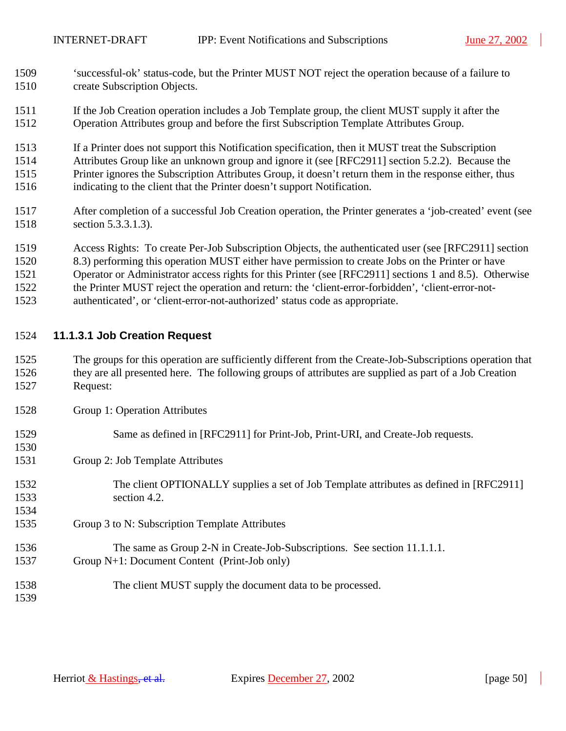- <span id="page-49-0"></span>1509 'successful-ok' status-code, but the Printer MUST NOT reject the operation because of a failure to 1510 create Subscription Objects.
- 1511 If the Job Creation operation includes a Job Template group, the client MUST supply it after the 1512 Operation Attributes group and before the first Subscription Template Attributes Group.
- 1513 If a Printer does not support this Notification specification, then it MUST treat the Subscription
- 1514 Attributes Group like an unknown group and ignore it (see [RFC2911] section 5.2.2). Because the
- 1515 Printer ignores the Subscription Attributes Group, it doesn't return them in the response either, thus
- 1516 indicating to the client that the Printer doesn't support Notification.
- 1517 After completion of a successful Job Creation operation, the Printer generates a 'job-created' event (see 1518 section [5.3.3.1.3\)](#page-23-0).
- 1519 Access Rights: To create Per-Job Subscription Objects, the authenticated user (see [RFC2911] section
- 1520 8.3) performing this operation MUST either have permission to create Jobs on the Printer or have
- 1521 Operator or Administrator access rights for this Printer (see [RFC2911] sections 1 and 8.5). Otherwise
- 1522 the Printer MUST reject the operation and return: the 'client-error-forbidden', 'client-error-not-
- 1523 authenticated', or 'client-error-not-authorized' status code as appropriate.

## 1524 **11.1.3.1 Job Creation Request**

- 1525 The groups for this operation are sufficiently different from the Create-Job-Subscriptions operation that 1526 they are all presented here. The following groups of attributes are supplied as part of a Job Creation 1527 Request:
- 1528 Group 1: Operation Attributes

1530

- 1529 Same as defined in [RFC2911] for Print-Job, Print-URI, and Create-Job requests.
- 1531 Group 2: Job Template Attributes
- 1532 The client OPTIONALLY supplies a set of Job Template attributes as defined in [RFC2911] 1533 section 4.2. 1534
- 1535 Group 3 to N: Subscription Template Attributes
- 1536 The same as Group 2-N in Create-Job-Subscriptions. See section [11.1.1.1.](#page-46-0) 1537 Group N+1: Document Content (Print-Job only)
- 1538 The client MUST supply the document data to be processed. 1539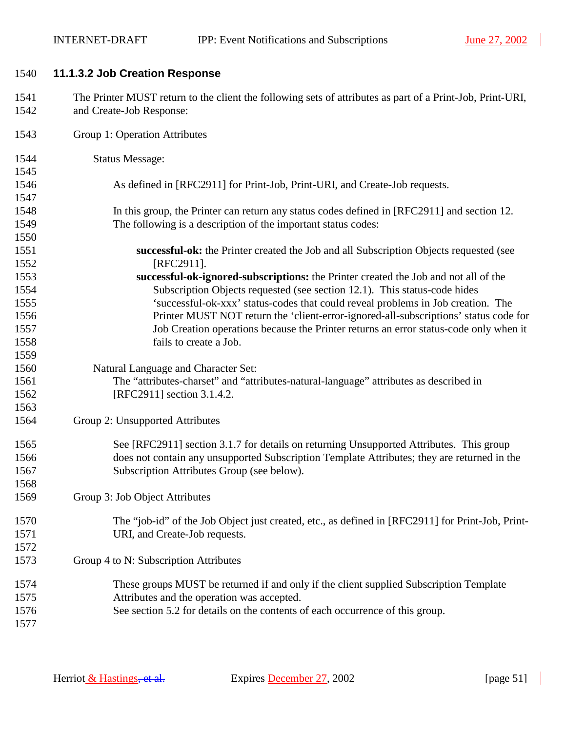$\overline{\phantom{a}}$ 

| 1540         | 11.1.3.2 Job Creation Response                                                                                                        |
|--------------|---------------------------------------------------------------------------------------------------------------------------------------|
| 1541<br>1542 | The Printer MUST return to the client the following sets of attributes as part of a Print-Job, Print-URI,<br>and Create-Job Response: |
|              |                                                                                                                                       |
| 1543         | Group 1: Operation Attributes                                                                                                         |
| 1544         | <b>Status Message:</b>                                                                                                                |
| 1545         |                                                                                                                                       |
| 1546         | As defined in [RFC2911] for Print-Job, Print-URI, and Create-Job requests.                                                            |
| 1547         |                                                                                                                                       |
| 1548         | In this group, the Printer can return any status codes defined in [RFC2911] and section 12.                                           |
| 1549         | The following is a description of the important status codes:                                                                         |
| 1550         |                                                                                                                                       |
| 1551<br>1552 | successful-ok: the Printer created the Job and all Subscription Objects requested (see<br>[RFC2911].                                  |
| 1553         | successful-ok-ignored-subscriptions: the Printer created the Job and not all of the                                                   |
| 1554         | Subscription Objects requested (see section 12.1). This status-code hides                                                             |
| 1555         | 'successful-ok-xxx' status-codes that could reveal problems in Job creation. The                                                      |
| 1556         | Printer MUST NOT return the 'client-error-ignored-all-subscriptions' status code for                                                  |
| 1557         | Job Creation operations because the Printer returns an error status-code only when it                                                 |
| 1558         | fails to create a Job.                                                                                                                |
| 1559         |                                                                                                                                       |
| 1560         | Natural Language and Character Set:                                                                                                   |
| 1561         | The "attributes-charset" and "attributes-natural-language" attributes as described in                                                 |
| 1562         | [RFC2911] section 3.1.4.2.                                                                                                            |
| 1563         |                                                                                                                                       |
| 1564         | Group 2: Unsupported Attributes                                                                                                       |
| 1565         | See [RFC2911] section 3.1.7 for details on returning Unsupported Attributes. This group                                               |
| 1566         | does not contain any unsupported Subscription Template Attributes; they are returned in the                                           |
| 1567         | Subscription Attributes Group (see below).                                                                                            |
| 1568         |                                                                                                                                       |
| 1569         | Group 3: Job Object Attributes                                                                                                        |
| 1570         | The "job-id" of the Job Object just created, etc., as defined in [RFC2911] for Print-Job, Print-                                      |
| 1571         | URI, and Create-Job requests.                                                                                                         |
| 1572         |                                                                                                                                       |
| 1573         | Group 4 to N: Subscription Attributes                                                                                                 |
| 1574         | These groups MUST be returned if and only if the client supplied Subscription Template                                                |
| 1575         | Attributes and the operation was accepted.                                                                                            |
| 1576         | See section 5.2 for details on the contents of each occurrence of this group.                                                         |
| 1577         |                                                                                                                                       |

 $\overline{\phantom{a}}$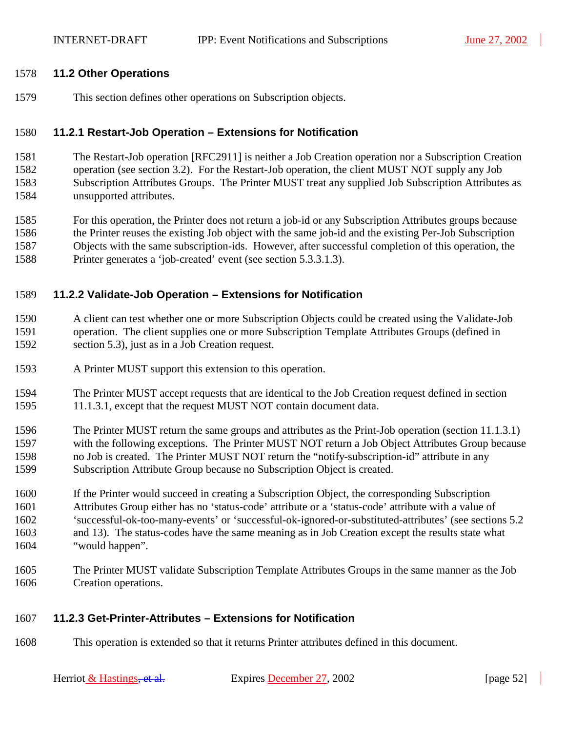#### <span id="page-51-0"></span>1578 **11.2 Other Operations**

1579 This section defines other operations on Subscription objects.

#### 1580 **11.2.1 Restart-Job Operation – Extensions for Notification**

1581 The Restart-Job operation [RFC2911] is neither a Job Creation operation nor a Subscription Creation 1582 operation (see section [3.2\)](#page-11-0). For the Restart-Job operation, the client MUST NOT supply any Job 1583 Subscription Attributes Groups. The Printer MUST treat any supplied Job Subscription Attributes as 1584 unsupported attributes.

1585 For this operation, the Printer does not return a job-id or any Subscription Attributes groups because 1586 the Printer reuses the existing Job object with the same job-id and the existing Per-Job Subscription 1587 Objects with the same subscription-ids. However, after successful completion of this operation, the 1588 Printer generates a 'job-created' event (see section [5.3.3.1.3\)](#page-23-0).

#### 1589 **11.2.2 Validate-Job Operation – Extensions for Notification**

- 1590 A client can test whether one or more Subscription Objects could be created using the Validate-Job 1591 operation. The client supplies one or more Subscription Template Attributes Groups (defined in 1592 section [5.3\)](#page-18-0), just as in a Job Creation request.
- 1593 A Printer MUST support this extension to this operation.
- 1594 The Printer MUST accept requests that are identical to the Job Creation request defined in section 1595 [11.1.3.1,](#page-49-0) except that the request MUST NOT contain document data.
- 1596 The Printer MUST return the same groups and attributes as the Print-Job operation (section [11.1.3.1\)](#page-49-0) 1597 with the following exceptions. The Printer MUST NOT return a Job Object Attributes Group because 1598 no Job is created. The Printer MUST NOT return the "notify-subscription-id" attribute in any 1599 Subscription Attribute Group because no Subscription Object is created.
- 1600 If the Printer would succeed in creating a Subscription Object, the corresponding Subscription 1601 Attributes Group either has no 'status-code' attribute or a 'status-code' attribute with a value of 1602 'successful-ok-too-many-events' or 'successful-ok-ignored-or-substituted-attributes' (see sections [5.2](#page-15-0)  1603 and [13\)](#page-62-0). The status-codes have the same meaning as in Job Creation except the results state what 1604 "would happen".
- 1605 The Printer MUST validate Subscription Template Attributes Groups in the same manner as the Job 1606 Creation operations.

## 1607 **11.2.3 Get-Printer-Attributes – Extensions for Notification**

1608 This operation is extended so that it returns Printer attributes defined in this document.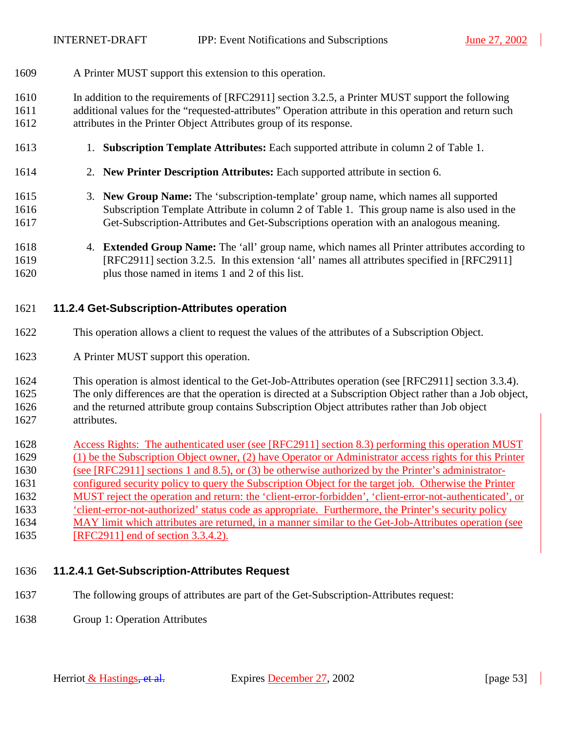<span id="page-52-0"></span>1609 A Printer MUST support this extension to this operation.

1610 In addition to the requirements of [RFC2911] section 3.2.5, a Printer MUST support the following 1611 additional values for the "requested-attributes" Operation attribute in this operation and return such 1612 attributes in the Printer Object Attributes group of its response.

- 1613 1. **Subscription Template Attributes:** Each supported attribute in column 2 of [Table 1.](#page-19-0)
- 1614 2. **New Printer Description Attributes:** Each supported attribute in section [6.](#page-33-0)
- 1615 3. **New Group Name:** The 'subscription-template' group name, which names all supported 1616 Subscription Template Attribute in column 2 of [Table 1.](#page-19-0) This group name is also used in the 1617 Get-Subscription-Attributes and Get-Subscriptions operation with an analogous meaning.
- 1618 4. **Extended Group Name:** The 'all' group name, which names all Printer attributes according to 1619 [RFC2911] section 3.2.5. In this extension 'all' names all attributes specified in [RFC2911] 1620 plus those named in items 1 and 2 of this list.

#### 1621 **11.2.4 Get-Subscription-Attributes operation**

- 1622 This operation allows a client to request the values of the attributes of a Subscription Object.
- 1623 A Printer MUST support this operation.
- 1624 This operation is almost identical to the Get-Job-Attributes operation (see [RFC2911] section 3.3.4).
- 1625 The only differences are that the operation is directed at a Subscription Object rather than a Job object,
- 1626 and the returned attribute group contains Subscription Object attributes rather than Job object 1627 attributes.
- 1628 Access Rights: The authenticated user (see [RFC2911] section 8.3) performing this operation MUST 1629 (1) be the Subscription Object owner, (2) have Operator or Administrator access rights for this Printer 1630 (see [RFC2911] sections 1 and 8.5), or (3) be otherwise authorized by the Printer's administrator-1631 configured security policy to query the Subscription Object for the target job. Otherwise the Printer 1632 MUST reject the operation and return: the 'client-error-forbidden', 'client-error-not-authenticated', or 1633 'client-error-not-authorized' status code as appropriate. Furthermore, the Printer's security policy 1634 MAY limit which attributes are returned, in a manner similar to the Get-Job-Attributes operation (see 1635 [RFC2911] end of section 3.3.4.2).

## 1636 **11.2.4.1 Get-Subscription-Attributes Request**

- 1637 The following groups of attributes are part of the Get-Subscription-Attributes request:
- 1638 Group 1: Operation Attributes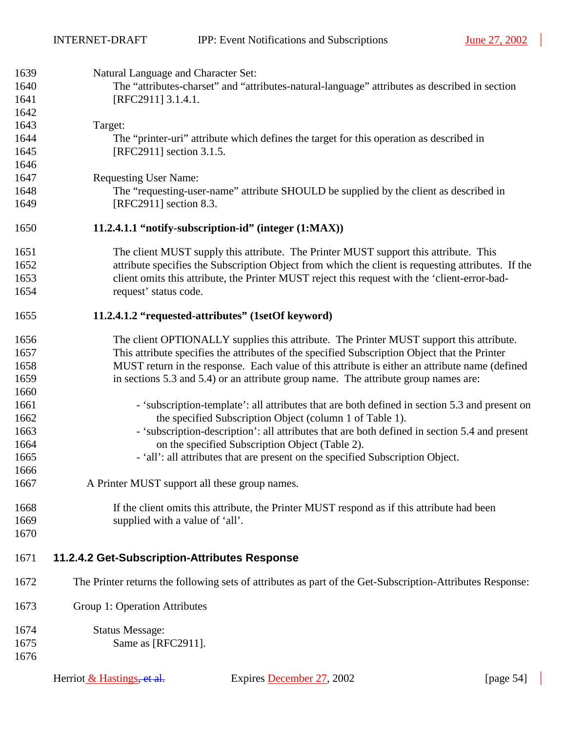$\overline{\phantom{a}}$ 

<span id="page-53-0"></span>

| 1639 | Natural Language and Character Set:           |                                                                                                           |              |
|------|-----------------------------------------------|-----------------------------------------------------------------------------------------------------------|--------------|
| 1640 |                                               | The "attributes-charset" and "attributes-natural-language" attributes as described in section             |              |
| 1641 | [RFC2911] 3.1.4.1.                            |                                                                                                           |              |
| 1642 |                                               |                                                                                                           |              |
| 1643 | Target:                                       |                                                                                                           |              |
| 1644 |                                               | The "printer-uri" attribute which defines the target for this operation as described in                   |              |
| 1645 | [RFC2911] section 3.1.5.                      |                                                                                                           |              |
| 1646 |                                               |                                                                                                           |              |
| 1647 | <b>Requesting User Name:</b>                  |                                                                                                           |              |
| 1648 |                                               | The "requesting-user-name" attribute SHOULD be supplied by the client as described in                     |              |
| 1649 | [RFC2911] section 8.3.                        |                                                                                                           |              |
| 1650 |                                               | 11.2.4.1.1 "notify-subscription-id" (integer (1:MAX))                                                     |              |
| 1651 |                                               | The client MUST supply this attribute. The Printer MUST support this attribute. This                      |              |
| 1652 |                                               | attribute specifies the Subscription Object from which the client is requesting attributes. If the        |              |
| 1653 |                                               | client omits this attribute, the Printer MUST reject this request with the 'client-error-bad-             |              |
| 1654 | request' status code.                         |                                                                                                           |              |
| 1655 |                                               | 11.2.4.1.2 "requested-attributes" (1setOf keyword)                                                        |              |
| 1656 |                                               | The client OPTIONALLY supplies this attribute. The Printer MUST support this attribute.                   |              |
| 1657 |                                               | This attribute specifies the attributes of the specified Subscription Object that the Printer             |              |
| 1658 |                                               | MUST return in the response. Each value of this attribute is either an attribute name (defined            |              |
| 1659 |                                               | in sections 5.3 and 5.4) or an attribute group name. The attribute group names are:                       |              |
| 1660 |                                               |                                                                                                           |              |
| 1661 |                                               | - 'subscription-template': all attributes that are both defined in section 5.3 and present on             |              |
| 1662 |                                               | the specified Subscription Object (column 1 of Table 1).                                                  |              |
| 1663 |                                               | - 'subscription-description': all attributes that are both defined in section 5.4 and present             |              |
| 1664 |                                               | on the specified Subscription Object (Table 2).                                                           |              |
| 1665 |                                               | - 'all': all attributes that are present on the specified Subscription Object.                            |              |
| 1666 |                                               |                                                                                                           |              |
| 1667 | A Printer MUST support all these group names. |                                                                                                           |              |
| 1668 |                                               | If the client omits this attribute, the Printer MUST respond as if this attribute had been                |              |
| 1669 | supplied with a value of 'all'.               |                                                                                                           |              |
| 1670 |                                               |                                                                                                           |              |
| 1671 | 11.2.4.2 Get-Subscription-Attributes Response |                                                                                                           |              |
| 1672 |                                               | The Printer returns the following sets of attributes as part of the Get-Subscription-Attributes Response: |              |
| 1673 | Group 1: Operation Attributes                 |                                                                                                           |              |
| 1674 | <b>Status Message:</b>                        |                                                                                                           |              |
| 1675 | Same as [RFC2911].                            |                                                                                                           |              |
| 1676 |                                               |                                                                                                           |              |
|      |                                               |                                                                                                           |              |
|      | Herriot & Hastings, et al.                    | Expires December 27, 2002                                                                                 | [page $54$ ] |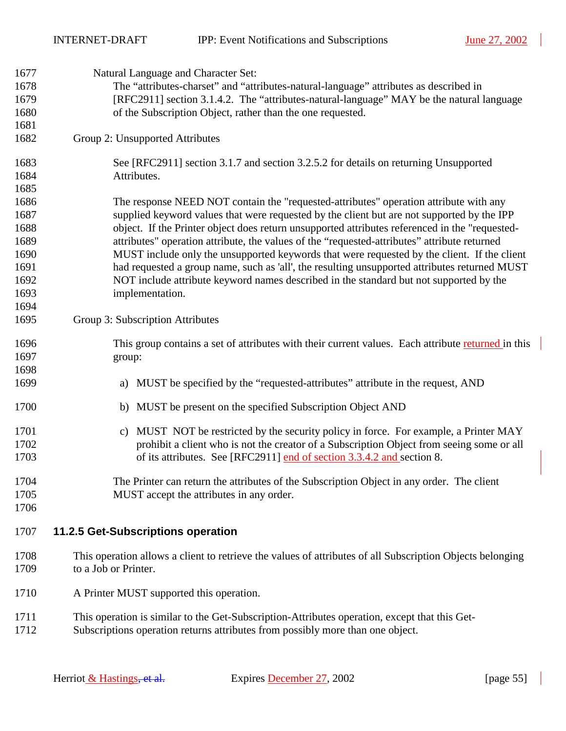$\overline{\phantom{a}}$ 

<span id="page-54-0"></span>

| 1677 | Natural Language and Character Set:                                                                       |
|------|-----------------------------------------------------------------------------------------------------------|
| 1678 | The "attributes-charset" and "attributes-natural-language" attributes as described in                     |
| 1679 | [RFC2911] section 3.1.4.2. The "attributes-natural-language" MAY be the natural language                  |
| 1680 | of the Subscription Object, rather than the one requested.                                                |
| 1681 |                                                                                                           |
| 1682 | Group 2: Unsupported Attributes                                                                           |
| 1683 | See [RFC2911] section 3.1.7 and section 3.2.5.2 for details on returning Unsupported                      |
| 1684 | Attributes.                                                                                               |
| 1685 |                                                                                                           |
| 1686 | The response NEED NOT contain the "requested-attributes" operation attribute with any                     |
| 1687 | supplied keyword values that were requested by the client but are not supported by the IPP                |
| 1688 | object. If the Printer object does return unsupported attributes referenced in the "requested-            |
| 1689 | attributes" operation attribute, the values of the "requested-attributes" attribute returned              |
| 1690 | MUST include only the unsupported keywords that were requested by the client. If the client               |
|      |                                                                                                           |
| 1691 | had requested a group name, such as 'all', the resulting unsupported attributes returned MUST             |
| 1692 | NOT include attribute keyword names described in the standard but not supported by the                    |
| 1693 | implementation.                                                                                           |
| 1694 |                                                                                                           |
| 1695 | Group 3: Subscription Attributes                                                                          |
| 1696 | This group contains a set of attributes with their current values. Each attribute returned in this        |
| 1697 | group:                                                                                                    |
| 1698 |                                                                                                           |
| 1699 | a) MUST be specified by the "requested-attributes" attribute in the request, AND                          |
| 1700 | b) MUST be present on the specified Subscription Object AND                                               |
| 1701 | MUST NOT be restricted by the security policy in force. For example, a Printer MAY<br>C)                  |
| 1702 | prohibit a client who is not the creator of a Subscription Object from seeing some or all                 |
| 1703 | of its attributes. See [RFC2911] end of section 3.3.4.2 and section 8.                                    |
| 1704 | The Printer can return the attributes of the Subscription Object in any order. The client                 |
| 1705 | MUST accept the attributes in any order.                                                                  |
| 1706 |                                                                                                           |
| 1707 | 11.2.5 Get-Subscriptions operation                                                                        |
| 1708 | This operation allows a client to retrieve the values of attributes of all Subscription Objects belonging |
| 1709 | to a Job or Printer.                                                                                      |
|      |                                                                                                           |
| 1710 | A Printer MUST supported this operation.                                                                  |
| 1711 | This operation is similar to the Get-Subscription-Attributes operation, except that this Get-             |
| 1712 | Subscriptions operation returns attributes from possibly more than one object.                            |

 $\overline{\phantom{a}}$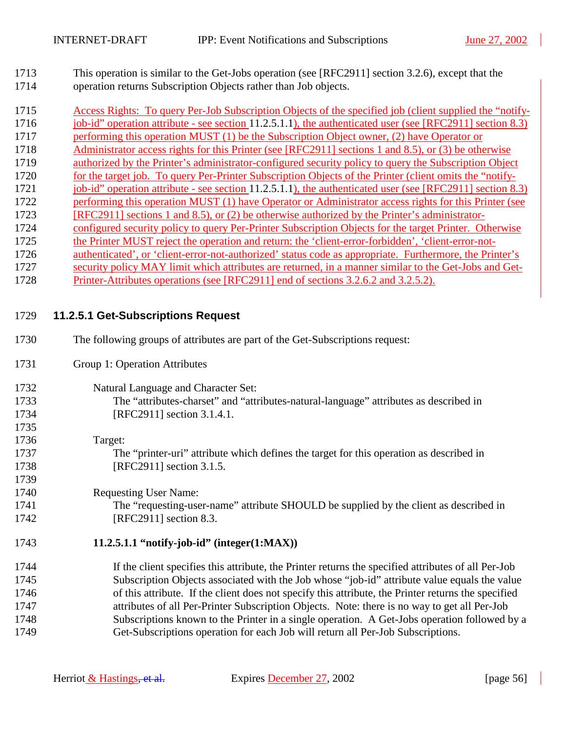<span id="page-55-0"></span>1713 This operation is similar to the Get-Jobs operation (see [RFC2911] section 3.2.6), except that the 1714 operation returns Subscription Objects rather than Job objects.

1715 Access Rights: To query Per-Job Subscription Objects of the specified job (client supplied the "notify-1716 job-id" operation attribute - see section 11.2.5.1.1), the authenticated user (see [RFC2911] section 8.3) 1717 performing this operation MUST (1) be the Subscription Object owner, (2) have Operator or 1718 Administrator access rights for this Printer (see [RFC2911] sections 1 and 8.5), or (3) be otherwise 1719 authorized by the Printer's administrator-configured security policy to query the Subscription Object 1720 for the target job. To query Per-Printer Subscription Objects of the Printer (client omits the "notify-1721 job-id" operation attribute - see section 11.2.5.1.1), the authenticated user (see [RFC2911] section 8.3) 1722 performing this operation MUST (1) have Operator or Administrator access rights for this Printer (see 1723 [RFC2911] sections 1 and 8.5), or (2) be otherwise authorized by the Printer's administrator-1724 configured security policy to query Per-Printer Subscription Objects for the target Printer. Otherwise 1725 the Printer MUST reject the operation and return: the 'client-error-forbidden', 'client-error-not-1726 authenticated', or 'client-error-not-authorized' status code as appropriate. Furthermore, the Printer's 1727 security policy MAY limit which attributes are returned, in a manner similar to the Get-Jobs and Get-1728 Printer-Attributes operations (see [RFC2911] end of sections 3.2.6.2 and 3.2.5.2).

## 1729 **11.2.5.1 Get-Subscriptions Request**

- 1730 The following groups of attributes are part of the Get-Subscriptions request: 1731 Group 1: Operation Attributes 1732 Natural Language and Character Set: 1733 The "attributes-charset" and "attributes-natural-language" attributes as described in 1734 [RFC2911] section 3.1.4.1. 1735 1736 Target: 1737 The "printer-uri" attribute which defines the target for this operation as described in 1738 [RFC2911] section 3.1.5. 1739 1740 Requesting User Name: 1741 The "requesting-user-name" attribute SHOULD be supplied by the client as described in 1742 **[RFC2911]** section 8.3. 1743 **11.2.5.1.1 "notify-job-id" (integer(1:MAX))**
- 1744 If the client specifies this attribute, the Printer returns the specified attributes of all Per-Job 1745 Subscription Objects associated with the Job whose "job-id" attribute value equals the value 1746 of this attribute. If the client does not specify this attribute, the Printer returns the specified 1747 attributes of all Per-Printer Subscription Objects. Note: there is no way to get all Per-Job 1748 Subscriptions known to the Printer in a single operation. A Get-Jobs operation followed by a 1749 Get-Subscriptions operation for each Job will return all Per-Job Subscriptions.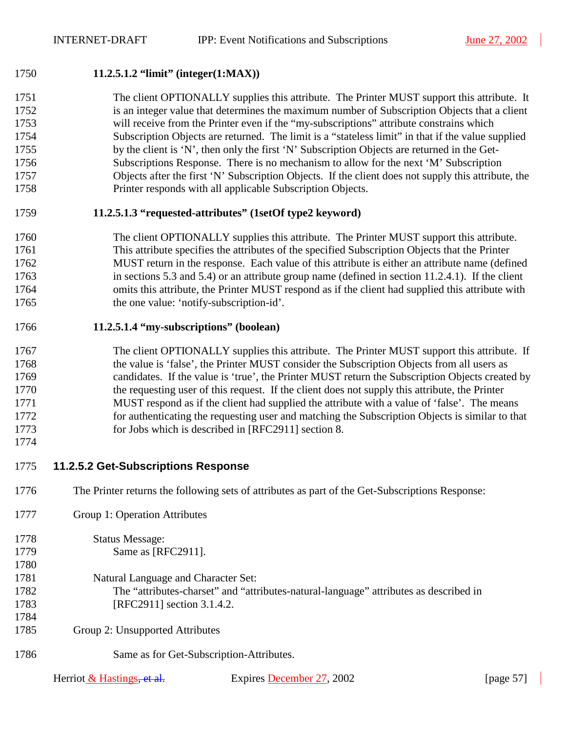#### 1750 **11.2.5.1.2 "limit" (integer(1:MAX))**

1751 The client OPTIONALLY supplies this attribute. The Printer MUST support this attribute. It 1752 is an integer value that determines the maximum number of Subscription Objects that a client 1753 will receive from the Printer even if the "my-subscriptions" attribute constrains which 1754 Subscription Objects are returned. The limit is a "stateless limit" in that if the value supplied 1755 by the client is 'N', then only the first 'N' Subscription Objects are returned in the Get-1756 Subscriptions Response. There is no mechanism to allow for the next 'M' Subscription 1757 Objects after the first 'N' Subscription Objects. If the client does not supply this attribute, the 1758 Printer responds with all applicable Subscription Objects.

#### 1759 **11.2.5.1.3 "requested-attributes" (1setOf type2 keyword)**

## 1760 The client OPTIONALLY supplies this attribute. The Printer MUST support this attribute. 1761 This attribute specifies the attributes of the specified Subscription Objects that the Printer 1762 MUST return in the response. Each value of this attribute is either an attribute name (defined 1763 in sections [5.3](#page-18-0) and [5.4\)](#page-30-0) or an attribute group name (defined in section [11.2.4.1\)](#page-52-0). If the client 1764 omits this attribute, the Printer MUST respond as if the client had supplied this attribute with 1765 the one value: 'notify-subscription-id'.

#### 1766 **11.2.5.1.4 "my-subscriptions" (boolean)**

## 1767 The client OPTIONALLY supplies this attribute. The Printer MUST support this attribute. If 1768 the value is 'false', the Printer MUST consider the Subscription Objects from all users as 1769 candidates. If the value is 'true', the Printer MUST return the Subscription Objects created by 1770 the requesting user of this request. If the client does not supply this attribute, the Printer 1771 MUST respond as if the client had supplied the attribute with a value of 'false'. The means 1772 for authenticating the requesting user and matching the Subscription Objects is similar to that 1773 for Jobs which is described in [RFC2911] section 8.

1774

## 1775 **11.2.5.2 Get-Subscriptions Response**

- 1776 The Printer returns the following sets of attributes as part of the Get-Subscriptions Response:
- 1777 Group 1: Operation Attributes

| 1778 | <b>Status Message:</b>                                                                |
|------|---------------------------------------------------------------------------------------|
| 1779 | Same as [RFC2911].                                                                    |
| 1780 |                                                                                       |
| 1781 | Natural Language and Character Set:                                                   |
| 1782 | The "attributes-charset" and "attributes-natural-language" attributes as described in |
| 1783 | [RFC2911] section 3.1.4.2.                                                            |
| 1784 |                                                                                       |
| 1785 | Group 2: Unsupported Attributes                                                       |
| 1786 | Same as for Get-Subscription-Attributes.                                              |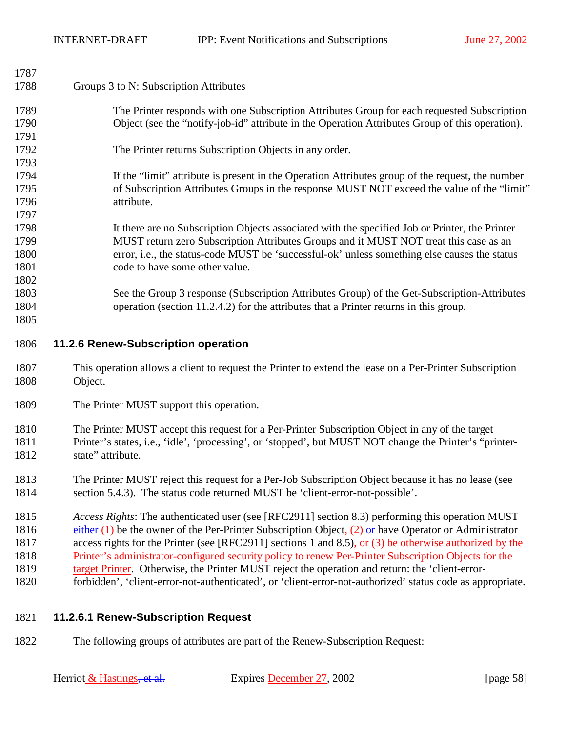<span id="page-57-0"></span>

| 1787         |                                                                                                           |
|--------------|-----------------------------------------------------------------------------------------------------------|
| 1788         | Groups 3 to N: Subscription Attributes                                                                    |
| 1789         | The Printer responds with one Subscription Attributes Group for each requested Subscription               |
| 1790         | Object (see the "notify-job-id" attribute in the Operation Attributes Group of this operation).           |
| 1791         |                                                                                                           |
| 1792         | The Printer returns Subscription Objects in any order.                                                    |
| 1793         |                                                                                                           |
| 1794         | If the "limit" attribute is present in the Operation Attributes group of the request, the number          |
| 1795         | of Subscription Attributes Groups in the response MUST NOT exceed the value of the "limit"                |
| 1796         | attribute.                                                                                                |
| 1797         |                                                                                                           |
| 1798         | It there are no Subscription Objects associated with the specified Job or Printer, the Printer            |
| 1799         | MUST return zero Subscription Attributes Groups and it MUST NOT treat this case as an                     |
| 1800         | error, i.e., the status-code MUST be 'successful-ok' unless something else causes the status              |
| 1801         | code to have some other value.                                                                            |
| 1802         |                                                                                                           |
| 1803         | See the Group 3 response (Subscription Attributes Group) of the Get-Subscription-Attributes               |
| 1804<br>1805 | operation (section 11.2.4.2) for the attributes that a Printer returns in this group.                     |
|              |                                                                                                           |
|              |                                                                                                           |
| 1806         | 11.2.6 Renew-Subscription operation                                                                       |
| 1807         | This operation allows a client to request the Printer to extend the lease on a Per-Printer Subscription   |
| 1808         | Object.                                                                                                   |
| 1809         | The Printer MUST support this operation.                                                                  |
| 1810         | The Printer MUST accept this request for a Per-Printer Subscription Object in any of the target           |
| 1811         | Printer's states, i.e., 'idle', 'processing', or 'stopped', but MUST NOT change the Printer's "printer-   |
| 1812         | state" attribute.                                                                                         |
| 1813         | The Printer MUST reject this request for a Per-Job Subscription Object because it has no lease (see       |
| 1814         | section 5.4.3). The status code returned MUST be 'client-error-not-possible'.                             |
| 1815         | Access Rights: The authenticated user (see [RFC2911] section 8.3) performing this operation MUST          |
| 1816         | either $(1)$ be the owner of the Per-Printer Subscription Object, $(2)$ or have Operator or Administrator |
| 1817         | access rights for the Printer (see [RFC2911] sections 1 and 8.5), or $(3)$ be otherwise authorized by the |
| 1818         | Printer's administrator-configured security policy to renew Per-Printer Subscription Objects for the      |
| 1819         | target Printer. Otherwise, the Printer MUST reject the operation and return: the 'client-error-           |

## 1821 **11.2.6.1 Renew-Subscription Request**

1822 The following groups of attributes are part of the Renew-Subscription Request: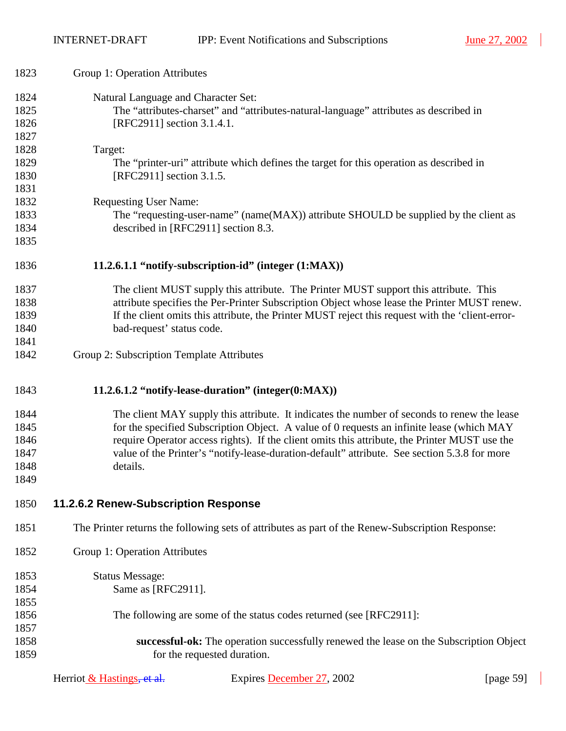| 1823 | Group 1: Operation Attributes                                                                    |
|------|--------------------------------------------------------------------------------------------------|
| 1824 | Natural Language and Character Set:                                                              |
| 1825 | The "attributes-charset" and "attributes-natural-language" attributes as described in            |
| 1826 | [RFC2911] section 3.1.4.1.                                                                       |
| 1827 |                                                                                                  |
| 1828 | Target:                                                                                          |
| 1829 | The "printer-uri" attribute which defines the target for this operation as described in          |
| 1830 | [RFC2911] section 3.1.5.                                                                         |
| 1831 |                                                                                                  |
| 1832 | <b>Requesting User Name:</b>                                                                     |
| 1833 | The "requesting-user-name" (name(MAX)) attribute SHOULD be supplied by the client as             |
| 1834 | described in [RFC2911] section 8.3.                                                              |
| 1835 |                                                                                                  |
| 1836 | 11.2.6.1.1 "notify-subscription-id" (integer (1:MAX))                                            |
| 1837 | The client MUST supply this attribute. The Printer MUST support this attribute. This             |
| 1838 | attribute specifies the Per-Printer Subscription Object whose lease the Printer MUST renew.      |
| 1839 | If the client omits this attribute, the Printer MUST reject this request with the 'client-error- |
| 1840 | bad-request' status code.                                                                        |
| 1841 |                                                                                                  |
| 1842 | Group 2: Subscription Template Attributes                                                        |
| 1843 | 11.2.6.1.2 "notify-lease-duration" (integer(0:MAX))                                              |
| 1844 | The client MAY supply this attribute. It indicates the number of seconds to renew the lease      |
| 1845 | for the specified Subscription Object. A value of 0 requests an infinite lease (which MAY        |
| 1846 | require Operator access rights). If the client omits this attribute, the Printer MUST use the    |
| 1847 | value of the Printer's "notify-lease-duration-default" attribute. See section 5.3.8 for more     |
| 1848 | details.                                                                                         |
| 1849 |                                                                                                  |
| 1850 | 11.2.6.2 Renew-Subscription Response                                                             |
| 1851 | The Printer returns the following sets of attributes as part of the Renew-Subscription Response: |
| 1852 | Group 1: Operation Attributes                                                                    |
| 1853 | <b>Status Message:</b>                                                                           |
| 1854 | Same as [RFC2911].                                                                               |
| 1855 |                                                                                                  |
| 1856 | The following are some of the status codes returned (see [RFC2911]:                              |
| 1857 |                                                                                                  |
| 1858 | successful-ok: The operation successfully renewed the lease on the Subscription Object           |
| 1859 | for the requested duration.                                                                      |
|      |                                                                                                  |

| Herriot & Hastings, et al. | Еx |
|----------------------------|----|
|----------------------------|----|

prices **December 27**, 2002 [page 59]

 $\overline{\phantom{a}}$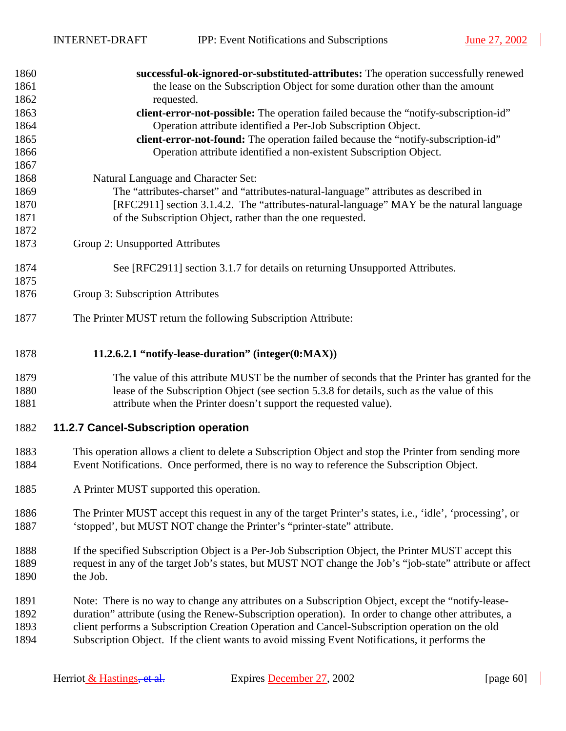$\overline{\phantom{a}}$ 

<span id="page-59-0"></span>

| 1860         | successful-ok-ignored-or-substituted-attributes: The operation successfully renewed                                                                                                                        |
|--------------|------------------------------------------------------------------------------------------------------------------------------------------------------------------------------------------------------------|
| 1861         | the lease on the Subscription Object for some duration other than the amount                                                                                                                               |
| 1862         | requested.                                                                                                                                                                                                 |
| 1863         | client-error-not-possible: The operation failed because the "notify-subscription-id"                                                                                                                       |
| 1864         | Operation attribute identified a Per-Job Subscription Object.                                                                                                                                              |
| 1865         | client-error-not-found: The operation failed because the "notify-subscription-id"                                                                                                                          |
| 1866         | Operation attribute identified a non-existent Subscription Object.                                                                                                                                         |
| 1867         |                                                                                                                                                                                                            |
| 1868         | Natural Language and Character Set:                                                                                                                                                                        |
| 1869         | The "attributes-charset" and "attributes-natural-language" attributes as described in                                                                                                                      |
| 1870         | [RFC2911] section 3.1.4.2. The "attributes-natural-language" MAY be the natural language                                                                                                                   |
| 1871         | of the Subscription Object, rather than the one requested.                                                                                                                                                 |
| 1872         |                                                                                                                                                                                                            |
| 1873         | Group 2: Unsupported Attributes                                                                                                                                                                            |
| 1874         | See [RFC2911] section 3.1.7 for details on returning Unsupported Attributes.                                                                                                                               |
| 1875         |                                                                                                                                                                                                            |
| 1876         | Group 3: Subscription Attributes                                                                                                                                                                           |
|              |                                                                                                                                                                                                            |
| 1877         | The Printer MUST return the following Subscription Attribute:                                                                                                                                              |
|              |                                                                                                                                                                                                            |
| 1878         | 11.2.6.2.1 "notify-lease-duration" (integer(0:MAX))                                                                                                                                                        |
| 1879         | The value of this attribute MUST be the number of seconds that the Printer has granted for the                                                                                                             |
| 1880         | lease of the Subscription Object (see section 5.3.8 for details, such as the value of this                                                                                                                 |
| 1881         | attribute when the Printer doesn't support the requested value).                                                                                                                                           |
| 1882         | 11.2.7 Cancel-Subscription operation                                                                                                                                                                       |
|              |                                                                                                                                                                                                            |
| 1883         | This operation allows a client to delete a Subscription Object and stop the Printer from sending more                                                                                                      |
| 1884         | Event Notifications. Once performed, there is no way to reference the Subscription Object.                                                                                                                 |
|              |                                                                                                                                                                                                            |
| 1885         | A Printer MUST supported this operation.                                                                                                                                                                   |
| 1886         | The Printer MUST accept this request in any of the target Printer's states, i.e., 'idle', 'processing', or                                                                                                 |
| 1887         | 'stopped', but MUST NOT change the Printer's "printer-state" attribute.                                                                                                                                    |
|              |                                                                                                                                                                                                            |
| 1888         | If the specified Subscription Object is a Per-Job Subscription Object, the Printer MUST accept this                                                                                                        |
| 1889         | request in any of the target Job's states, but MUST NOT change the Job's "job-state" attribute or affect                                                                                                   |
| 1890         | the Job.                                                                                                                                                                                                   |
|              |                                                                                                                                                                                                            |
| 1891<br>1892 | Note: There is no way to change any attributes on a Subscription Object, except the "notify-lease-<br>duration" attribute (using the Renew-Subscription operation). In order to change other attributes, a |
| 1893         | client performs a Subscription Creation Operation and Cancel-Subscription operation on the old                                                                                                             |
| 1894         | Subscription Object. If the client wants to avoid missing Event Notifications, it performs the                                                                                                             |
|              |                                                                                                                                                                                                            |
|              |                                                                                                                                                                                                            |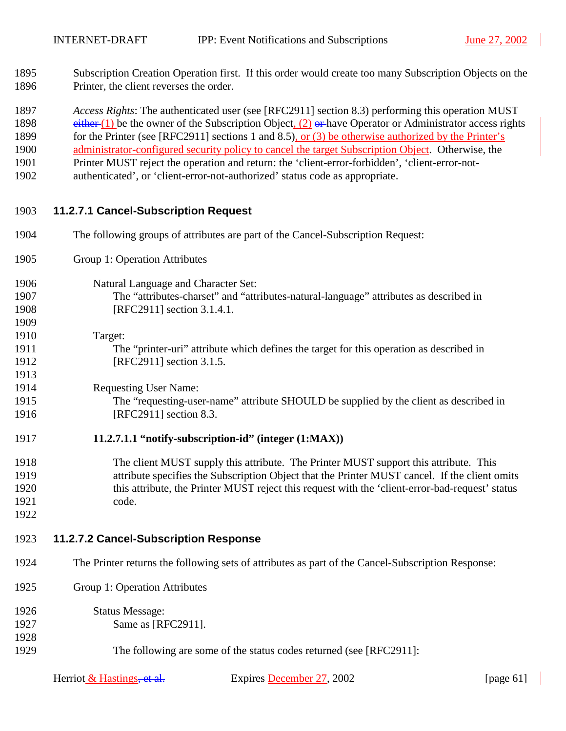- 1895 Subscription Creation Operation first. If this order would create too many Subscription Objects on the 1896 Printer, the client reverses the order.
- 1897 *Access Rights*: The authenticated user (see [RFC2911] section 8.3) performing this operation MUST
- 1898 either (1) be the owner of the Subscription Object,  $(2)$  or have Operator or Administrator access rights
- 1899 for the Printer (see [RFC2911] sections 1 and 8.5), or (3) be otherwise authorized by the Printer's
- 1900 administrator-configured security policy to cancel the target Subscription Object. Otherwise, the
- 1901 Printer MUST reject the operation and return: the 'client-error-forbidden', 'client-error-not-
- 1902 authenticated', or 'client-error-not-authorized' status code as appropriate.

## 1903 **11.2.7.1 Cancel-Subscription Request**

- 1904 The following groups of attributes are part of the Cancel-Subscription Request:
- 1905 Group 1: Operation Attributes

## 1906 Natural Language and Character Set:

- 1907 The "attributes-charset" and "attributes-natural-language" attributes as described in 1908 [RFC2911] section 3.1.4.1.
- 1909
- 1910 Target:
- 1911 The "printer-uri" attribute which defines the target for this operation as described in 1912 [RFC2911] section 3.1.5.

1914 Requesting User Name:

1915 The "requesting-user-name" attribute SHOULD be supplied by the client as described in 1916 [RFC2911] section 8.3.

## 1917 **11.2.7.1.1 "notify-subscription-id" (integer (1:MAX))**

- 1918 The client MUST supply this attribute. The Printer MUST support this attribute. This 1919 attribute specifies the Subscription Object that the Printer MUST cancel. If the client omits 1920 this attribute, the Printer MUST reject this request with the 'client-error-bad-request' status 1921 code.
- 1922

1928

1913

## 1923 **11.2.7.2 Cancel-Subscription Response**

- 1924 The Printer returns the following sets of attributes as part of the Cancel-Subscription Response:
- 1925 Group 1: Operation Attributes
- 1926 Status Message: 1927 **Same as [RFC2911].**
- 1929 The following are some of the status codes returned (see [RFC2911]: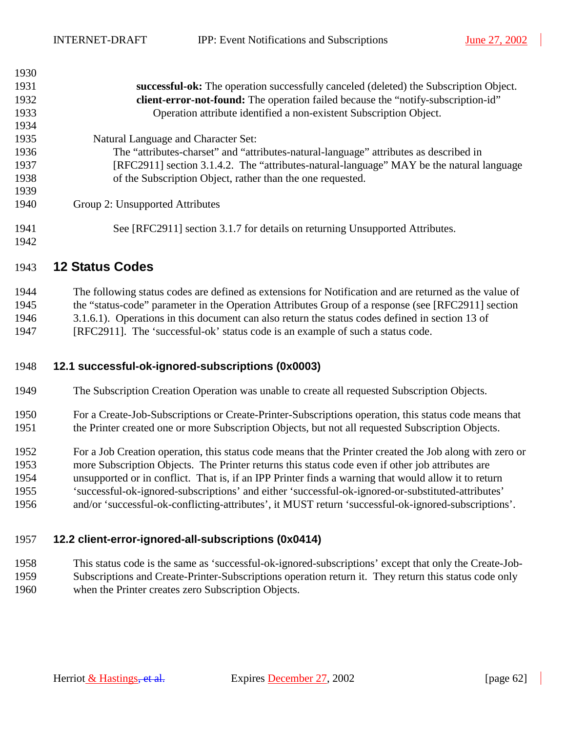<span id="page-61-0"></span> $1930$ 

| 1930. |                                                                                          |
|-------|------------------------------------------------------------------------------------------|
| 1931  | successful-ok: The operation successfully canceled (deleted) the Subscription Object.    |
| 1932  | client-error-not-found: The operation failed because the "notify-subscription-id"        |
| 1933  | Operation attribute identified a non-existent Subscription Object.                       |
| 1934  |                                                                                          |
| 1935  | Natural Language and Character Set:                                                      |
| 1936  | The "attributes-charset" and "attributes-natural-language" attributes as described in    |
| 1937  | [RFC2911] section 3.1.4.2. The "attributes-natural-language" MAY be the natural language |
| 1938  | of the Subscription Object, rather than the one requested.                               |
| 1939  |                                                                                          |
| 1940  | Group 2: Unsupported Attributes                                                          |
| 1941  | See [RFC2911] section 3.1.7 for details on returning Unsupported Attributes.             |
| 1942  |                                                                                          |

## 1943 **12 Status Codes**

1944 The following status codes are defined as extensions for Notification and are returned as the value of 1945 the "status-code" parameter in the Operation Attributes Group of a response (see [RFC2911] section 1946 3.1.6.1). Operations in this document can also return the status codes defined in section 13 of 1947 [RFC2911]. The 'successful-ok' status code is an example of such a status code.

## 1948 **12.1 successful-ok-ignored-subscriptions (0x0003)**

1949 The Subscription Creation Operation was unable to create all requested Subscription Objects.

- 1950 For a Create-Job-Subscriptions or Create-Printer-Subscriptions operation, this status code means that 1951 the Printer created one or more Subscription Objects, but not all requested Subscription Objects.
- 1952 For a Job Creation operation, this status code means that the Printer created the Job along with zero or 1953 more Subscription Objects. The Printer returns this status code even if other job attributes are 1954 unsupported or in conflict. That is, if an IPP Printer finds a warning that would allow it to return 1955 'successful-ok-ignored-subscriptions' and either 'successful-ok-ignored-or-substituted-attributes' 1956 and/or 'successful-ok-conflicting-attributes', it MUST return 'successful-ok-ignored-subscriptions'.

## 1957 **12.2 client-error-ignored-all-subscriptions (0x0414)**

1958 This status code is the same as 'successful-ok-ignored-subscriptions' except that only the Create-Job-1959 Subscriptions and Create-Printer-Subscriptions operation return it. They return this status code only 1960 when the Printer creates zero Subscription Objects.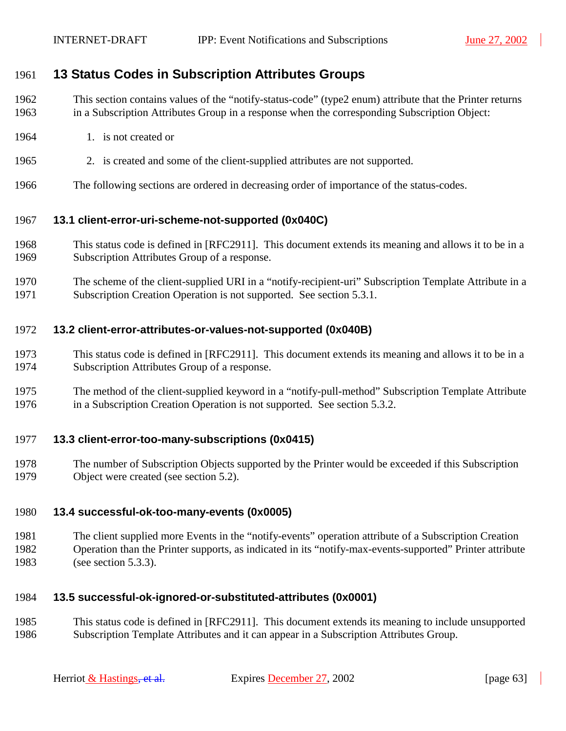## <span id="page-62-0"></span>1961 **13 Status Codes in Subscription Attributes Groups**

- 1962 This section contains values of the "notify-status-code" (type2 enum) attribute that the Printer returns 1963 in a Subscription Attributes Group in a response when the corresponding Subscription Object:
- 1964 1. is not created or
- 1965 2. is created and some of the client-supplied attributes are not supported.
- 1966 The following sections are ordered in decreasing order of importance of the status-codes.

#### 1967 **13.1 client-error-uri-scheme-not-supported (0x040C)**

- 1968 This status code is defined in [RFC2911]. This document extends its meaning and allows it to be in a 1969 Subscription Attributes Group of a response.
- 1970 The scheme of the client-supplied URI in a "notify-recipient-uri" Subscription Template Attribute in a 1971 Subscription Creation Operation is not supported. See section [5.3.1.](#page-19-0)

#### 1972 **13.2 client-error-attributes-or-values-not-supported (0x040B)**

- 1973 This status code is defined in [RFC2911]. This document extends its meaning and allows it to be in a 1974 Subscription Attributes Group of a response.
- 1975 The method of the client-supplied keyword in a "notify-pull-method" Subscription Template Attribute 1976 in a Subscription Creation Operation is not supported. See section [5.3.2.](#page-20-0)

#### 1977 **13.3 client-error-too-many-subscriptions (0x0415)**

1978 The number of Subscription Objects supported by the Printer would be exceeded if this Subscription 1979 Object were created (see section [5.2\)](#page-15-0).

## 1980 **13.4 successful-ok-too-many-events (0x0005)**

1981 The client supplied more Events in the "notify-events" operation attribute of a Subscription Creation 1982 Operation than the Printer supports, as indicated in its "notify-max-events-supported" Printer attribute 1983 (see section [5.3.3\)](#page-20-0).

## 1984 **13.5 successful-ok-ignored-or-substituted-attributes (0x0001)**

1985 This status code is defined in [RFC2911]. This document extends its meaning to include unsupported 1986 Subscription Template Attributes and it can appear in a Subscription Attributes Group.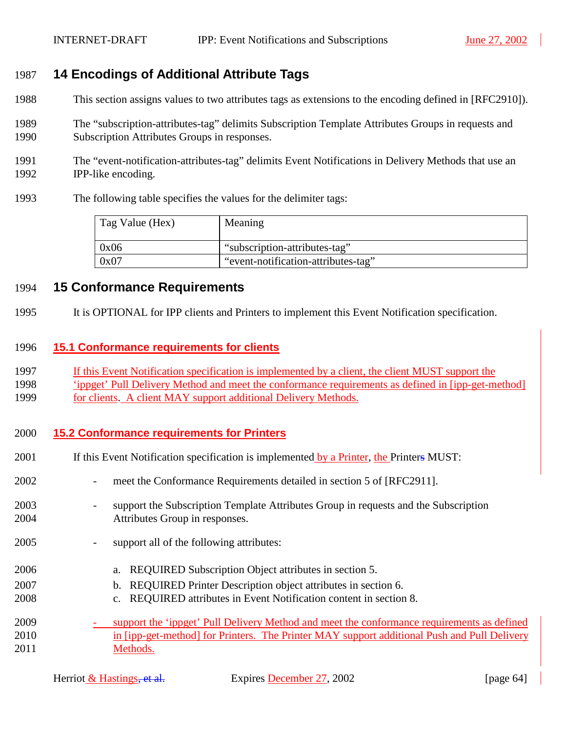## <span id="page-63-0"></span>1987 **14 Encodings of Additional Attribute Tags**

- 1988 This section assigns values to two attributes tags as extensions to the encoding defined in [RFC2910]).
- 1989 The "subscription-attributes-tag" delimits Subscription Template Attributes Groups in requests and 1990 Subscription Attributes Groups in responses.
- 1991 The "event-notification-attributes-tag" delimits Event Notifications in Delivery Methods that use an 1992 IPP-like encoding.
- 1993 The following table specifies the values for the delimiter tags:

| Tag Value (Hex) | Meaning                             |
|-----------------|-------------------------------------|
| 0x06            | "subscription-attributes-tag"       |
| 0x07            | "event-notification-attributes-tag" |

## 1994 **15 Conformance Requirements**

1995 It is OPTIONAL for IPP clients and Printers to implement this Event Notification specification.

## 1996 **15.1 Conformance requirements for clients**

- 1997 If this Event Notification specification is implemented by a client, the client MUST support the
- 1998 'ippget' Pull Delivery Method and meet the conformance requirements as defined in [ipp-get-method]
- 1999 for clients. A client MAY support additional Delivery Methods.

## 2000 **15.2 Conformance requirements for Printers**

- 2001 If this Event Notification specification is implemented by a Printer, the Printers MUST:
- 2002 meet the Conformance Requirements detailed in section 5 of [RFC2911].
- 2003 support the Subscription Template Attributes Group in requests and the Subscription 2004 Attributes Group in responses.
- 2005 support all of the following attributes:
- 2006 a. REQUIRED Subscription Object attributes in section [5.](#page-14-0)
- 2007 b. REQUIRED Printer Description object attributes in section [6.](#page-33-0)
- 2008 c. REQUIRED attributes in Event Notification content in section [8.](#page-35-0)
- 2009 support the 'ippget' Pull Delivery Method and meet the conformance requirements as defined 2010 in [ipp-get-method] for Printers. The Printer MAY support additional Push and Pull Delivery 2011 Methods.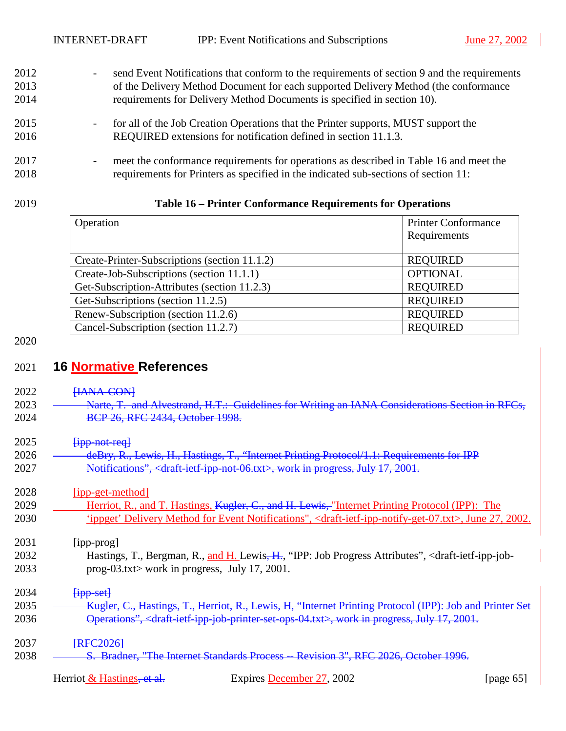- 2012 send Event Notifications that conform to the requirements of section [9](#page-35-0) and the requirements 2013 of the Delivery Method Document for each supported Delivery Method (the conformance 2014 requirements for Delivery Method Documents is specified in section [10\)](#page-43-0).
- 2015 for all of the Job Creation Operations that the Printer supports, MUST support the 2016 REQUIRED extensions for notification defined in section [11.1.3.](#page-48-0)
- 2017 meet the conformance requirements for operations as described in Table 16 and meet the 2018 requirements for Printers as specified in the indicated sub-sections of section [11:](#page-45-0)

#### 2019 **Table 16 – Printer Conformance Requirements for Operations**

| Operation                                     | <b>Printer Conformance</b> |
|-----------------------------------------------|----------------------------|
|                                               | Requirements               |
|                                               |                            |
| Create-Printer-Subscriptions (section 11.1.2) | <b>REQUIRED</b>            |
| Create-Job-Subscriptions (section 11.1.1)     | <b>OPTIONAL</b>            |
| Get-Subscription-Attributes (section 11.2.3)  | <b>REQUIRED</b>            |
| Get-Subscriptions (section 11.2.5)            | <b>REQUIRED</b>            |
| Renew-Subscription (section 11.2.6)           | <b>REQUIRED</b>            |
| Cancel-Subscription (section 11.2.7)          | <b>REQUIRED</b>            |

## 2020

## 2021 **16 Normative References**

- 2022 **HANA-CON**
- 2023 Narte, T. and Alvestrand, H.T.: Guidelines for Writing an IANA Considerations Section in RFCs. 2024 **BCP 26, RFC 2434, October 1998.**
- $2025$   $\frac{1}{1}$   $\frac{1}{2}$   $\frac{1}{2}$   $\frac{1}{2}$   $\frac{1}{2}$   $\frac{1}{2}$   $\frac{1}{2}$   $\frac{1}{2}$   $\frac{1}{2}$   $\frac{1}{2}$   $\frac{1}{2}$   $\frac{1}{2}$   $\frac{1}{2}$   $\frac{1}{2}$   $\frac{1}{2}$   $\frac{1}{2}$   $\frac{1}{2}$   $\frac{1}{2}$   $\frac{1}{2}$   $\frac{1}{2}$   $\frac{1}{2}$   $\frac{$

| 2026 | deRry R Lawis H Hastings T "Internet Printing Protocol/1 1: Requirements for IDD<br><u>uchty, R., Lewis, H., Hastings, T., Thiemet Fililing Flotocol/T.T. Requirements for IFF</u> |
|------|------------------------------------------------------------------------------------------------------------------------------------------------------------------------------------|
| 2027 | Notifications", <draft-ietf-ipp-not-06.txt>, work in progress, July 17, 2001.</draft-ietf-ipp-not-06.txt>                                                                          |

2028 [ipp-get-method]

2029 Herriot, R., and T. Hastings, Kugler, C., and H. Lewis, "Internet Printing Protocol (IPP): The 2030 'ippget' Delivery Method for Event Notifications", <draft-ietf-ipp-notify-get-07.txt>, June 27, 2002.

2031 [ipp-prog]

2032 Hastings, T., Bergman, R., and H. Lewis<del>, H.</del>, "IPP: Job Progress Attributes", <draft-ietf-ipp-job-2033 prog-03.txt> work in progress, July 17, 2001.

 $2034$   $\frac{[ipp\text{-}set]}{[ipp\text{-}set]}$ 

2035 **Kugler, C., Hastings, T., Herriot, R., Lewis, H. "Internet Printing Protocol (IPP): Job and Printer Set** 2036 Operations", <draft-ietf-ipp-job-printer-set-ops-04.txt>, work in progress, July 17, 2001.

## 2037 **FRFC20261**

2038 <del>S. Bradner, "The Internet Standards Process -- Revision 3", RFC 2026, October 1996.</del>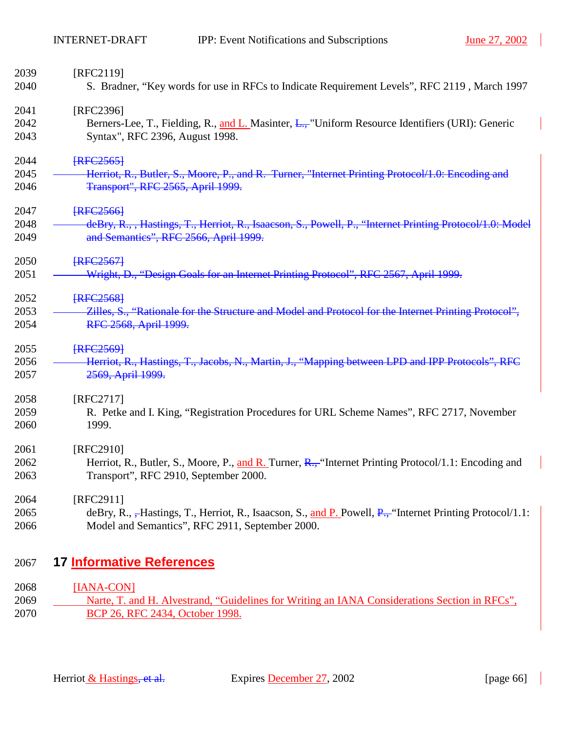| 2039 | [RFC2119]                                                                                                       |
|------|-----------------------------------------------------------------------------------------------------------------|
| 2040 | S. Bradner, "Key words for use in RFCs to Indicate Requirement Levels", RFC 2119, March 1997                    |
| 2041 | [RFC2396]                                                                                                       |
| 2042 | Berners-Lee, T., Fielding, R., and L. Masinter, L., "Uniform Resource Identifiers (URI): Generic                |
| 2043 | Syntax", RFC 2396, August 1998.                                                                                 |
| 2044 | <b>FRFC2565</b>                                                                                                 |
| 2045 | Herriot, R., Butler, S., Moore, P., and R. Turner, "Internet Printing Protocol/1.0: Encoding and                |
| 2046 | Transport", RFC 2565, April 1999.                                                                               |
| 2047 | <b>FRFC25661</b>                                                                                                |
| 2048 | deBry, R., , Hastings, T., Herriot, R., Isaacson, S., Powell, P., "Internet Printing Protocol/1.0: Model        |
| 2049 | and Semantics", RFC 2566, April 1999.                                                                           |
| 2050 | <b>IRFC25671</b>                                                                                                |
| 2051 | Wright, D., "Design Goals for an Internet Printing Protocol", RFC 2567, April 1999.                             |
| 2052 | <b>FRFC25681</b>                                                                                                |
| 2053 | Zilles, S., "Rationale for the Structure and Model and Protocol for the Internet Printing Protocol",            |
| 2054 | RFC 2568, April 1999.                                                                                           |
| 2055 | <b>FRFC25691</b>                                                                                                |
| 2056 | Herriot, R., Hastings, T., Jacobs, N., Martin, J., "Mapping between LPD and IPP Protocols", RFC                 |
| 2057 | 2569, April 1999.                                                                                               |
| 2058 | [RFC2717]                                                                                                       |
| 2059 | R. Petke and I. King, "Registration Procedures for URL Scheme Names", RFC 2717, November                        |
| 2060 | 1999.                                                                                                           |
| 2061 | [RFC2910]                                                                                                       |
| 2062 | Herriot, R., Butler, S., Moore, P., and R. Turner, $R_{\text{m}}$ "Internet Printing Protocol/1.1: Encoding and |
| 2063 | Transport", RFC 2910, September 2000.                                                                           |
| 2064 | [RFC2911]                                                                                                       |
| 2065 | deBry, R., -Hastings, T., Herriot, R., Isaacson, S., and P. Powell, P., "Internet Printing Protocol/1.1:        |
| 2066 | Model and Semantics", RFC 2911, September 2000.                                                                 |

## 2067 **17 Informative References**

## 2068 [IANA-CON]

2069 Narte, T. and H. Alvestrand, "Guidelines for Writing an IANA Considerations Section in RFCs", 2070 BCP 26, RFC 2434, October 1998.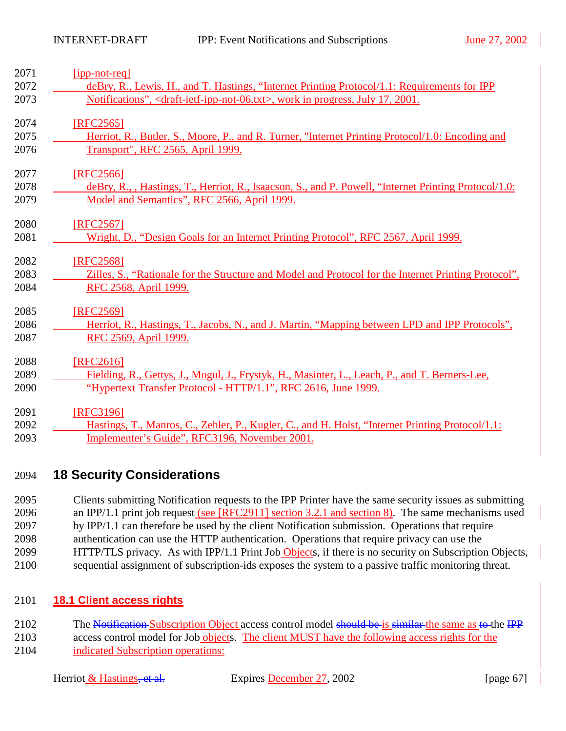| 2071 | $[ipp-not-reg]$                                                                                           |
|------|-----------------------------------------------------------------------------------------------------------|
| 2072 | deBry, R., Lewis, H., and T. Hastings, "Internet Printing Protocol/1.1: Requirements for IPP              |
| 2073 | Notifications", <draft-ietf-ipp-not-06.txt>, work in progress, July 17, 2001.</draft-ietf-ipp-not-06.txt> |
| 2074 | [RFC2565]                                                                                                 |
| 2075 | Herriot, R., Butler, S., Moore, P., and R. Turner, "Internet Printing Protocol/1.0: Encoding and          |
| 2076 | Transport", RFC 2565, April 1999.                                                                         |
| 2077 | [RFC2566]                                                                                                 |
| 2078 | deBry, R., , Hastings, T., Herriot, R., Isaacson, S., and P. Powell, "Internet Printing Protocol/1.0:     |
| 2079 | Model and Semantics", RFC 2566, April 1999.                                                               |
| 2080 | [RFC2567]                                                                                                 |
| 2081 | Wright, D., "Design Goals for an Internet Printing Protocol", RFC 2567, April 1999.                       |
| 2082 | [RFC2568]                                                                                                 |
| 2083 | Zilles, S., "Rationale for the Structure and Model and Protocol for the Internet Printing Protocol",      |
| 2084 | RFC 2568, April 1999.                                                                                     |
| 2085 | [RFC2569]                                                                                                 |
| 2086 | Herriot, R., Hastings, T., Jacobs, N., and J. Martin, "Mapping between LPD and IPP Protocols",            |
| 2087 | RFC 2569, April 1999.                                                                                     |
| 2088 | [RFC2616]                                                                                                 |
| 2089 | Fielding, R., Gettys, J., Mogul, J., Frystyk, H., Masinter, L., Leach, P., and T. Berners-Lee,            |
| 2090 | "Hypertext Transfer Protocol - HTTP/1.1", RFC 2616, June 1999.                                            |
| 2091 | [RFC3196]                                                                                                 |
| 2092 | Hastings, T., Manros, C., Zehler, P., Kugler, C., and H. Holst, "Internet Printing Protocol/1.1:          |
| 2093 | Implementer's Guide", RFC3196, November 2001.                                                             |

## 2094 **18 Security Considerations**

2095 Clients submitting Notification requests to the IPP Printer have the same security issues as submitting 2096 an IPP/1.1 print job request (see [RFC2911] section 3.2.1 and section 8). The same mechanisms used 2097 by IPP/1.1 can therefore be used by the client Notification submission. Operations that require 2098 authentication can use the HTTP authentication. Operations that require privacy can use the 2099 HTTP/TLS privacy. As with IPP/1.1 Print Job Objects, if there is no security on Subscription Objects, 2100 sequential assignment of subscription-ids exposes the system to a passive traffic monitoring threat.

## 2101 **18.1 Client access rights**

2102 The Notification Subscription Object access control model should be is similar the same as to the IPP 2103 access control model for Job objects. The client MUST have the following access rights for the 2104 indicated Subscription operations: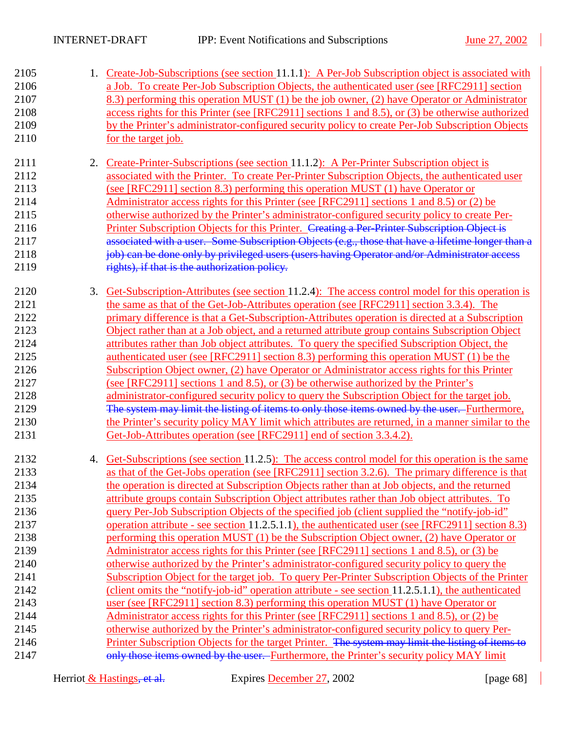| 2105<br>2106<br>2107<br>2108<br>2109<br>2110                                                                                 |    | 1. Create-Job-Subscriptions (see section 11.1.1): A Per-Job Subscription object is associated with<br>a Job. To create Per-Job Subscription Objects, the authenticated user (see [RFC2911] section<br>8.3) performing this operation MUST (1) be the job owner, (2) have Operator or Administrator<br>access rights for this Printer (see [RFC2911] sections 1 and 8.5), or (3) be otherwise authorized<br>by the Printer's administrator-configured security policy to create Per-Job Subscription Objects<br>for the target job.                                                                                                                                                                                                                                                                                                                                                                                                                                                                                                                                                                                                                                                                                                                                                                                                                                                                                                                                                                                                                                                                    |
|------------------------------------------------------------------------------------------------------------------------------|----|-------------------------------------------------------------------------------------------------------------------------------------------------------------------------------------------------------------------------------------------------------------------------------------------------------------------------------------------------------------------------------------------------------------------------------------------------------------------------------------------------------------------------------------------------------------------------------------------------------------------------------------------------------------------------------------------------------------------------------------------------------------------------------------------------------------------------------------------------------------------------------------------------------------------------------------------------------------------------------------------------------------------------------------------------------------------------------------------------------------------------------------------------------------------------------------------------------------------------------------------------------------------------------------------------------------------------------------------------------------------------------------------------------------------------------------------------------------------------------------------------------------------------------------------------------------------------------------------------------|
| 2111<br>2112<br>2113<br>2114<br>2115<br>2116<br>2117<br>2118<br>2119                                                         | 2. | Create-Printer-Subscriptions (see section 11.1.2): A Per-Printer Subscription object is<br>associated with the Printer. To create Per-Printer Subscription Objects, the authenticated user<br>(see [RFC2911] section 8.3) performing this operation MUST (1) have Operator or<br>Administrator access rights for this Printer (see [RFC2911] sections 1 and 8.5) or (2) be<br>otherwise authorized by the Printer's administrator-configured security policy to create Per-<br>Printer Subscription Objects for this Printer. Creating a Per-Printer Subscription Object is<br>associated with a user. Some Subscription Objects (e.g., those that have a lifetime longer than a<br>job) can be done only by privileged users (users having Operator and/or Administrator access<br>rights), if that is the authorization policy.                                                                                                                                                                                                                                                                                                                                                                                                                                                                                                                                                                                                                                                                                                                                                                     |
| 2120<br>2121<br>2122<br>2123<br>2124<br>2125<br>2126<br>2127<br>2128<br>2129<br>2130<br>2131                                 | 3. | Get-Subscription-Attributes (see section 11.2.4): The access control model for this operation is<br>the same as that of the Get-Job-Attributes operation (see [RFC2911] section 3.3.4). The<br>primary difference is that a Get-Subscription-Attributes operation is directed at a Subscription<br>Object rather than at a Job object, and a returned attribute group contains Subscription Object<br>attributes rather than Job object attributes. To query the specified Subscription Object, the<br>authenticated user (see [RFC2911] section 8.3) performing this operation MUST (1) be the<br>Subscription Object owner, (2) have Operator or Administrator access rights for this Printer<br>(see [RFC2911] sections 1 and 8.5), or (3) be otherwise authorized by the Printer's<br>administrator-configured security policy to query the Subscription Object for the target job.<br>The system may limit the listing of items to only those items owned by the user. Furthermore,<br>the Printer's security policy MAY limit which attributes are returned, in a manner similar to the<br>Get-Job-Attributes operation (see [RFC2911] end of section 3.3.4.2).                                                                                                                                                                                                                                                                                                                                                                                                                                 |
| 2132<br>2133<br>2134<br>2135<br>2136<br>2137<br>2138<br>2139<br>2140<br>2141<br>2142<br>2143<br>2144<br>2145<br>2146<br>2147 | 4. | Get-Subscriptions (see section 11.2.5): The access control model for this operation is the same<br>as that of the Get-Jobs operation (see [RFC2911] section 3.2.6). The primary difference is that<br>the operation is directed at Subscription Objects rather than at Job objects, and the returned<br>attribute groups contain Subscription Object attributes rather than Job object attributes. To<br>query Per-Job Subscription Objects of the specified job (client supplied the "notify-job-id"<br>operation attribute - see section 11.2.5.1.1), the authenticated user (see [RFC2911] section 8.3)<br>performing this operation MUST (1) be the Subscription Object owner, (2) have Operator or<br>Administrator access rights for this Printer (see [RFC2911] sections 1 and 8.5), or (3) be<br>otherwise authorized by the Printer's administrator-configured security policy to query the<br>Subscription Object for the target job. To query Per-Printer Subscription Objects of the Printer<br>(client omits the "notify-job-id" operation attribute - see section 11.2.5.1.1), the authenticated<br>user (see [RFC2911] section 8.3) performing this operation MUST (1) have Operator or<br>Administrator access rights for this Printer (see [RFC2911] sections 1 and 8.5), or (2) be<br>otherwise authorized by the Printer's administrator-configured security policy to query Per-<br>Printer Subscription Objects for the target Printer. The system may limit the listing of items to<br>only those items owned by the user. Furthermore, the Printer's security policy MAY limit |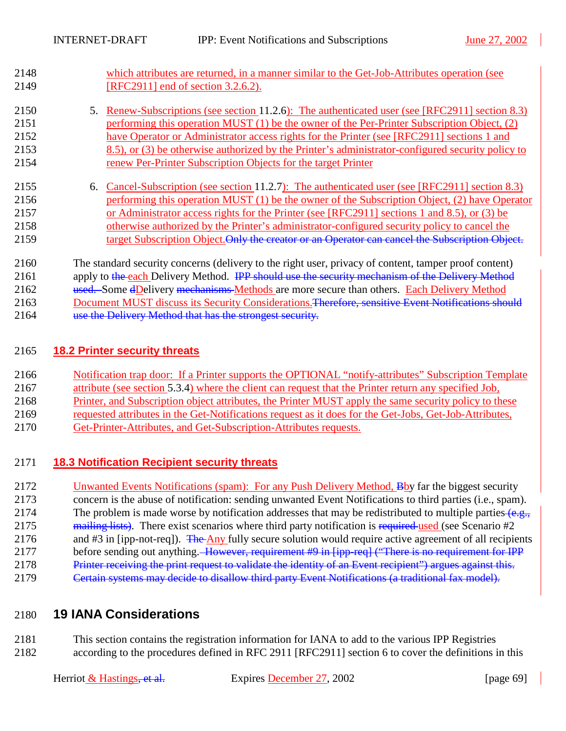2148 which attributes are returned, in a manner similar to the Get-Job-Attributes operation (see 2149 [RFC2911] end of section 3.2.6.2).

## 2150 5. Renew-Subscriptions (see section [11.2.6\)](#page-57-0): The authenticated user (see [RFC2911] section 8.3) 2151 performing this operation MUST (1) be the owner of the Per-Printer Subscription Object, (2) 2152 have Operator or Administrator access rights for the Printer (see [RFC2911] sections 1 and 2153 8.5), or (3) be otherwise authorized by the Printer's administrator-configured security policy to 2154 renew Per-Printer Subscription Objects for the target Printer

2155 6. Cancel-Subscription (see section [11.2.7\)](#page-59-0): The authenticated user (see [RFC2911] section 8.3) 2156 performing this operation MUST (1) be the owner of the Subscription Object, (2) have Operator 2157 or Administrator access rights for the Printer (see [RFC2911] sections 1 and 8.5), or (3) be 2158 otherwise authorized by the Printer's administrator-configured security policy to cancel the 2159 target Subscription Object. Only the creator or an Operator can cancel the Subscription Object.

2160 The standard security concerns (delivery to the right user, privacy of content, tamper proof content) 2161 apply to the each Delivery Method. IPP should use the security mechanism of the Delivery Method 2162 used. Some dDelivery mechanisms Methods are more secure than others. Each Delivery Method

2163 Document MUST discuss its Security Considerations. Therefore, sensitive Event Notifications should

2164 use the Delivery Method that has the strongest security.

## 2165 **18.2 Printer security threats**

- 2166 Notification trap door: If a Printer supports the OPTIONAL "notify-attributes" Subscription Template
- 2167 attribute (see section [5.3.4\)](#page-25-0) where the client can request that the Printer return any specified Job,
- 2168 Printer, and Subscription object attributes, the Printer MUST apply the same security policy to these
- 2169 requested attributes in the Get-Notifications request as it does for the Get-Jobs, Get-Job-Attributes,
- 2170 Get-Printer-Attributes, and Get-Subscription-Attributes requests.

## 2171 **18.3 Notification Recipient security threats**

2172 Unwanted Events Notifications (spam): For any Push Delivery Method, Bby far the biggest security 2173 concern is the abuse of notification: sending unwanted Event Notifications to third parties (i.e., spam). 2174 The problem is made worse by notification addresses that may be redistributed to multiple parties (e.g., 2175 mailing lists). There exist scenarios where third party notification is required used (see Scenario #2 2176 and #3 in [ipp-not-req]). The Any fully secure solution would require active agreement of all recipients 2177 before sending out anything. However, requirement #9 in [ipp-req] ("There is no requirement for IPP 2178 Printer receiving the print request to validate the identity of an Event recipient") argues against this.

2179 Certain systems may decide to disallow third party Event Notifications (a traditional fax model).

## 2180 **19 IANA Considerations**

2181 This section contains the registration information for IANA to add to the various IPP Registries 2182 according to the procedures defined in RFC 2911 [RFC2911] section 6 to cover the definitions in this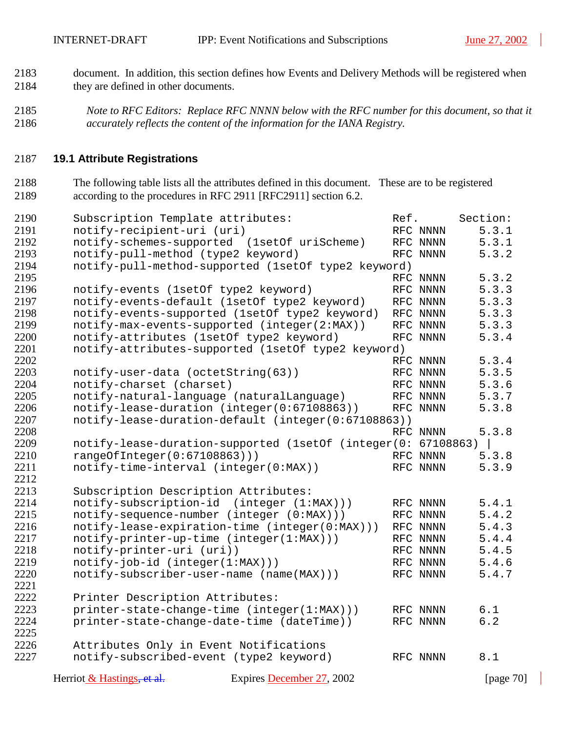- 2183 document. In addition, this section defines how Events and Delivery Methods will be registered when 2184 they are defined in other documents.
- *Note to RFC Editors: Replace RFC NNNN below with the RFC number for this document, so that it accurately reflects the content of the information for the IANA Registry.*

## **19.1 Attribute Registrations**

2188 The following table lists all the attributes defined in this document. These are to be registered 2189 according to the procedures in RFC 2911 [RFC2911] section 6.2.

| 2190 | Subscription Template attributes:                             | Ref. |          | Section:     |
|------|---------------------------------------------------------------|------|----------|--------------|
| 2191 | notify-recipient-uri (uri)                                    |      | RFC NNNN | 5.3.1        |
| 2192 | notify-schemes-supported (1setOf uriScheme)                   |      | RFC NNNN | 5.3.1        |
| 2193 | notify-pull-method (type2 keyword)                            |      | RFC NNNN | 5.3.2        |
| 2194 | notify-pull-method-supported (1setOf type2 keyword)           |      |          |              |
| 2195 |                                                               |      | RFC NNNN | 5.3.2        |
| 2196 | notify-events (1setOf type2 keyword)                          |      | RFC NNNN | 5.3.3        |
| 2197 | notify-events-default (1setOf type2 keyword)                  |      | RFC NNNN | 5.3.3        |
| 2198 | notify-events-supported (1setOf type2 keyword)                |      | RFC NNNN | 5.3.3        |
| 2199 | notify-max-events-supported (integer(2:MAX))                  |      | RFC NNNN | 5.3.3        |
| 2200 | notify-attributes (1setOf type2 keyword)                      |      | RFC NNNN | 5.3.4        |
| 2201 | notify-attributes-supported (1set0f type2 keyword)            |      |          |              |
| 2202 |                                                               |      | RFC NNNN | 5.3.4        |
| 2203 | notify-user-data (octetString(63))                            |      | RFC NNNN | 5.3.5        |
| 2204 | notify-charset (charset)                                      |      | RFC NNNN | 5.3.6        |
| 2205 | notify-natural-language (naturalLanguage)                     |      | RFC NNNN | 5.3.7        |
| 2206 | notify-lease-duration (integer(0:67108863))                   |      | RFC NNNN | 5.3.8        |
| 2207 | notify-lease-duration-default (integer(0:67108863))           |      |          |              |
| 2208 |                                                               |      | RFC NNNN | 5.3.8        |
| 2209 | notify-lease-duration-supported (1setOf (integer(0: 67108863) |      |          |              |
| 2210 | rangeOfInteger(0:67108863)))                                  |      | RFC NNNN | 5.3.8        |
| 2211 | notify-time-interval (integer(0:MAX))                         |      | RFC NNNN | 5.3.9        |
| 2212 |                                                               |      |          |              |
| 2213 | Subscription Description Attributes:                          |      |          |              |
| 2214 | notify-subscription-id (integer (1:MAX)))                     |      | RFC NNNN | 5.4.1        |
| 2215 | notify-sequence-number (integer (0:MAX)))                     |      | RFC NNNN | 5.4.2        |
| 2216 | notify-lease-expiration-time (integer(0:MAX)))                |      | RFC NNNN | 5.4.3        |
| 2217 | notify-printer-up-time (integer(1:MAX)))                      |      | RFC NNNN | 5.4.4        |
| 2218 | notify-printer-uri (uri))                                     |      | RFC NNNN | 5.4.5        |
| 2219 | $notify-job-id (integer(1:MAX)))$                             |      | RFC NNNN | 5.4.6        |
| 2220 | notify-subscriber-user-name (name(MAX)))                      |      | RFC NNNN | 5.4.7        |
| 2221 |                                                               |      |          |              |
| 2222 | Printer Description Attributes:                               |      |          |              |
| 2223 | printer-state-change-time (integer(1:MAX)))                   |      | RFC NNNN | 6.1          |
| 2224 | printer-state-change-date-time (dateTime))                    |      | RFC NNNN | 6.2          |
| 2225 |                                                               |      |          |              |
| 2226 | Attributes Only in Event Notifications                        |      |          |              |
| 2227 | notify-subscribed-event (type2 keyword)                       |      | RFC NNNN | 8.1          |
|      | Herriot & Hastings, et al.<br>Expires December 27, 2002       |      |          | [page $70$ ] |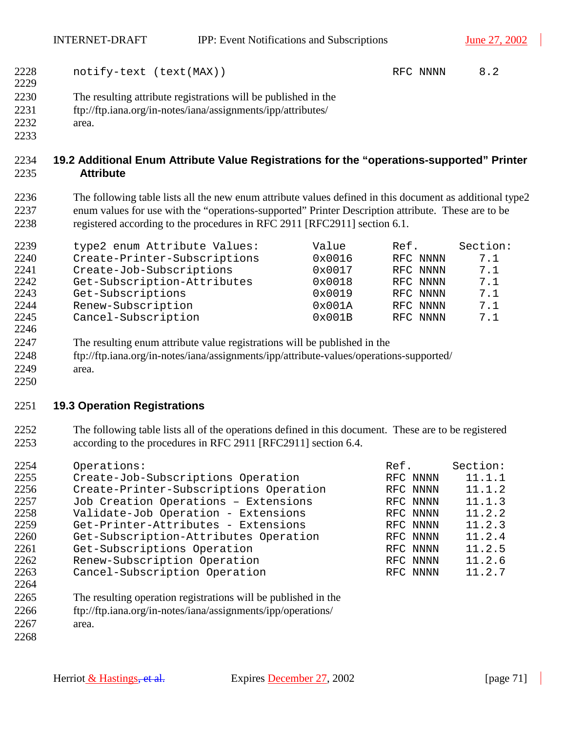- 2228 notify-text (text(MAX)) RFC NNNN [8.2](#page-35-0)
- 2230 The resulting attribute registrations will be published in the
- 2231 ftp://ftp.iana.org/in-notes/iana/assignments/ipp/attributes/
- 2232 area.
- 

## **19.2 Additional Enum Attribute Value Registrations for the "operations-supported" Printer Attribute**

2236 The following table lists all the new enum attribute values defined in this document as additional type2 2237 enum values for use with the "operations-supported" Printer Description attribute. These are to be 2238 registered according to the procedures in RFC 2911 [RFC2911] section 6.1.

| 2239 | type2 enum Attribute Values: | Value  | Ref.     | Section: |
|------|------------------------------|--------|----------|----------|
| 2240 | Create-Printer-Subscriptions | 0x0016 | RFC NNNN | 7.1      |
| 2241 | Create-Job-Subscriptions     | 0x0017 | RFC NNNN | 7.1      |
| 2242 | Get-Subscription-Attributes  | 0x0018 | RFC NNNN | 7.1      |
| 2243 | Get-Subscriptions            | 0x0019 | RFC NNNN | 7.1      |
| 2244 | Renew-Subscription           | 0x001A | RFC NNNN | 7.1      |
| 2245 | Cancel-Subscription          | 0x001B | RFC NNNN | 7.1      |
| 2246 |                              |        |          |          |

- 2247 The resulting enum attribute value registrations will be published in the
- 2248 ftp://ftp.iana.org/in-notes/iana/assignments/ipp/attribute-values/operations-supported/
- 2249 area.

## **19.3 Operation Registrations**

2252 The following table lists all of the operations defined in this document. These are to be registered 2253 according to the procedures in RFC 2911 [RFC2911] section 6.4.

| 2254                                          | Operations:                            | Ref.     | Section: |
|-----------------------------------------------|----------------------------------------|----------|----------|
| 2255                                          | Create-Job-Subscriptions Operation     | RFC NNNN | 11.1.1   |
| 2256                                          | Create-Printer-Subscriptions Operation | RFC NNNN | 11.1.2   |
| 2257                                          | Job Creation Operations - Extensions   | RFC NNNN | 11.1.3   |
| 2258                                          | Validate-Job Operation - Extensions    | RFC NNNN | 11.2.2   |
| 2259                                          | Get-Printer-Attributes - Extensions    | RFC NNNN | 11.2.3   |
| 2260                                          | Get-Subscription-Attributes Operation  | RFC NNNN | 11.2.4   |
| 2261                                          | Get-Subscriptions Operation            | RFC NNNN | 11.2.5   |
| 2262                                          | Renew-Subscription Operation           | RFC NNNN | 11.2.6   |
| 2263                                          | Cancel-Subscription Operation          | RFC NNNN | 11.2.7   |
| 2264                                          |                                        |          |          |
| $\mathbf{a} \mathbf{b} \mathbf{c} \mathbf{b}$ |                                        |          |          |

- 2265 The resulting operation registrations will be published in the 2266 ftp://ftp.iana.org/in-notes/iana/assignments/ipp/operations/ 2267 area.
-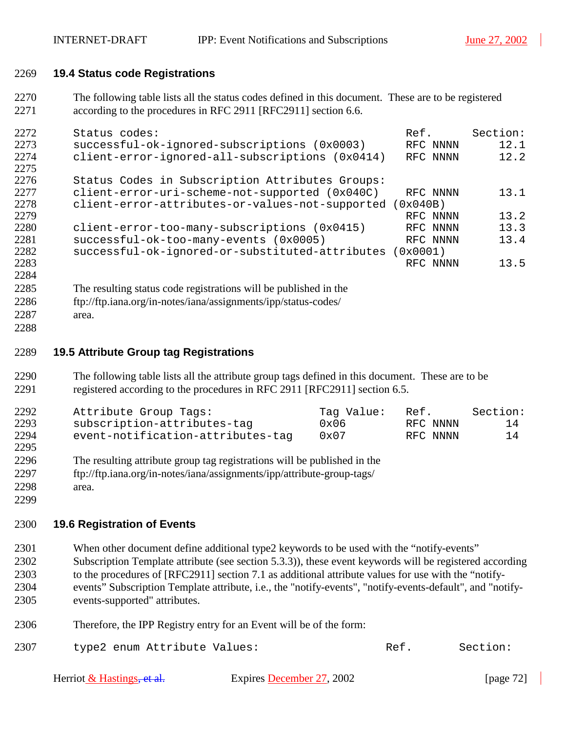## 2269 **19.4 Status code Registrations**

2270 The following table lists all the status codes defined in this document. These are to be registered 2271 according to the procedures in RFC 2911 [RFC2911] section 6.6.

| 2272 | Status codes:                                   | Ref.       | Section: |
|------|-------------------------------------------------|------------|----------|
| 2273 | successful-ok-ignored-subscriptions (0x0003)    | RFC NNNN   | 12.1     |
| 2274 | client-error-ignored-all-subscriptions (0x0414) | RFC NNNN   | 12.2     |
| 2275 |                                                 |            |          |
| 2276 | Status Codes in Subscription Attributes Groups: |            |          |
| 2277 | client-error-uri-scheme-not-supported (0x040C)  | RFC NNNN   | 13.1     |
| 2278 | client-error-attributes-or-values-not-supported | 0x040B)    |          |
| 2279 |                                                 | RFC NNNN   | 13.2     |
| 2280 | client-error-too-many-subscriptions (0x0415)    | RFC NNNN   | 13.3     |
| 2281 | successful-ok-too-many-events (0x0005)          | RFC NNNN   | 13.4     |
| 2282 | successful-ok-ignored-or-substituted-attributes | $0x0001$ ) |          |
| 2283 |                                                 | RFC NNNN   | 13.5     |
| 2284 |                                                 |            |          |

- 2285 The resulting status code registrations will be published in the
- 2286 ftp://ftp.iana.org/in-notes/iana/assignments/ipp/status-codes/
- 2287 area. 2288

## 2289 **19.5 Attribute Group tag Registrations**

2290 The following table lists all the attribute group tags defined in this document. These are to be 2291 registered according to the procedures in RFC 2911 [RFC2911] section 6.5.

| 2292 | Attribute Group Tags:             | Taq Value: | Ref.     | Section: |
|------|-----------------------------------|------------|----------|----------|
| 2293 | subscription-attributes-tag       | 0x06       | RFC NNNN | 14       |
| 2294 | event-notification-attributes-tag | 0x07       | RFC NNNN | 14       |
| 2295 |                                   |            |          |          |

- 2296 The resulting attribute group tag registrations will be published in the
- 2297 ftp://ftp.iana.org/in-notes/iana/assignments/ipp/attribute-group-tags/
- 2298 area. 2299

## 2300 **19.6 Registration of Events**

- 2301 When other document define additional type2 keywords to be used with the "notify-events" 2302 Subscription Template attribute (see section [5.3.3\)](#page-20-0)), these event keywords will be registered according 2303 to the procedures of [RFC2911] section 7.1 as additional attribute values for use with the "notify-2304 events" Subscription Template attribute, i.e., the "notify-events", "notify-events-default", and "notify-2305 events-supported" attributes.
- 2306 Therefore, the IPP Registry entry for an Event will be of the form:
- 2307 type2 enum Attribute Values: Ref. Section:

| Herriot & Hastings <del>, et al.</del> | Expires December 27, 2002 | [page $72$ ] |
|----------------------------------------|---------------------------|--------------|
|----------------------------------------|---------------------------|--------------|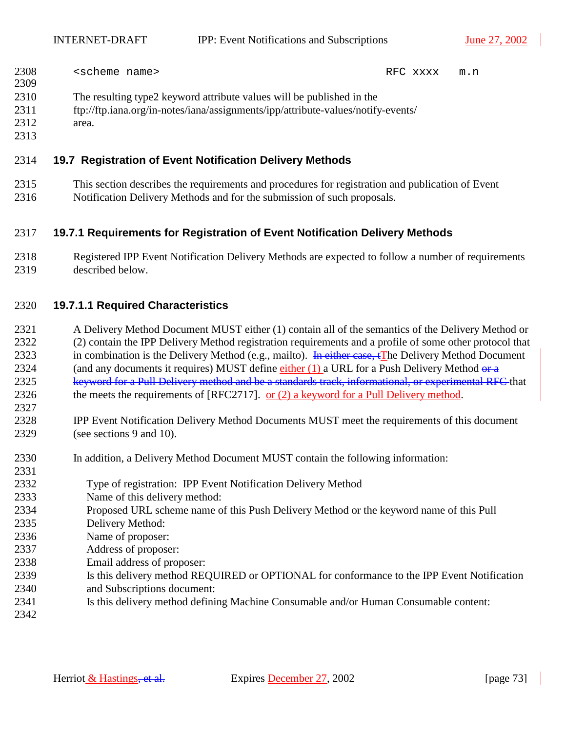| 2308 | <scheme name=""></scheme>                                             | RFC xxxx | m.n |
|------|-----------------------------------------------------------------------|----------|-----|
| 2309 |                                                                       |          |     |
| 2310 | The resulting type2 keyword attribute values will be published in the |          |     |

- 2311 ftp://ftp.iana.org/in-notes/iana/assignments/ipp/attribute-values/notify-events/
- 2312 area.
- 2313

### 2314 **19.7 Registration of Event Notification Delivery Methods**

2315 This section describes the requirements and procedures for registration and publication of Event 2316 Notification Delivery Methods and for the submission of such proposals.

### 2317 **19.7.1 Requirements for Registration of Event Notification Delivery Methods**

2318 Registered IPP Event Notification Delivery Methods are expected to follow a number of requirements 2319 described below.

### 2320 **19.7.1.1 Required Characteristics**

- 2321 A Delivery Method Document MUST either (1) contain all of the semantics of the Delivery Method or 2322 (2) contain the IPP Delivery Method registration requirements and a profile of some other protocol that 2323 in combination is the Delivery Method (e.g., mailto). In either case, tThe Delivery Method Document 2324 (and any documents it requires) MUST define either (1) a URL for a Push Delivery Method  $\theta$ 2325 keyword for a Pull Delivery method and be a standards track, informational, or experimental RFC that 2326 the meets the requirements of [RFC2717]. or (2) a keyword for a Pull Delivery method.
- 2328 IPP Event Notification Delivery Method Documents MUST meet the requirements of this document 2329 (see sections [9](#page-35-0) and [10\)](#page-43-0).
- 2330 In addition, a Delivery Method Document MUST contain the following information:
- 2332 Type of registration: IPP Event Notification Delivery Method
- 2333 Name of this delivery method:
- 2334 Proposed URL scheme name of this Push Delivery Method or the keyword name of this Pull
- 2335 Delivery Method:
- 2336 Name of proposer:
- 2337 Address of proposer:
- 2338 Email address of proposer:
- 2339 Is this delivery method REQUIRED or OPTIONAL for conformance to the IPP Event Notification
- 2340 and Subscriptions document:
- 2341 Is this delivery method defining Machine Consumable and/or Human Consumable content:
- 2342

2327

2331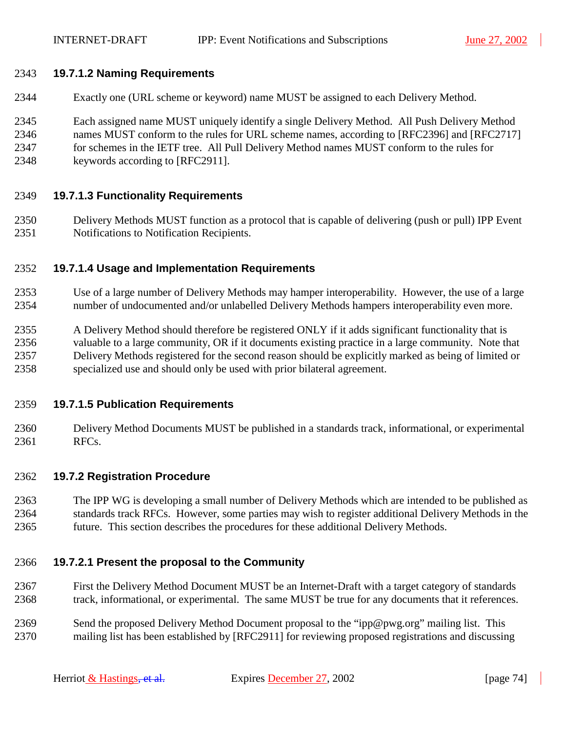### 2343 **19.7.1.2 Naming Requirements**

- 2344 Exactly one (URL scheme or keyword) name MUST be assigned to each Delivery Method.
- 2345 Each assigned name MUST uniquely identify a single Delivery Method. All Push Delivery Method 2346 names MUST conform to the rules for URL scheme names, according to [RFC2396] and [RFC2717] 2347 for schemes in the IETF tree. All Pull Delivery Method names MUST conform to the rules for 2348 keywords according to [RFC2911].

### 2349 **19.7.1.3 Functionality Requirements**

2350 Delivery Methods MUST function as a protocol that is capable of delivering (push or pull) IPP Event 2351 Notifications to Notification Recipients.

### 2352 **19.7.1.4 Usage and Implementation Requirements**

- 2353 Use of a large number of Delivery Methods may hamper interoperability. However, the use of a large 2354 number of undocumented and/or unlabelled Delivery Methods hampers interoperability even more.
- 2355 A Delivery Method should therefore be registered ONLY if it adds significant functionality that is 2356 valuable to a large community, OR if it documents existing practice in a large community. Note that 2357 Delivery Methods registered for the second reason should be explicitly marked as being of limited or 2358 specialized use and should only be used with prior bilateral agreement.

### 2359 **19.7.1.5 Publication Requirements**

2360 Delivery Method Documents MUST be published in a standards track, informational, or experimental 2361 RFCs.

### 2362 **19.7.2 Registration Procedure**

2363 The IPP WG is developing a small number of Delivery Methods which are intended to be published as 2364 standards track RFCs. However, some parties may wish to register additional Delivery Methods in the 2365 future. This section describes the procedures for these additional Delivery Methods.

### 2366 **19.7.2.1 Present the proposal to the Community**

- 2367 First the Delivery Method Document MUST be an Internet-Draft with a target category of standards 2368 track, informational, or experimental. The same MUST be true for any documents that it references.
- 2369 Send the proposed Delivery Method Document proposal to the "ipp@pwg.org" mailing list. This 2370 mailing list has been established by [RFC2911] for reviewing proposed registrations and discussing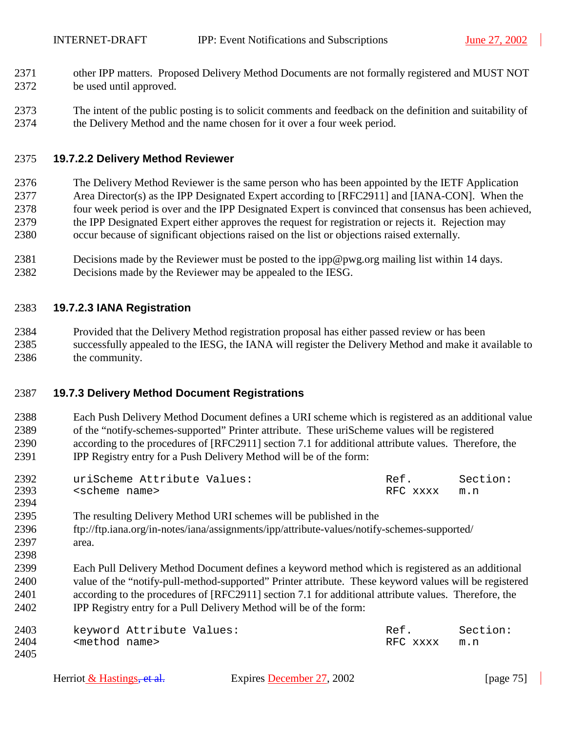- 2371 other IPP matters. Proposed Delivery Method Documents are not formally registered and MUST NOT 2372 be used until approved.
- 2373 The intent of the public posting is to solicit comments and feedback on the definition and suitability of 2374 the Delivery Method and the name chosen for it over a four week period.

#### 2375 **19.7.2.2 Delivery Method Reviewer**

- 2376 The Delivery Method Reviewer is the same person who has been appointed by the IETF Application 2377 Area Director(s) as the IPP Designated Expert according to [RFC2911] and [IANA-CON]. When the 2378 four week period is over and the IPP Designated Expert is convinced that consensus has been achieved, 2379 the IPP Designated Expert either approves the request for registration or rejects it. Rejection may 2380 occur because of significant objections raised on the list or objections raised externally.
- 2381 Decisions made by the Reviewer must be posted to the ipp@pwg.org mailing list within 14 days. 2382 Decisions made by the Reviewer may be appealed to the IESG.

#### 2383 **19.7.2.3 IANA Registration**

2384 Provided that the Delivery Method registration proposal has either passed review or has been 2385 successfully appealed to the IESG, the IANA will register the Delivery Method and make it available to 2386 the community.

### 2387 **19.7.3 Delivery Method Document Registrations**

2388 Each Push Delivery Method Document defines a URI scheme which is registered as an additional value 2389 of the "notify-schemes-supported" Printer attribute. These uriScheme values will be registered 2390 according to the procedures of [RFC2911] section 7.1 for additional attribute values. Therefore, the 2391 IPP Registry entry for a Push Delivery Method will be of the form:

| 2392 | uriScheme Attribute Values: | Ref.         | Section: |
|------|-----------------------------|--------------|----------|
| 2393 | <scheme name=""></scheme>   | RFC xxxx m.n |          |
| 2394 |                             |              |          |

- 2395 The resulting Delivery Method URI schemes will be published in the 2396 ftp://ftp.iana.org/in-notes/iana/assignments/ipp/attribute-values/notify-schemes-supported/ 2397 area. 2398
- 2399 Each Pull Delivery Method Document defines a keyword method which is registered as an additional 2400 value of the "notify-pull-method-supported" Printer attribute. These keyword values will be registered 2401 according to the procedures of [RFC2911] section 7.1 for additional attribute values. Therefore, the 2402 IPP Registry entry for a Pull Delivery Method will be of the form:

| 2403 |                           | keyword Attribute Values: | Ref      | Section: |
|------|---------------------------|---------------------------|----------|----------|
| 2404 | <method name=""></method> |                           | RFC xxxx | m.n      |
| 2405 |                           |                           |          |          |

| Herriot $&$ Hastings, et al. | Expires December 27, 2002 | [page $75$ ] |
|------------------------------|---------------------------|--------------|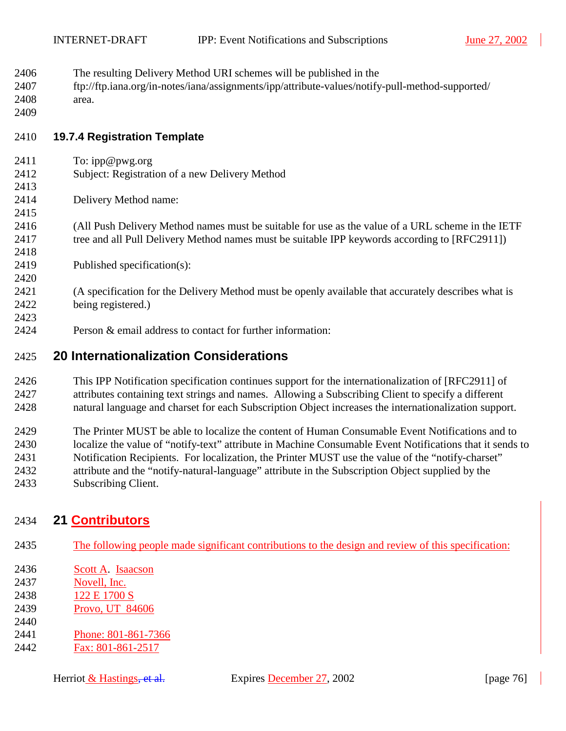- 2406 The resulting Delivery Method URI schemes will be published in the
- 2407 ftp://ftp.iana.org/in-notes/iana/assignments/ipp/attribute-values/notify-pull-method-supported/
- 2408 area. 2409

# 2410 **19.7.4 Registration Template**

- 2411 To: ipp@pwg.org
- 2412 Subject: Registration of a new Delivery Method
- 2414 Delivery Method name:
- 2415

2413

2418

2420

2423

- 2416 (All Push Delivery Method names must be suitable for use as the value of a URL scheme in the IETF 2417 tree and all Pull Delivery Method names must be suitable IPP keywords according to [RFC2911])
- 2419 Published specification(s):
- 2421 (A specification for the Delivery Method must be openly available that accurately describes what is 2422 being registered.)
- 2424 Person & email address to contact for further information:

### 2425 **20 Internationalization Considerations**

- 2426 This IPP Notification specification continues support for the internationalization of [RFC2911] of 2427 attributes containing text strings and names. Allowing a Subscribing Client to specify a different 2428 natural language and charset for each Subscription Object increases the internationalization support.
- 2429 The Printer MUST be able to localize the content of Human Consumable Event Notifications and to 2430 localize the value of "notify-text" attribute in Machine Consumable Event Notifications that it sends to 2431 Notification Recipients. For localization, the Printer MUST use the value of the "notify-charset" 2432 attribute and the "notify-natural-language" attribute in the Subscription Object supplied by the 2433 Subscribing Client.

### 2434 **21 Contributors**

- 2435 The following people made significant contributions to the design and review of this specification:
- 2436 Scott A. Isaacson
- 2437 Novell, Inc.
- 2438 122 E 1700 S
- 2439 Provo, UT 84606
- 2440 2441 Phone: 801-861-7366
- 2442 Fax: 801-861-2517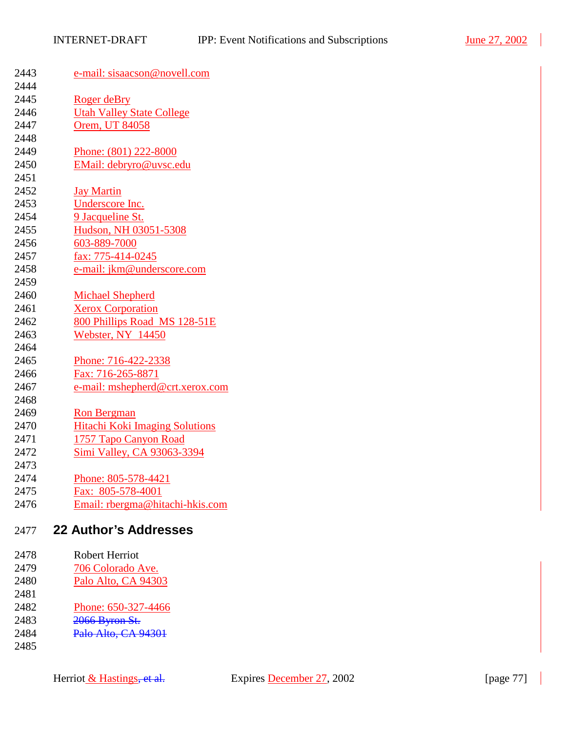| 2443         | e-mail: sisaacson@novell.com          |
|--------------|---------------------------------------|
| 2444         |                                       |
| 2445         | Roger deBry                           |
| 2446         | <b>Utah Valley State College</b>      |
| 2447         | Orem, UT 84058                        |
| 2448         |                                       |
| 2449         | Phone: (801) 222-8000                 |
| 2450         | EMail: debryro@uvsc.edu               |
| 2451         |                                       |
| 2452         | <b>Jay Martin</b>                     |
| 2453         | Underscore Inc.                       |
| 2454         | 9 Jacqueline St.                      |
| 2455         | Hudson, NH 03051-5308                 |
| 2456         | 603-889-7000                          |
| 2457         | fax: 775-414-0245                     |
| 2458         | e-mail: jkm@underscore.com            |
| 2459         |                                       |
| 2460         | <b>Michael Shepherd</b>               |
| 2461         | <b>Xerox Corporation</b>              |
| 2462         | 800 Phillips Road MS 128-51E          |
| 2463         | Webster, NY 14450                     |
| 2464         |                                       |
| 2465         | Phone: 716-422-2338                   |
| 2466         | Fax: 716-265-8871                     |
| 2467         | e-mail: mshepherd@crt.xerox.com       |
| 2468         |                                       |
| 2469         | <b>Ron Bergman</b>                    |
| 2470         | <b>Hitachi Koki Imaging Solutions</b> |
| 2471         | 1757 Tapo Canyon Road                 |
| 2472         | Simi Valley, CA 93063-3394            |
|              |                                       |
| 2473         |                                       |
| 2474         | Phone: 805-578-4421                   |
| 2475         | Fax: 805-578-4001                     |
| 2476         | Email: rbergma@hitachi-hkis.com       |
| 2477         | <b>22 Author's Addresses</b>          |
|              |                                       |
| 2478<br>2479 | Robert Herriot                        |
|              | 706 Colorado Ave.                     |
| 2480<br>2481 | Palo Alto, CA 94303                   |
| 2482         |                                       |
| 2483         | Phone: 650-327-4466                   |
| 2484         | 2066 Byron St.<br>Palo Alto, CA 94301 |
| 2485         |                                       |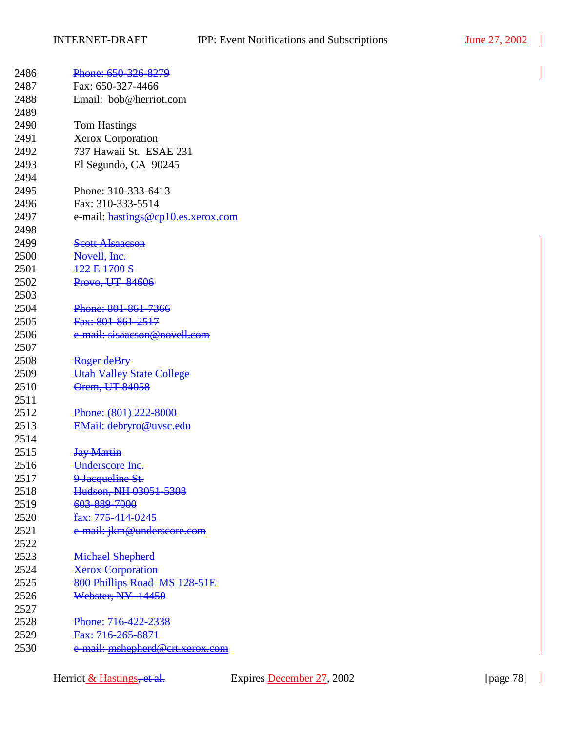| 2486 | Phone: 650-326-8279                |
|------|------------------------------------|
| 2487 | Fax: 650-327-4466                  |
| 2488 | Email: bob@herriot.com             |
| 2489 |                                    |
| 2490 | <b>Tom Hastings</b>                |
| 2491 | <b>Xerox Corporation</b>           |
| 2492 | 737 Hawaii St. ESAE 231            |
| 2493 | El Segundo, CA 90245               |
| 2494 |                                    |
| 2495 | Phone: 310-333-6413                |
| 2496 | Fax: 310-333-5514                  |
| 2497 | e-mail: hastings@cp10.es.xerox.com |
| 2498 |                                    |
| 2499 | <b>Scott Alsaacson</b>             |
| 2500 | Novell, Inc.                       |
| 2501 | 122 E 1700 S                       |
| 2502 | Provo, UT 84606                    |
| 2503 |                                    |
| 2504 | Phone: 801-861-7366                |
| 2505 | Fax: 801-861-2517                  |
| 2506 | e-mail: sisaacson@novell.com       |
| 2507 |                                    |
| 2508 | Roger deBry                        |
| 2509 | <b>Utah Valley State College</b>   |
| 2510 | Orem, UT 84058                     |
| 2511 |                                    |
| 2512 | Phone: (801) 222-8000              |
| 2513 | EMail: debryro@uvsc.edu            |
| 2514 |                                    |
| 2515 | <b>Jay Martin</b>                  |
| 2516 | Underscore Inc.                    |
| 2517 | 9 Jacqueline St.                   |
| 2518 | Hudson, NH 03051-5308              |
| 2519 | 603-889-7000                       |
| 2520 | fax: 775-414-0245                  |
| 2521 | e-mail: jkm@underscore.com         |
| 2522 |                                    |
| 2523 | <b>Michael Shepherd</b>            |
| 2524 | <b>Xerox Corporation</b>           |
| 2525 | 800 Phillips Road MS 128-51E       |
| 2526 | Webster, NY 14450                  |
| 2527 |                                    |
| 2528 | Phone: 716-422-2338                |
| 2529 | Fax: 716-265-8871                  |
| 2530 | e-mail: mshepherd@crt.xerox.com    |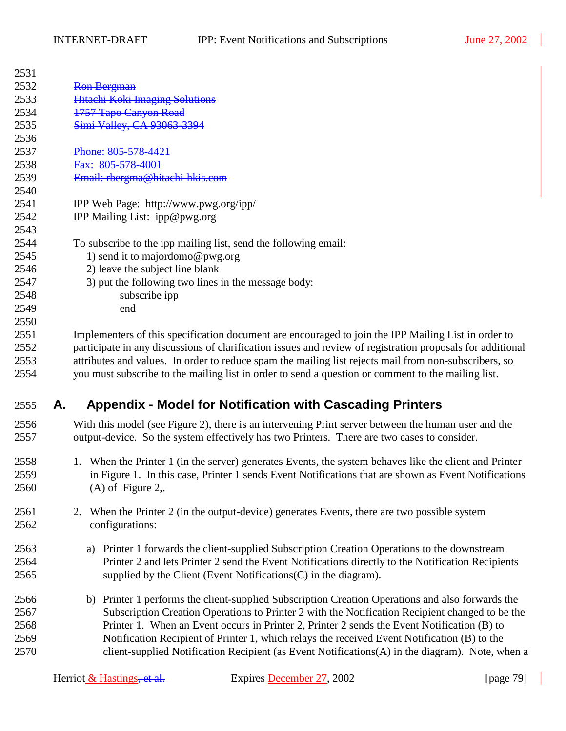| 2531 |    |                                                                                                            |
|------|----|------------------------------------------------------------------------------------------------------------|
| 2532 |    | <b>Ron Bergman</b>                                                                                         |
| 2533 |    | <b>Hitachi Koki Imaging Solutions</b>                                                                      |
| 2534 |    | 1757 Tapo Canyon Road                                                                                      |
| 2535 |    | Simi Valley, CA 93063-3394                                                                                 |
| 2536 |    |                                                                                                            |
| 2537 |    | Phone: 805-578-4421                                                                                        |
| 2538 |    | Fax: 805-578-4001                                                                                          |
| 2539 |    | Email: rbergma@hitachi-hkis.com                                                                            |
| 2540 |    |                                                                                                            |
| 2541 |    | IPP Web Page: http://www.pwg.org/ipp/                                                                      |
| 2542 |    | IPP Mailing List: ipp@pwg.org                                                                              |
| 2543 |    |                                                                                                            |
| 2544 |    | To subscribe to the ipp mailing list, send the following email:                                            |
| 2545 |    | 1) send it to majordomo@pwg.org                                                                            |
| 2546 |    | 2) leave the subject line blank                                                                            |
| 2547 |    | 3) put the following two lines in the message body:                                                        |
| 2548 |    | subscribe ipp                                                                                              |
| 2549 |    | end                                                                                                        |
| 2550 |    |                                                                                                            |
| 2551 |    | Implementers of this specification document are encouraged to join the IPP Mailing List in order to        |
| 2552 |    | participate in any discussions of clarification issues and review of registration proposals for additional |
| 2553 |    | attributes and values. In order to reduce spam the mailing list rejects mail from non-subscribers, so      |
| 2554 |    | you must subscribe to the mailing list in order to send a question or comment to the mailing list.         |
| 2555 | Α. | <b>Appendix - Model for Notification with Cascading Printers</b>                                           |
| 2556 |    | With this model (see Figure 2), there is an intervening Print server between the human user and the        |
| 2557 |    | output-device. So the system effectively has two Printers. There are two cases to consider.                |
| 2558 |    | 1. When the Printer 1 (in the server) generates Events, the system behaves like the client and Printer     |
| 2559 |    | in Figure 1. In this case, Printer 1 sends Event Notifications that are shown as Event Notifications       |
| 2560 |    | $(A)$ of Figure 2,.                                                                                        |
| 2561 |    | When the Printer 2 (in the output-device) generates Events, there are two possible system<br>2.            |
| 2562 |    | configurations:                                                                                            |
|      |    |                                                                                                            |
| 2563 |    | Printer 1 forwards the client-supplied Subscription Creation Operations to the downstream<br>a)            |
| 2564 |    | Printer 2 and lets Printer 2 send the Event Notifications directly to the Notification Recipients          |
| 2565 |    | supplied by the Client (Event Notifications (C) in the diagram).                                           |
| 2566 |    | Printer 1 performs the client-supplied Subscription Creation Operations and also forwards the<br>b)        |
| 2567 |    | Subscription Creation Operations to Printer 2 with the Notification Recipient changed to be the            |
| 2568 |    | Printer 1. When an Event occurs in Printer 2, Printer 2 sends the Event Notification (B) to                |
| 2569 |    | Notification Recipient of Printer 1, which relays the received Event Notification (B) to the               |
| 2570 |    | client-supplied Notification Recipient (as Event Notifications(A) in the diagram). Note, when a            |
|      |    |                                                                                                            |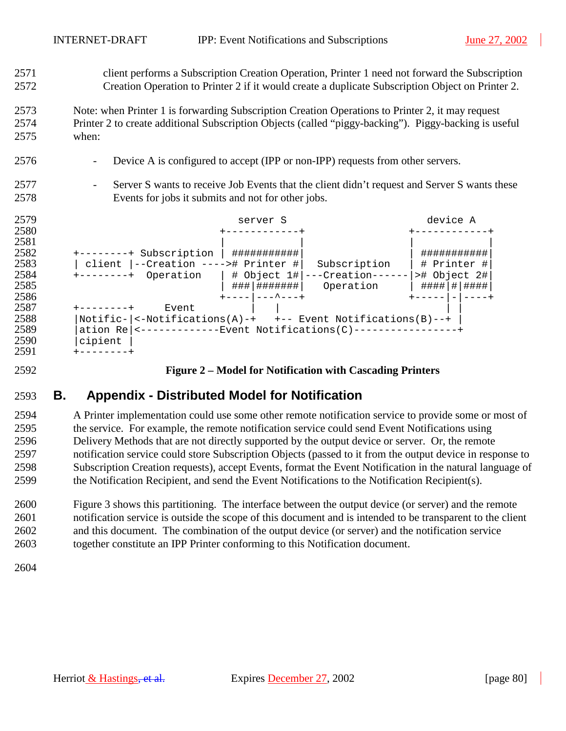<span id="page-79-0"></span>2571 client performs a Subscription Creation Operation, Printer 1 need not forward the Subscription 2572 Creation Operation to Printer 2 if it would create a duplicate Subscription Object on Printer 2.

2573 Note: when Printer 1 is forwarding Subscription Creation Operations to Printer 2, it may request 2574 Printer 2 to create additional Subscription Objects (called "piggy-backing"). Piggy-backing is useful 2575 when:

- 2576 Device A is configured to accept (IPP or non-IPP) requests from other servers.
- 2577 Server S wants to receive Job Events that the client didn't request and Server S wants these 2578 Events for jobs it submits and not for other jobs.



### 2592 **Figure 2 – Model for Notification with Cascading Printers**

# 2593 **B. Appendix - Distributed Model for Notification**

2594 A Printer implementation could use some other remote notification service to provide some or most of 2595 the service. For example, the remote notification service could send Event Notifications using 2596 Delivery Methods that are not directly supported by the output device or server. Or, the remote 2597 notification service could store Subscription Objects (passed to it from the output device in response to 2598 Subscription Creation requests), accept Events, format the Event Notification in the natural language of 2599 the Notification Recipient, and send the Event Notifications to the Notification Recipient(s).

2600 [Figure 3](#page-80-0) shows this partitioning. The interface between the output device (or server) and the remote 2601 notification service is outside the scope of this document and is intended to be transparent to the client 2602 and this document. The combination of the output device (or server) and the notification service 2603 together constitute an IPP Printer conforming to this Notification document.

2604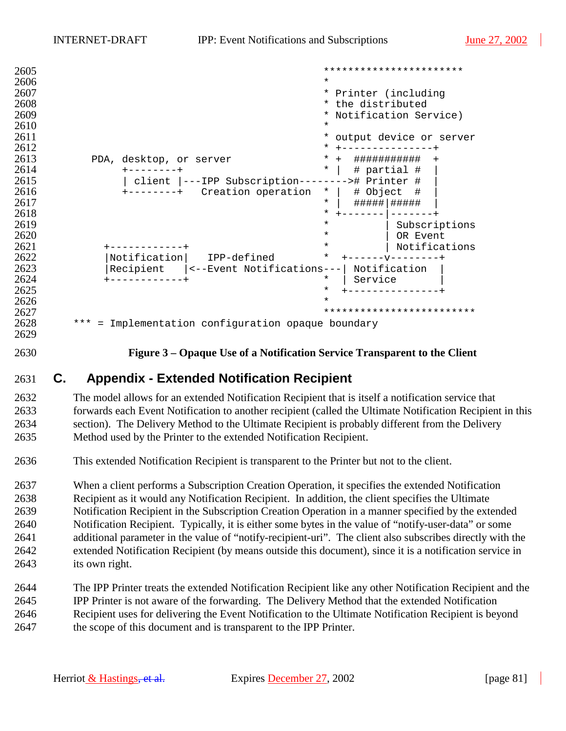<span id="page-80-0"></span>

| 2605 |                                                       | ***********************       |
|------|-------------------------------------------------------|-------------------------------|
| 2606 |                                                       | $\star$                       |
| 2607 |                                                       | $\star$<br>Printer (including |
| 2608 |                                                       | the distributed<br>$\star$    |
| 2609 |                                                       | * Notification Service)       |
| 2610 |                                                       | $^\star$                      |
| 2611 |                                                       | *<br>output device or server  |
| 2612 |                                                       | *                             |
| 2613 | PDA, desktop, or server                               | *<br>$+$<br>###########       |
| 2614 |                                                       | $\ast$<br># partial #         |
| 2615 | ---IPP Subscription------<br>client                   | ># Printer #                  |
| 2616 | Creation operation<br>$+ - - - - - - - +$             | # Object<br>#<br>$\ast$       |
| 2617 |                                                       | $\star$<br>#####   #####      |
| 2618 |                                                       | *                             |
| 2619 |                                                       | $\star$<br>Subscriptions      |
| 2620 |                                                       | $\star$<br>OR Event           |
| 2621 |                                                       | Notifications<br>$\ast$       |
| 2622 | Notification<br>IPP-defined                           | $\star$                       |
| 2623 | Recipient<br><--Event Notifications---                | Notification                  |
| 2624 |                                                       | Service<br>$\ast$             |
| 2625 |                                                       | $^\star$                      |
| 2626 |                                                       | $\star$                       |
| 2627 |                                                       |                               |
| 2628 | $***$<br>Implementation configuration opaque boundary |                               |
| 2629 |                                                       |                               |

2630 **Figure 3 – Opaque Use of a Notification Service Transparent to the Client** 

### 2631 **C. Appendix - Extended Notification Recipient**

2632 The model allows for an extended Notification Recipient that is itself a notification service that 2633 forwards each Event Notification to another recipient (called the Ultimate Notification Recipient in this 2634 section). The Delivery Method to the Ultimate Recipient is probably different from the Delivery 2635 Method used by the Printer to the extended Notification Recipient.

2636 This extended Notification Recipient is transparent to the Printer but not to the client.

2637 When a client performs a Subscription Creation Operation, it specifies the extended Notification 2638 Recipient as it would any Notification Recipient. In addition, the client specifies the Ultimate 2639 Notification Recipient in the Subscription Creation Operation in a manner specified by the extended 2640 Notification Recipient. Typically, it is either some bytes in the value of "notify-user-data" or some 2641 additional parameter in the value of "notify-recipient-uri". The client also subscribes directly with the 2642 extended Notification Recipient (by means outside this document), since it is a notification service in 2643 its own right.

2644 The IPP Printer treats the extended Notification Recipient like any other Notification Recipient and the 2645 IPP Printer is not aware of the forwarding. The Delivery Method that the extended Notification 2646 Recipient uses for delivering the Event Notification to the Ultimate Notification Recipient is beyond 2647 the scope of this document and is transparent to the IPP Printer.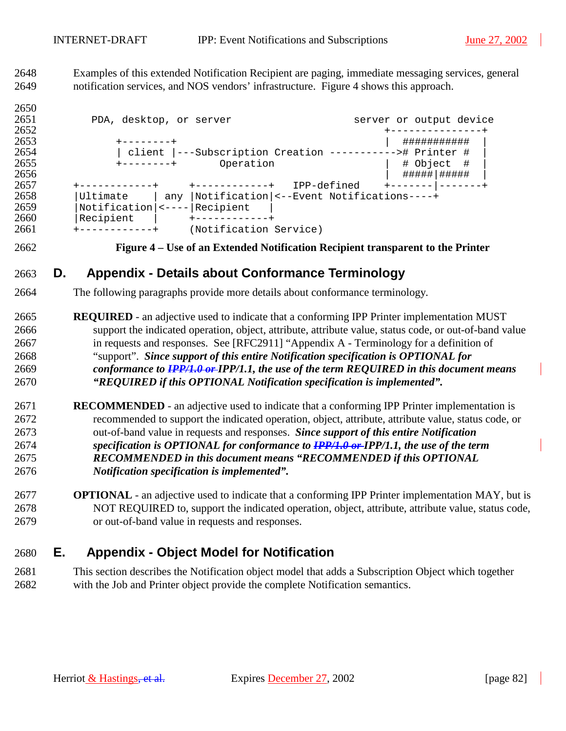2648 Examples of this extended Notification Recipient are paging, immediate messaging services, general 2649 notification services, and NOS vendors' infrastructure. Figure 4 shows this approach.

2650 2651 PDA, desktop, or server server server or output device +---------------+ +--------+ | ########### | | client |---Subscription Creation -----------># Printer # | +--------+ Operation | # Object # | | #####|##### | +------------+ +------------+ IPP-defined +-------|-------+ |Ultimate | any |Notification|<--Event Notifications----+ 2659 | Notification | <---- | Recipient | 2660 | Recipient | 2660 | Recipient | +------------+ (Notification Service)

#### 2662 **Figure 4 – Use of an Extended Notification Recipient transparent to the Printer**

# 2663 **D. Appendix - Details about Conformance Terminology**

- 2664 The following paragraphs provide more details about conformance terminology.
- 2665 **REQUIRED**  an adjective used to indicate that a conforming IPP Printer implementation MUST 2666 support the indicated operation, object, attribute, attribute value, status code, or out-of-band value 2667 in requests and responses. See [RFC2911] "Appendix A - Terminology for a definition of 2668 "support". *Since support of this entire Notification specification is OPTIONAL for*  2669 *conformance to IPP/1.0 or IPP/1.1, the use of the term REQUIRED in this document means*  2670 *"REQUIRED if this OPTIONAL Notification specification is implemented".*
- 2671 **RECOMMENDED**  an adjective used to indicate that a conforming IPP Printer implementation is 2672 recommended to support the indicated operation, object, attribute, attribute value, status code, or 2673 out-of-band value in requests and responses. *Since support of this entire Notification*  2674 *specification is OPTIONAL for conformance to IPP/1.0 or IPP/1.1, the use of the term*  2675 *RECOMMENDED in this document means "RECOMMENDED if this OPTIONAL*  2676 *Notification specification is implemented".*
- 2677 **OPTIONAL**  an adjective used to indicate that a conforming IPP Printer implementation MAY, but is 2678 NOT REQUIRED to, support the indicated operation, object, attribute, attribute value, status code, 2679 or out-of-band value in requests and responses.

# 2680 **E. Appendix - Object Model for Notification**

2681 This section describes the Notification object model that adds a Subscription Object which together 2682 with the Job and Printer object provide the complete Notification semantics.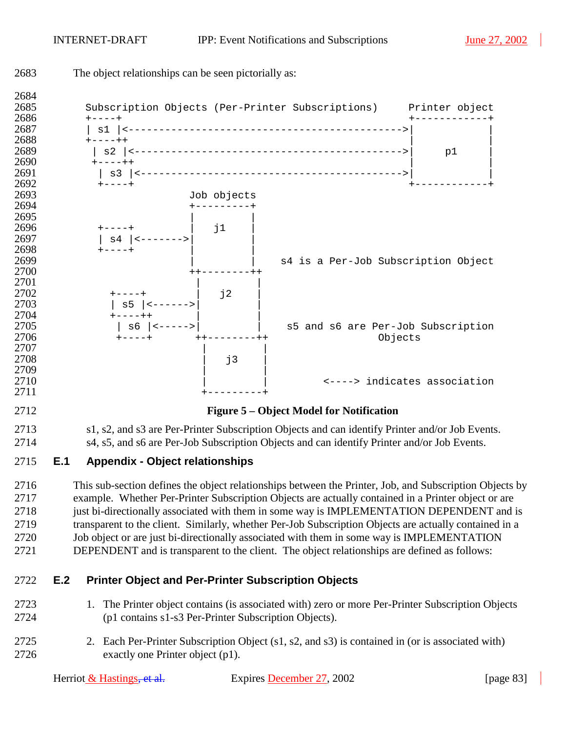| 2683                                         | The object relationships can be seen pictorially as:                                                                                                       |             |                                                                                                                                                                                                                                                                                                                                                                                                                                                                                                                                                                                                                     |                              |
|----------------------------------------------|------------------------------------------------------------------------------------------------------------------------------------------------------------|-------------|---------------------------------------------------------------------------------------------------------------------------------------------------------------------------------------------------------------------------------------------------------------------------------------------------------------------------------------------------------------------------------------------------------------------------------------------------------------------------------------------------------------------------------------------------------------------------------------------------------------------|------------------------------|
| 2684<br>2685<br>2686                         | $+ - - - +$                                                                                                                                                |             | Subscription Objects (Per-Printer Subscriptions) Printer object                                                                                                                                                                                                                                                                                                                                                                                                                                                                                                                                                     |                              |
| 2687<br>2688<br>2689<br>2690<br>2691<br>2692 | $+ - - - + +$<br>$+ - - - + +$                                                                                                                             |             |                                                                                                                                                                                                                                                                                                                                                                                                                                                                                                                                                                                                                     | p1                           |
| 2693                                         |                                                                                                                                                            | Job objects |                                                                                                                                                                                                                                                                                                                                                                                                                                                                                                                                                                                                                     |                              |
| 2694<br>2695<br>2696<br>2697<br>2698         | $+---+$<br>  s4   <------->                                                                                                                                | $\vert$ j1  |                                                                                                                                                                                                                                                                                                                                                                                                                                                                                                                                                                                                                     |                              |
| 2699<br>2700                                 |                                                                                                                                                            |             | s4 is a Per-Job Subscription Object                                                                                                                                                                                                                                                                                                                                                                                                                                                                                                                                                                                 |                              |
| 2701<br>2702<br>2703<br>2704                 |                                                                                                                                                            | j2          |                                                                                                                                                                                                                                                                                                                                                                                                                                                                                                                                                                                                                     |                              |
| 2705<br>2706                                 | $ $ s6 $ $ <-----> $ $                                                                                                                                     |             | s5 and s6 are Per-Job Subscription<br>Objects                                                                                                                                                                                                                                                                                                                                                                                                                                                                                                                                                                       |                              |
| 2707<br>2708<br>2709                         |                                                                                                                                                            | j3          |                                                                                                                                                                                                                                                                                                                                                                                                                                                                                                                                                                                                                     |                              |
| 2710<br>2711                                 |                                                                                                                                                            |             |                                                                                                                                                                                                                                                                                                                                                                                                                                                                                                                                                                                                                     | <----> indicates association |
| 2712                                         |                                                                                                                                                            |             | Figure 5 – Object Model for Notification                                                                                                                                                                                                                                                                                                                                                                                                                                                                                                                                                                            |                              |
| 2713<br>2714                                 |                                                                                                                                                            |             | s1, s2, and s3 are Per-Printer Subscription Objects and can identify Printer and/or Job Events.<br>s4, s5, and s6 are Per-Job Subscription Objects and can identify Printer and/or Job Events.                                                                                                                                                                                                                                                                                                                                                                                                                      |                              |
| 2715                                         | E.1<br><b>Appendix - Object relationships</b>                                                                                                              |             |                                                                                                                                                                                                                                                                                                                                                                                                                                                                                                                                                                                                                     |                              |
| 2716<br>2717<br>2718<br>2719<br>2720<br>2721 |                                                                                                                                                            |             | This sub-section defines the object relationships between the Printer, Job, and Subscription Objects by<br>example. Whether Per-Printer Subscription Objects are actually contained in a Printer object or are<br>just bi-directionally associated with them in some way is IMPLEMENTATION DEPENDENT and is<br>transparent to the client. Similarly, whether Per-Job Subscription Objects are actually contained in a<br>Job object or are just bi-directionally associated with them in some way is IMPLEMENTATION<br>DEPENDENT and is transparent to the client. The object relationships are defined as follows: |                              |
| 2722                                         | E.2<br><b>Printer Object and Per-Printer Subscription Objects</b>                                                                                          |             |                                                                                                                                                                                                                                                                                                                                                                                                                                                                                                                                                                                                                     |                              |
| 2723<br>2724                                 | 1. The Printer object contains (is associated with) zero or more Per-Printer Subscription Objects<br>(p1 contains s1-s3 Per-Printer Subscription Objects). |             |                                                                                                                                                                                                                                                                                                                                                                                                                                                                                                                                                                                                                     |                              |
| 2725<br>2726                                 | exactly one Printer object (p1).                                                                                                                           |             | 2. Each Per-Printer Subscription Object (s1, s2, and s3) is contained in (or is associated with)                                                                                                                                                                                                                                                                                                                                                                                                                                                                                                                    |                              |

| Herriot $&$ Hastings, et al. | Expires December 27, 2002 | [ $page 83$ ] |
|------------------------------|---------------------------|---------------|
|------------------------------|---------------------------|---------------|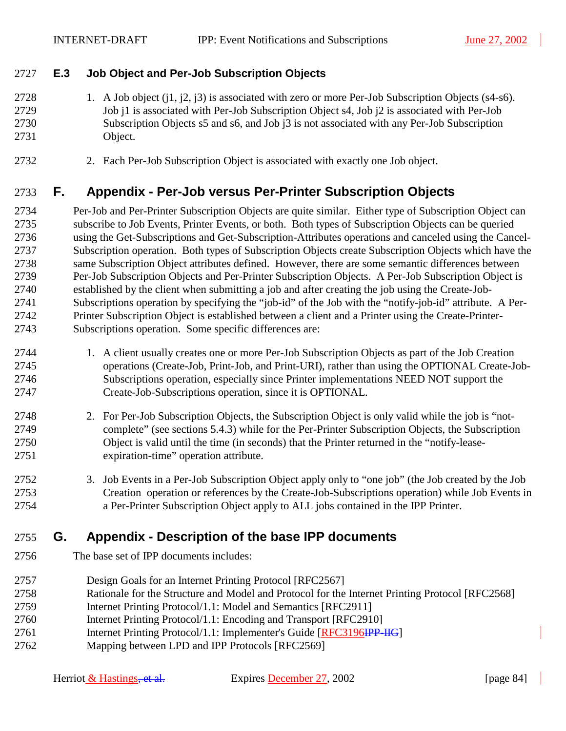### 2727 **E.3 Job Object and Per-Job Subscription Objects**

2728 1. A Job object (j1, j2, j3) is associated with zero or more Per-Job Subscription Objects (s4-s6). 2729 Job j1 is associated with Per-Job Subscription Object s4, Job j2 is associated with Per-Job 2730 Subscription Objects s5 and s6, and Job j3 is not associated with any Per-Job Subscription 2731 Object.

2732 2. Each Per-Job Subscription Object is associated with exactly one Job object.

### 2733 **F. Appendix - Per-Job versus Per-Printer Subscription Objects**

2734 Per-Job and Per-Printer Subscription Objects are quite similar. Either type of Subscription Object can 2735 subscribe to Job Events, Printer Events, or both. Both types of Subscription Objects can be queried 2736 using the Get-Subscriptions and Get-Subscription-Attributes operations and canceled using the Cancel-2737 Subscription operation. Both types of Subscription Objects create Subscription Objects which have the 2738 same Subscription Object attributes defined. However, there are some semantic differences between 2739 Per-Job Subscription Objects and Per-Printer Subscription Objects. A Per-Job Subscription Object is 2740 established by the client when submitting a job and after creating the job using the Create-Job-2741 Subscriptions operation by specifying the "job-id" of the Job with the "notify-job-id" attribute. A Per-2742 Printer Subscription Object is established between a client and a Printer using the Create-Printer-2743 Subscriptions operation. Some specific differences are:

- 2744 1. A client usually creates one or more Per-Job Subscription Objects as part of the Job Creation 2745 operations (Create-Job, Print-Job, and Print-URI), rather than using the OPTIONAL Create-Job-2746 Subscriptions operation, especially since Printer implementations NEED NOT support the 2747 Create-Job-Subscriptions operation, since it is OPTIONAL.
- 2748 2. For Per-Job Subscription Objects, the Subscription Object is only valid while the job is "not-2749 complete" (see sections [5.4.3\)](#page-31-0) while for the Per-Printer Subscription Objects, the Subscription 2750 Object is valid until the time (in seconds) that the Printer returned in the "notify-lease-2751 expiration-time" operation attribute.
- 2752 3. Job Events in a Per-Job Subscription Object apply only to "one job" (the Job created by the Job 2753 Creation operation or references by the Create-Job-Subscriptions operation) while Job Events in 2754 a Per-Printer Subscription Object apply to ALL jobs contained in the IPP Printer.

### 2755 **G. Appendix - Description of the base IPP documents**

- 2756 The base set of IPP documents includes:
- 2757 Design Goals for an Internet Printing Protocol [RFC2567]
- 2758 Rationale for the Structure and Model and Protocol for the Internet Printing Protocol [RFC2568]
- 2759 Internet Printing Protocol/1.1: Model and Semantics [RFC2911]
- 2760 Internet Printing Protocol/1.1: Encoding and Transport [RFC2910]
- 2761 Internet Printing Protocol/1.1: Implementer's Guide [RFC3196IPP-IIG]
- 2762 Mapping between LPD and IPP Protocols [RFC2569]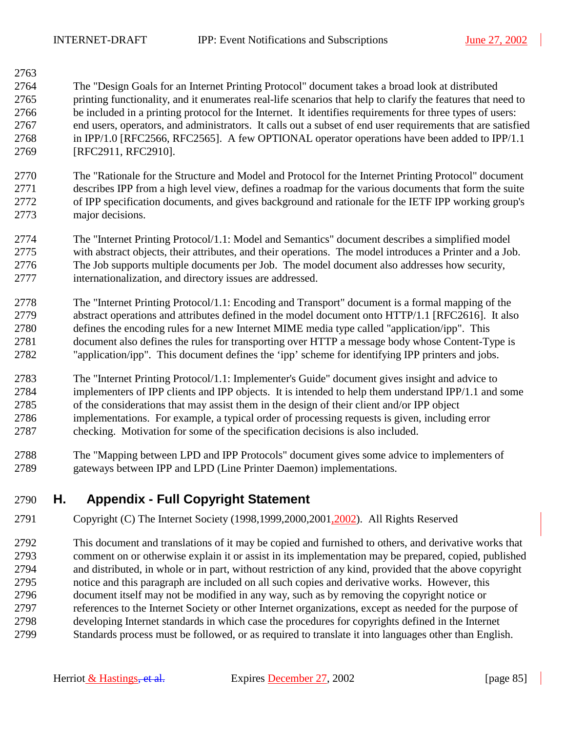2763

2764 The "Design Goals for an Internet Printing Protocol" document takes a broad look at distributed 2765 printing functionality, and it enumerates real-life scenarios that help to clarify the features that need to 2766 be included in a printing protocol for the Internet. It identifies requirements for three types of users: 2767 end users, operators, and administrators. It calls out a subset of end user requirements that are satisfied 2768 in IPP/1.0 [RFC2566, RFC2565]. A few OPTIONAL operator operations have been added to IPP/1.1 2769 [RFC2911, RFC2910].

2770 The "Rationale for the Structure and Model and Protocol for the Internet Printing Protocol" document 2771 describes IPP from a high level view, defines a roadmap for the various documents that form the suite 2772 of IPP specification documents, and gives background and rationale for the IETF IPP working group's 2773 major decisions.

2774 The "Internet Printing Protocol/1.1: Model and Semantics" document describes a simplified model 2775 with abstract objects, their attributes, and their operations. The model introduces a Printer and a Job. 2776 The Job supports multiple documents per Job. The model document also addresses how security, 2777 internationalization, and directory issues are addressed.

- 2778 The "Internet Printing Protocol/1.1: Encoding and Transport" document is a formal mapping of the 2779 abstract operations and attributes defined in the model document onto HTTP/1.1 [RFC2616]. It also 2780 defines the encoding rules for a new Internet MIME media type called "application/ipp". This 2781 document also defines the rules for transporting over HTTP a message body whose Content-Type is 2782 "application/ipp". This document defines the 'ipp' scheme for identifying IPP printers and jobs.
- 2783 The "Internet Printing Protocol/1.1: Implementer's Guide" document gives insight and advice to 2784 implementers of IPP clients and IPP objects. It is intended to help them understand IPP/1.1 and some 2785 of the considerations that may assist them in the design of their client and/or IPP object 2786 implementations. For example, a typical order of processing requests is given, including error 2787 checking. Motivation for some of the specification decisions is also included.
- 2788 The "Mapping between LPD and IPP Protocols" document gives some advice to implementers of 2789 gateways between IPP and LPD (Line Printer Daemon) implementations.

### 2790 **H. Appendix - Full Copyright Statement**

- 2791 Copyright (C) The Internet Society (1998,1999,2000,2001,2002). All Rights Reserved
- 2792 This document and translations of it may be copied and furnished to others, and derivative works that 2793 comment on or otherwise explain it or assist in its implementation may be prepared, copied, published 2794 and distributed, in whole or in part, without restriction of any kind, provided that the above copyright 2795 notice and this paragraph are included on all such copies and derivative works. However, this 2796 document itself may not be modified in any way, such as by removing the copyright notice or 2797 references to the Internet Society or other Internet organizations, except as needed for the purpose of 2798 developing Internet standards in which case the procedures for copyrights defined in the Internet 2799 Standards process must be followed, or as required to translate it into languages other than English.